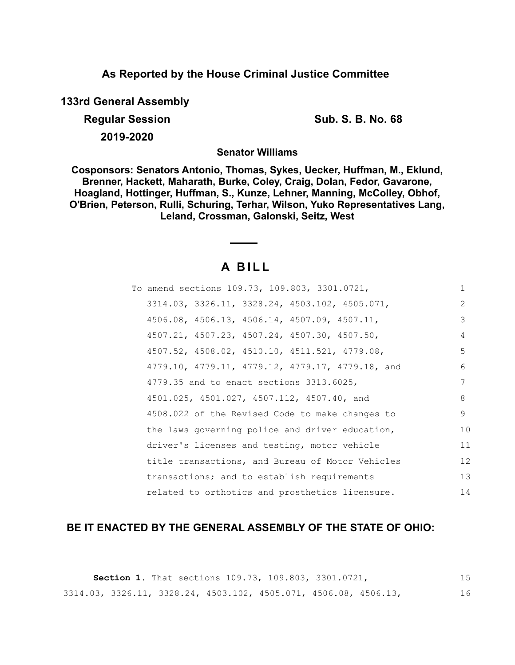**As Reported by the House Criminal Justice Committee**

**133rd General Assembly**

**Regular Session Sub. S. B. No. 68** 

**2019-2020**

**Senator Williams**

**Cosponsors: Senators Antonio, Thomas, Sykes, Uecker, Huffman, M., Eklund, Brenner, Hackett, Maharath, Burke, Coley, Craig, Dolan, Fedor, Gavarone, Hoagland, Hottinger, Huffman, S., Kunze, Lehner, Manning, McColley, Obhof, O'Brien, Peterson, Rulli, Schuring, Terhar, Wilson, Yuko Representatives Lang, Leland, Crossman, Galonski, Seitz, West**

# **A B I L L**

| To amend sections 109.73, 109.803, 3301.0721,    | $\mathbf{1}$  |
|--------------------------------------------------|---------------|
| 3314.03, 3326.11, 3328.24, 4503.102, 4505.071,   | $\mathcal{L}$ |
| 4506.08, 4506.13, 4506.14, 4507.09, 4507.11,     | 3             |
| 4507.21, 4507.23, 4507.24, 4507.30, 4507.50,     | 4             |
| 4507.52, 4508.02, 4510.10, 4511.521, 4779.08,    | 5             |
| 4779.10, 4779.11, 4779.12, 4779.17, 4779.18, and | 6             |
| 4779.35 and to enact sections 3313.6025,         | 7             |
| 4501.025, 4501.027, 4507.112, 4507.40, and       | 8             |
| 4508.022 of the Revised Code to make changes to  | 9             |
| the laws governing police and driver education,  | 10            |
| driver's licenses and testing, motor vehicle     | 11            |
| title transactions, and Bureau of Motor Vehicles | 12            |
| transactions; and to establish requirements      | 13            |
| related to orthotics and prosthetics licensure.  | 14            |

# **BE IT ENACTED BY THE GENERAL ASSEMBLY OF THE STATE OF OHIO:**

**Section 1.** That sections 109.73, 109.803, 3301.0721, 3314.03, 3326.11, 3328.24, 4503.102, 4505.071, 4506.08, 4506.13, 15 16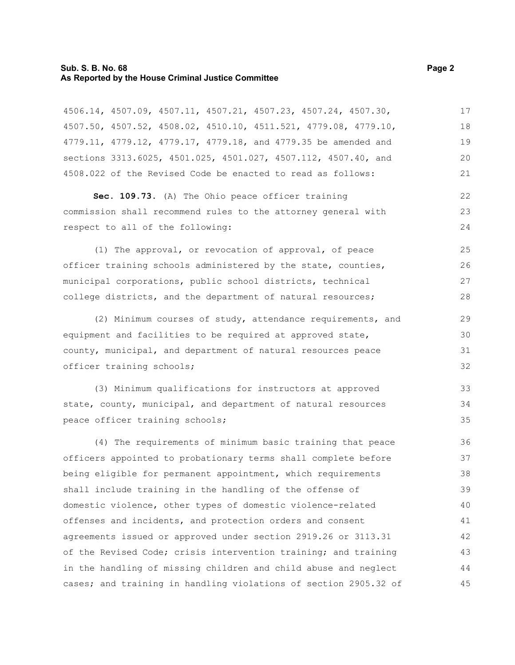#### **Sub. S. B. No. 68 Page 2 Page 2 Page 2 Page 2 Page 2 Page 2 Page 2 Page 2 As Reported by the House Criminal Justice Committee**

4506.14, 4507.09, 4507.11, 4507.21, 4507.23, 4507.24, 4507.30, 4507.50, 4507.52, 4508.02, 4510.10, 4511.521, 4779.08, 4779.10, 4779.11, 4779.12, 4779.17, 4779.18, and 4779.35 be amended and sections 3313.6025, 4501.025, 4501.027, 4507.112, 4507.40, and 4508.022 of the Revised Code be enacted to read as follows: 17 18 19 20 21

**Sec. 109.73.** (A) The Ohio peace officer training commission shall recommend rules to the attorney general with respect to all of the following:

(1) The approval, or revocation of approval, of peace officer training schools administered by the state, counties, municipal corporations, public school districts, technical college districts, and the department of natural resources; 25 26 27 28

(2) Minimum courses of study, attendance requirements, and equipment and facilities to be required at approved state, county, municipal, and department of natural resources peace officer training schools;

(3) Minimum qualifications for instructors at approved state, county, municipal, and department of natural resources peace officer training schools;

(4) The requirements of minimum basic training that peace officers appointed to probationary terms shall complete before being eligible for permanent appointment, which requirements shall include training in the handling of the offense of domestic violence, other types of domestic violence-related offenses and incidents, and protection orders and consent agreements issued or approved under section 2919.26 or 3113.31 of the Revised Code; crisis intervention training; and training in the handling of missing children and child abuse and neglect cases; and training in handling violations of section 2905.32 of 36 37 38 39 40 41 42 43 44 45

22 23 24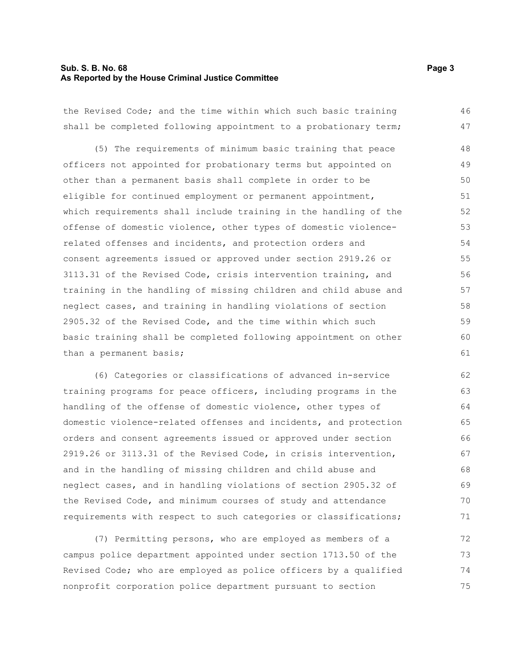#### **Sub. S. B. No. 68 Page 3 Page 3 Page 3 Page 3 Page 3 Page 3 As Reported by the House Criminal Justice Committee**

the Revised Code; and the time within which such basic training shall be completed following appointment to a probationary term; 46 47

(5) The requirements of minimum basic training that peace officers not appointed for probationary terms but appointed on other than a permanent basis shall complete in order to be eligible for continued employment or permanent appointment, which requirements shall include training in the handling of the offense of domestic violence, other types of domestic violencerelated offenses and incidents, and protection orders and consent agreements issued or approved under section 2919.26 or 3113.31 of the Revised Code, crisis intervention training, and training in the handling of missing children and child abuse and neglect cases, and training in handling violations of section 2905.32 of the Revised Code, and the time within which such basic training shall be completed following appointment on other than a permanent basis; 48 49 50 51 52 53 54 55 56 57 58 59 60 61

(6) Categories or classifications of advanced in-service training programs for peace officers, including programs in the handling of the offense of domestic violence, other types of domestic violence-related offenses and incidents, and protection orders and consent agreements issued or approved under section 2919.26 or 3113.31 of the Revised Code, in crisis intervention, and in the handling of missing children and child abuse and neglect cases, and in handling violations of section 2905.32 of the Revised Code, and minimum courses of study and attendance requirements with respect to such categories or classifications; 70 71

(7) Permitting persons, who are employed as members of a campus police department appointed under section 1713.50 of the Revised Code; who are employed as police officers by a qualified nonprofit corporation police department pursuant to section 72 73 74 75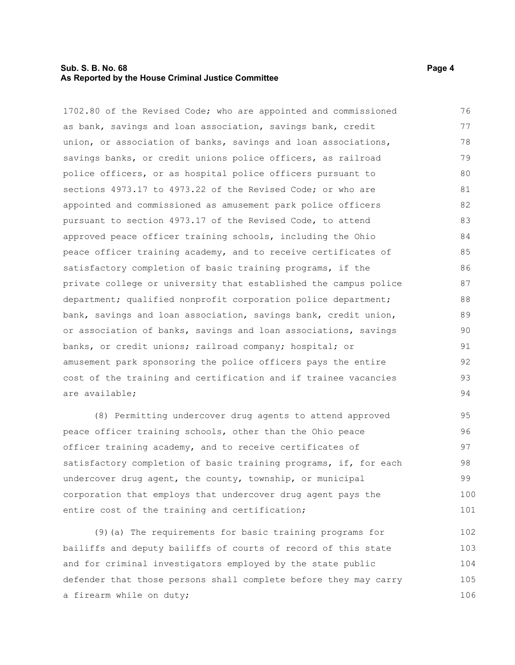#### **Sub. S. B. No. 68 Page 4 Page 4 Page 4 Page 4 Page 4 Page 4 Page 4 Page 4 As Reported by the House Criminal Justice Committee**

1702.80 of the Revised Code; who are appointed and commissioned as bank, savings and loan association, savings bank, credit union, or association of banks, savings and loan associations, savings banks, or credit unions police officers, as railroad police officers, or as hospital police officers pursuant to sections 4973.17 to 4973.22 of the Revised Code; or who are appointed and commissioned as amusement park police officers pursuant to section 4973.17 of the Revised Code, to attend approved peace officer training schools, including the Ohio peace officer training academy, and to receive certificates of satisfactory completion of basic training programs, if the private college or university that established the campus police department; qualified nonprofit corporation police department; bank, savings and loan association, savings bank, credit union, or association of banks, savings and loan associations, savings banks, or credit unions; railroad company; hospital; or amusement park sponsoring the police officers pays the entire cost of the training and certification and if trainee vacancies are available; 76 77 78 79 80 81 82 83 84 85 86 87 88 89  $90$ 91 92 93 94

(8) Permitting undercover drug agents to attend approved peace officer training schools, other than the Ohio peace officer training academy, and to receive certificates of satisfactory completion of basic training programs, if, for each undercover drug agent, the county, township, or municipal corporation that employs that undercover drug agent pays the entire cost of the training and certification; 95 96 97 98 99 100 101

(9)(a) The requirements for basic training programs for bailiffs and deputy bailiffs of courts of record of this state and for criminal investigators employed by the state public defender that those persons shall complete before they may carry a firearm while on duty; 102 103 104 105 106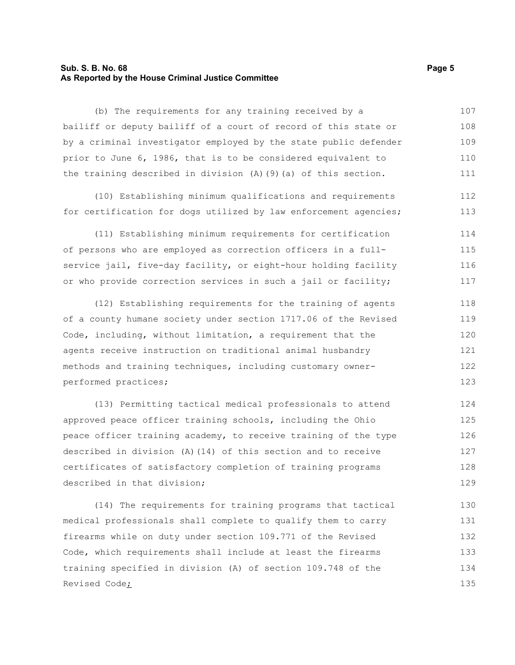#### **Sub. S. B. No. 68 Page 5 Page 5 Page 5 Page 5 Page 5 Page 5 Page 5 Page 5 Page 5 Page 5 As Reported by the House Criminal Justice Committee**

(b) The requirements for any training received by a bailiff or deputy bailiff of a court of record of this state or by a criminal investigator employed by the state public defender prior to June 6, 1986, that is to be considered equivalent to the training described in division (A)(9)(a) of this section. 107 108 109 110 111

(10) Establishing minimum qualifications and requirements for certification for dogs utilized by law enforcement agencies; 112 113

(11) Establishing minimum requirements for certification of persons who are employed as correction officers in a fullservice jail, five-day facility, or eight-hour holding facility or who provide correction services in such a jail or facility; 114 115 116 117

(12) Establishing requirements for the training of agents of a county humane society under section 1717.06 of the Revised Code, including, without limitation, a requirement that the agents receive instruction on traditional animal husbandry methods and training techniques, including customary ownerperformed practices; 118 119 120 121 122 123

(13) Permitting tactical medical professionals to attend approved peace officer training schools, including the Ohio peace officer training academy, to receive training of the type described in division (A)(14) of this section and to receive certificates of satisfactory completion of training programs described in that division; 124 125 126 127 128 129

(14) The requirements for training programs that tactical medical professionals shall complete to qualify them to carry firearms while on duty under section 109.771 of the Revised Code, which requirements shall include at least the firearms training specified in division (A) of section 109.748 of the Revised Code; 130 131 132 133 134 135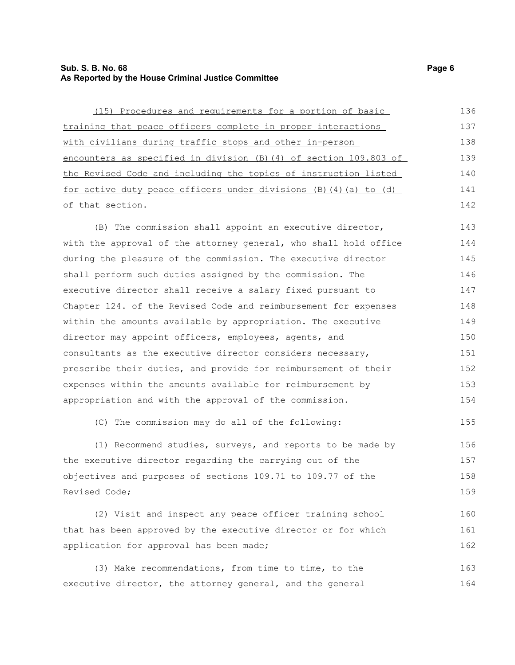#### **Sub. S. B. No. 68 Page 6 Page 6 Page 6 Page 6 Page 6 Page 6 Page 6 Page 6 Page 6 Page 6 Page 6 As Reported by the House Criminal Justice Committee**

(15) Procedures and requirements for a portion of basic training that peace officers complete in proper interactions with civilians during traffic stops and other in-person encounters as specified in division (B)(4) of section 109.803 of the Revised Code and including the topics of instruction listed for active duty peace officers under divisions (B)(4)(a) to (d) of that section. (B) The commission shall appoint an executive director, with the approval of the attorney general, who shall hold office during the pleasure of the commission. The executive director shall perform such duties assigned by the commission. The executive director shall receive a salary fixed pursuant to Chapter 124. of the Revised Code and reimbursement for expenses within the amounts available by appropriation. The executive director may appoint officers, employees, agents, and consultants as the executive director considers necessary, prescribe their duties, and provide for reimbursement of their expenses within the amounts available for reimbursement by 136 137 138 139 140 141 142 143 144 145 146 147 148 149 150 151 152 153

(C) The commission may do all of the following: 155

(1) Recommend studies, surveys, and reports to be made by the executive director regarding the carrying out of the objectives and purposes of sections 109.71 to 109.77 of the Revised Code; 156 157 158 159

appropriation and with the approval of the commission.

(2) Visit and inspect any peace officer training school that has been approved by the executive director or for which application for approval has been made; 160 161 162

(3) Make recommendations, from time to time, to the executive director, the attorney general, and the general 163 164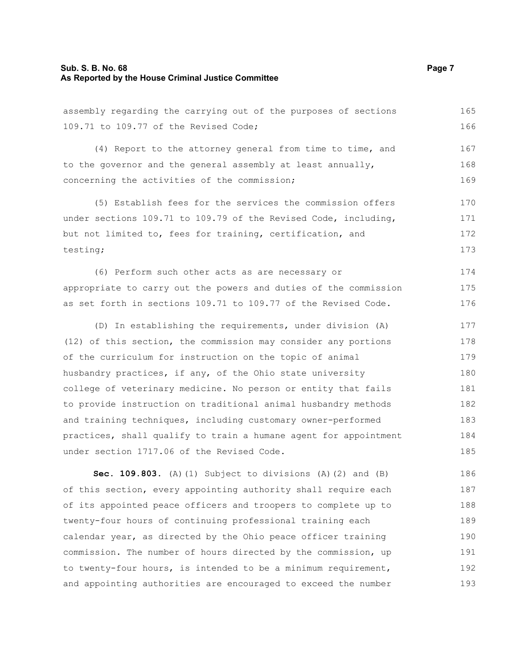#### **Sub. S. B. No. 68 Page 7 Page 7 Page 7 Page 7 Page 7 Page 7 Page 7 Page 7 Page 7 Page 7 As Reported by the House Criminal Justice Committee**

assembly regarding the carrying out of the purposes of sections 109.71 to 109.77 of the Revised Code; (4) Report to the attorney general from time to time, and to the governor and the general assembly at least annually, concerning the activities of the commission; (5) Establish fees for the services the commission offers under sections 109.71 to 109.79 of the Revised Code, including, but not limited to, fees for training, certification, and testing; (6) Perform such other acts as are necessary or appropriate to carry out the powers and duties of the commission as set forth in sections 109.71 to 109.77 of the Revised Code. (D) In establishing the requirements, under division (A) (12) of this section, the commission may consider any portions of the curriculum for instruction on the topic of animal husbandry practices, if any, of the Ohio state university college of veterinary medicine. No person or entity that fails to provide instruction on traditional animal husbandry methods and training techniques, including customary owner-performed practices, shall qualify to train a humane agent for appointment under section 1717.06 of the Revised Code. **Sec. 109.803.** (A)(1) Subject to divisions (A)(2) and (B) 165 166 167 168 169 170 171 172 173 174 175 176 177 178 179 180 181 182 183 184 185 186

of this section, every appointing authority shall require each of its appointed peace officers and troopers to complete up to twenty-four hours of continuing professional training each calendar year, as directed by the Ohio peace officer training commission. The number of hours directed by the commission, up to twenty-four hours, is intended to be a minimum requirement, and appointing authorities are encouraged to exceed the number 187 188 189 190 191 192 193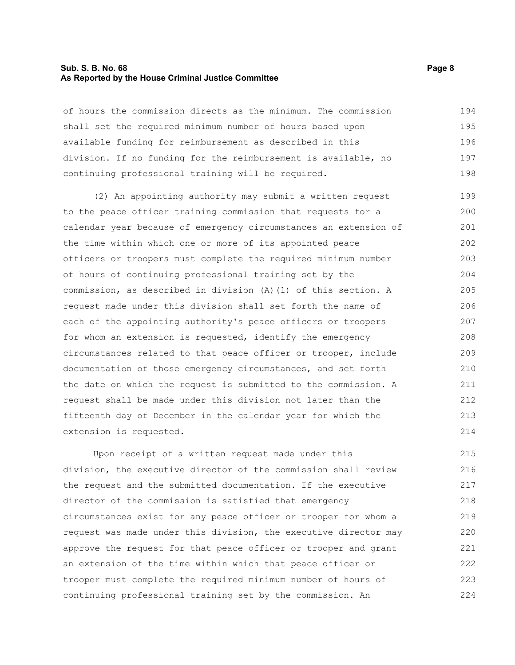#### **Sub. S. B. No. 68 Page 8 Page 8 Page 8 Page 8 Page 8 Page 8 Page 8 Page 8 As Reported by the House Criminal Justice Committee**

of hours the commission directs as the minimum. The commission shall set the required minimum number of hours based upon available funding for reimbursement as described in this division. If no funding for the reimbursement is available, no continuing professional training will be required. 194 195 196 197 198

(2) An appointing authority may submit a written request to the peace officer training commission that requests for a calendar year because of emergency circumstances an extension of the time within which one or more of its appointed peace officers or troopers must complete the required minimum number of hours of continuing professional training set by the commission, as described in division (A)(1) of this section. A request made under this division shall set forth the name of each of the appointing authority's peace officers or troopers for whom an extension is requested, identify the emergency circumstances related to that peace officer or trooper, include documentation of those emergency circumstances, and set forth the date on which the request is submitted to the commission. A request shall be made under this division not later than the fifteenth day of December in the calendar year for which the extension is requested. 199 200 201 202 203 204 205 206 207 208 209 210 211 212 213 214

Upon receipt of a written request made under this division, the executive director of the commission shall review the request and the submitted documentation. If the executive director of the commission is satisfied that emergency circumstances exist for any peace officer or trooper for whom a request was made under this division, the executive director may approve the request for that peace officer or trooper and grant an extension of the time within which that peace officer or trooper must complete the required minimum number of hours of continuing professional training set by the commission. An 215 216 217 218 219 220 221 222 223 224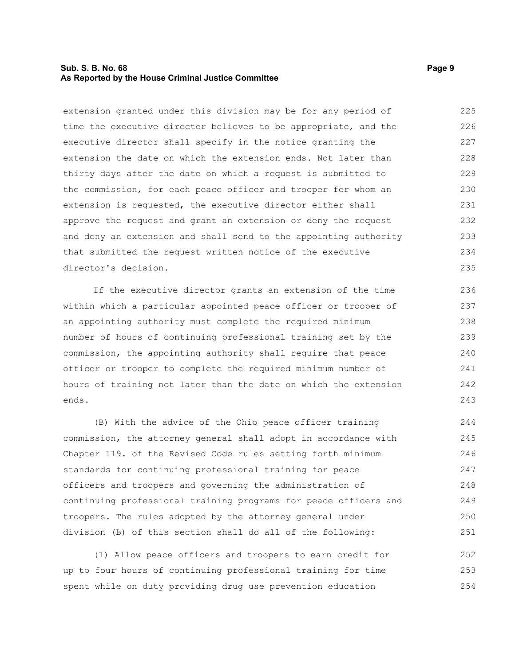#### **Sub. S. B. No. 68 Page 9 Page 9 Page 9 Page 9 Page 9 Page 9 Page 9 Page 9 Page 9 Page 9 Page 9 Page 9 Page 9 Page 9 Page 9 Page 9 Page 9 Page 9 Page 9 Page 9 Page 1 Page 1 Pag As Reported by the House Criminal Justice Committee**

extension granted under this division may be for any period of time the executive director believes to be appropriate, and the executive director shall specify in the notice granting the extension the date on which the extension ends. Not later than thirty days after the date on which a request is submitted to the commission, for each peace officer and trooper for whom an extension is requested, the executive director either shall approve the request and grant an extension or deny the request and deny an extension and shall send to the appointing authority that submitted the request written notice of the executive director's decision. 225 226 227 228 229 230 231 232 233 234 235

If the executive director grants an extension of the time within which a particular appointed peace officer or trooper of an appointing authority must complete the required minimum number of hours of continuing professional training set by the commission, the appointing authority shall require that peace officer or trooper to complete the required minimum number of hours of training not later than the date on which the extension ends.

(B) With the advice of the Ohio peace officer training commission, the attorney general shall adopt in accordance with Chapter 119. of the Revised Code rules setting forth minimum standards for continuing professional training for peace officers and troopers and governing the administration of continuing professional training programs for peace officers and troopers. The rules adopted by the attorney general under division (B) of this section shall do all of the following: 244 245 246 247 248 249 250 251

(1) Allow peace officers and troopers to earn credit for up to four hours of continuing professional training for time spent while on duty providing drug use prevention education 252 253 254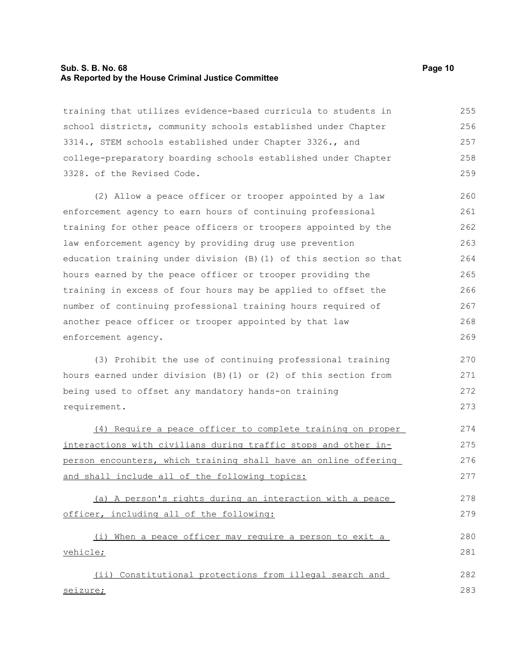#### **Sub. S. B. No. 68 Page 10 As Reported by the House Criminal Justice Committee**

training that utilizes evidence-based curricula to students in school districts, community schools established under Chapter 3314., STEM schools established under Chapter 3326., and college-preparatory boarding schools established under Chapter 3328. of the Revised Code. 255 256 257 258 259

(2) Allow a peace officer or trooper appointed by a law enforcement agency to earn hours of continuing professional training for other peace officers or troopers appointed by the law enforcement agency by providing drug use prevention education training under division (B)(1) of this section so that hours earned by the peace officer or trooper providing the training in excess of four hours may be applied to offset the number of continuing professional training hours required of another peace officer or trooper appointed by that law enforcement agency. 260 261 262 263 264 265 266 267 268 269

(3) Prohibit the use of continuing professional training hours earned under division (B)(1) or (2) of this section from being used to offset any mandatory hands-on training requirement.

(4) Require a peace officer to complete training on proper interactions with civilians during traffic stops and other inperson encounters, which training shall have an online offering and shall include all of the following topics: 274 275 276 277

(a) A person's rights during an interaction with a peace officer, including all of the following: 278 279

(i) When a peace officer may require a person to exit a vehicle; 280 281

(ii) Constitutional protections from illegal search and seizure; 282 283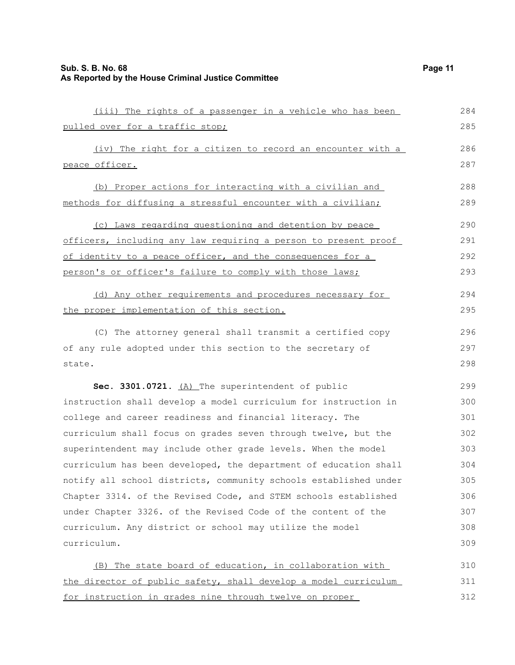| (iii) The rights of a passenger in a vehicle who has been        | 284 |
|------------------------------------------------------------------|-----|
| pulled over for a traffic stop;                                  | 285 |
| (iv) The right for a citizen to record an encounter with a       | 286 |
| peace officer.                                                   | 287 |
| (b) Proper actions for interacting with a civilian and           | 288 |
| methods for diffusing a stressful encounter with a civilian;     | 289 |
| (c) Laws regarding questioning and detention by peace            | 290 |
| officers, including any law requiring a person to present proof  | 291 |
| of identity to a peace officer, and the consequences for a       | 292 |
| person's or officer's failure to comply with those laws;         | 293 |
| (d) Any other requirements and procedures necessary for          | 294 |
| the proper implementation of this section.                       | 295 |
| (C) The attorney general shall transmit a certified copy         | 296 |
| of any rule adopted under this section to the secretary of       | 297 |
| state.                                                           | 298 |
| Sec. 3301.0721. (A) The superintendent of public                 | 299 |
| instruction shall develop a model curriculum for instruction in  | 300 |
| college and career readiness and financial literacy. The         | 301 |
| curriculum shall focus on grades seven through twelve, but the   | 302 |
| superintendent may include other grade levels. When the model    | 303 |
| curriculum has been developed, the department of education shall | 304 |
| notify all school districts, community schools established under | 305 |
| Chapter 3314. of the Revised Code, and STEM schools established  | 306 |
| under Chapter 3326. of the Revised Code of the content of the    | 307 |
| curriculum. Any district or school may utilize the model         | 308 |
| curriculum.                                                      | 309 |
| The state board of education, in collaboration with<br>(B)       | 310 |
| the director of public safety, shall develop a model curriculum  | 311 |
| for instruction in grades nine through twelve on proper          | 312 |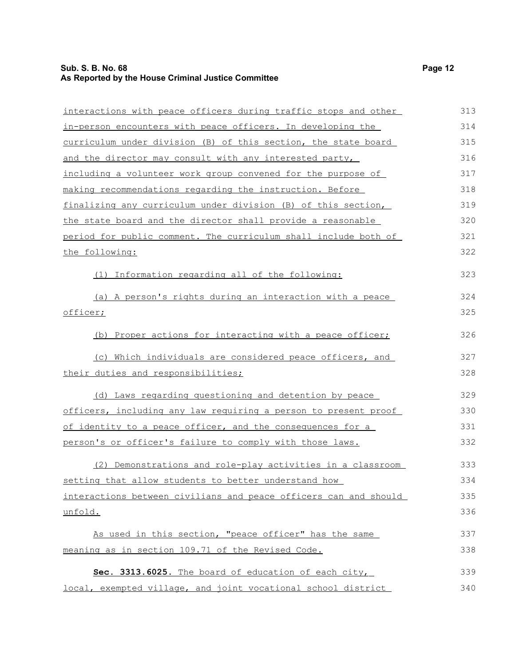# **Sub. S. B. No. 68** Page 12 **As Reported by the House Criminal Justice Committee**

| interactions with peace officers during traffic stops and other  | 313 |
|------------------------------------------------------------------|-----|
| in-person encounters with peace officers. In developing the      | 314 |
| curriculum under division (B) of this section, the state board   | 315 |
| and the director may consult with any interested party,          | 316 |
| including a volunteer work group convened for the purpose of     | 317 |
| making recommendations regarding the instruction. Before         | 318 |
| finalizing any curriculum under division (B) of this section,    | 319 |
| the state board and the director shall provide a reasonable      | 320 |
| period for public comment. The curriculum shall include both of  | 321 |
| the following:                                                   | 322 |
| (1) Information regarding all of the following:                  | 323 |
| (a) A person's rights during an interaction with a peace         | 324 |
| officer;                                                         | 325 |
| (b) Proper actions for interacting with a peace officer;         | 326 |
| (c) Which individuals are considered peace officers, and         | 327 |
| their duties and responsibilities;                               | 328 |
| (d) Laws regarding questioning and detention by peace            | 329 |
| officers, including any law requiring a person to present proof  | 330 |
| of identity to a peace officer, and the consequences for a       | 331 |
| person's or officer's failure to comply with those laws.         | 332 |
| (2) Demonstrations and role-play activities in a classroom       | 333 |
| setting that allow students to better understand how             | 334 |
| interactions between civilians and peace officers can and should | 335 |
| <u>unfold.</u>                                                   | 336 |
| As used in this section, "peace officer" has the same            | 337 |
| meaning as in section 109.71 of the Revised Code.                | 338 |
| Sec. 3313.6025. The board of education of each city,             | 339 |
| local, exempted village, and joint vocational school district    | 340 |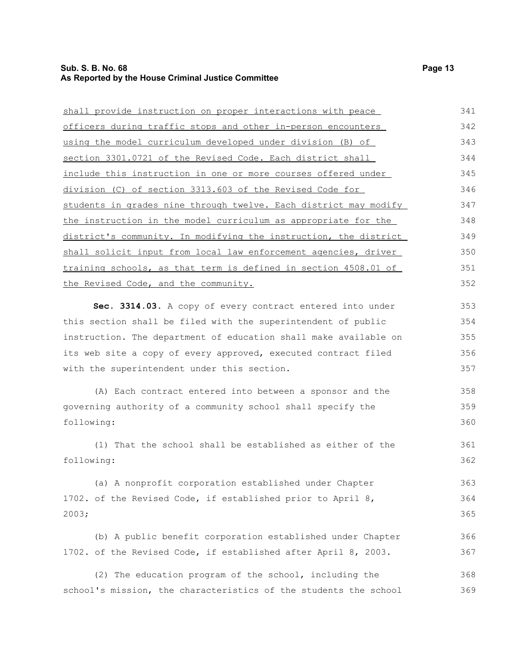# **Sub. S. B. No. 68** Page 13 **As Reported by the House Criminal Justice Committee**

| shall provide instruction on proper interactions with peace      | 341 |
|------------------------------------------------------------------|-----|
| officers during traffic stops and other in-person encounters     | 342 |
| using the model curriculum developed under division (B) of       | 343 |
| section 3301.0721 of the Revised Code. Each district shall       | 344 |
| include this instruction in one or more courses offered under    | 345 |
| division (C) of section 3313.603 of the Revised Code for         | 346 |
| students in grades nine through twelve. Each district may modify | 347 |
| the instruction in the model curriculum as appropriate for the   | 348 |
| district's community. In modifying the instruction, the district | 349 |
| shall solicit input from local law enforcement agencies, driver  | 350 |
| training schools, as that term is defined in section 4508.01 of  | 351 |
| the Revised Code, and the community.                             | 352 |
| Sec. 3314.03. A copy of every contract entered into under        | 353 |
| this section shall be filed with the superintendent of public    | 354 |
| instruction. The department of education shall make available on | 355 |
| its web site a copy of every approved, executed contract filed   | 356 |
| with the superintendent under this section.                      | 357 |
| (A) Each contract entered into between a sponsor and the         | 358 |
| governing authority of a community school shall specify the      | 359 |
| following:                                                       | 360 |
| (1) That the school shall be established as either of the        | 361 |
| following:                                                       | 362 |
| (a) A nonprofit corporation established under Chapter            | 363 |
| 1702. of the Revised Code, if established prior to April 8,      | 364 |
| 2003;                                                            | 365 |
| (b) A public benefit corporation established under Chapter       | 366 |
| 1702. of the Revised Code, if established after April 8, 2003.   | 367 |
| (2) The education program of the school, including the           | 368 |
| school's mission, the characteristics of the students the school | 369 |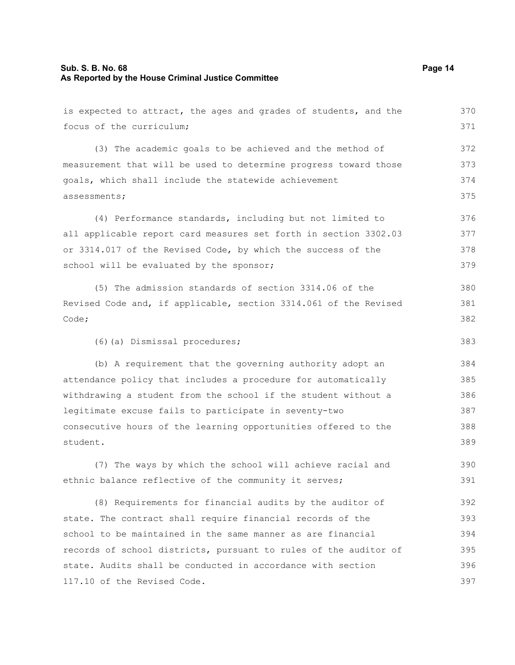#### **Sub. S. B. No. 68 Page 14 As Reported by the House Criminal Justice Committee**

is expected to attract, the ages and grades of students, and the focus of the curriculum; (3) The academic goals to be achieved and the method of measurement that will be used to determine progress toward those goals, which shall include the statewide achievement assessments; (4) Performance standards, including but not limited to all applicable report card measures set forth in section 3302.03 or 3314.017 of the Revised Code, by which the success of the school will be evaluated by the sponsor; (5) The admission standards of section 3314.06 of the Revised Code and, if applicable, section 3314.061 of the Revised Code; (6)(a) Dismissal procedures; (b) A requirement that the governing authority adopt an attendance policy that includes a procedure for automatically withdrawing a student from the school if the student without a legitimate excuse fails to participate in seventy-two consecutive hours of the learning opportunities offered to the student. (7) The ways by which the school will achieve racial and ethnic balance reflective of the community it serves; (8) Requirements for financial audits by the auditor of 370 371 372 373 374 375 376 377 378 379 380 381 382 383 384 385 386 387 388 389 390 391 392

state. The contract shall require financial records of the school to be maintained in the same manner as are financial records of school districts, pursuant to rules of the auditor of state. Audits shall be conducted in accordance with section 117.10 of the Revised Code. 393 394 395 396 397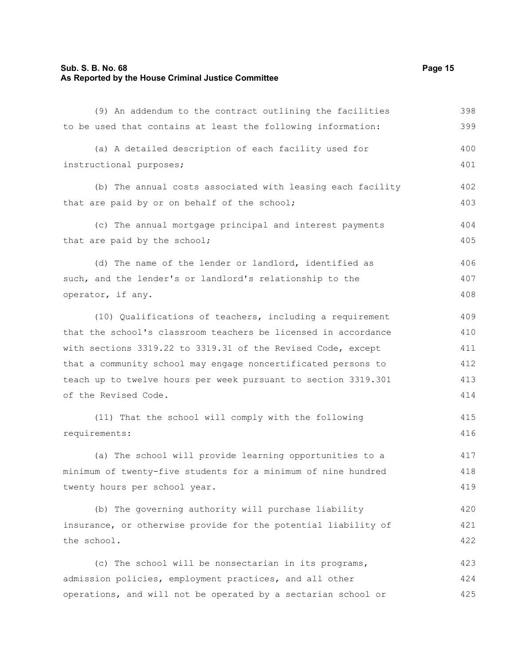# **Sub. S. B. No. 68** Page 15 **As Reported by the House Criminal Justice Committee**

| (9) An addendum to the contract outlining the facilities       | 398 |
|----------------------------------------------------------------|-----|
| to be used that contains at least the following information:   | 399 |
| (a) A detailed description of each facility used for           | 400 |
| instructional purposes;                                        | 401 |
| (b) The annual costs associated with leasing each facility     | 402 |
| that are paid by or on behalf of the school;                   | 403 |
| (c) The annual mortgage principal and interest payments        | 404 |
| that are paid by the school;                                   | 405 |
| (d) The name of the lender or landlord, identified as          | 406 |
| such, and the lender's or landlord's relationship to the       | 407 |
| operator, if any.                                              | 408 |
| (10) Qualifications of teachers, including a requirement       | 409 |
| that the school's classroom teachers be licensed in accordance | 410 |
| with sections 3319.22 to 3319.31 of the Revised Code, except   | 411 |
| that a community school may engage noncertificated persons to  | 412 |
| teach up to twelve hours per week pursuant to section 3319.301 | 413 |
| of the Revised Code.                                           | 414 |
| (11) That the school will comply with the following            | 415 |
| requirements:                                                  | 416 |
| (a) The school will provide learning opportunities to a        | 417 |
| minimum of twenty-five students for a minimum of nine hundred  | 418 |
| twenty hours per school year.                                  | 419 |
| (b) The governing authority will purchase liability            | 420 |
| insurance, or otherwise provide for the potential liability of | 421 |
| the school.                                                    | 422 |
| (c) The school will be nonsectarian in its programs,           | 423 |
| admission policies, employment practices, and all other        | 424 |
| operations, and will not be operated by a sectarian school or  | 425 |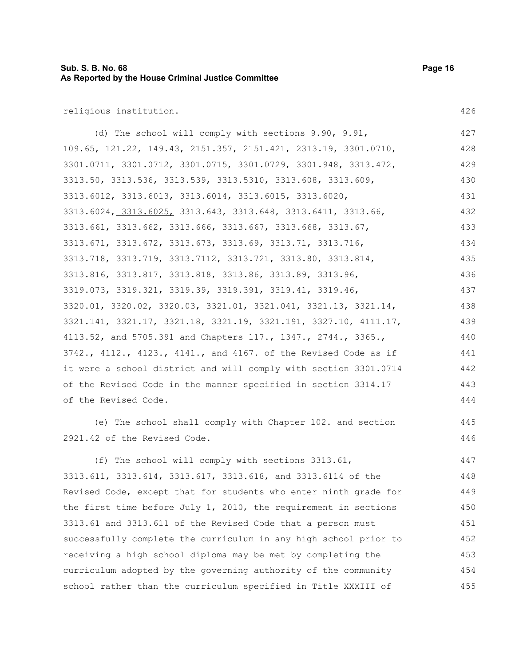religious institution.

426

| (d) The school will comply with sections 9.90, 9.91,             | 427 |
|------------------------------------------------------------------|-----|
| 109.65, 121.22, 149.43, 2151.357, 2151.421, 2313.19, 3301.0710,  | 428 |
| 3301.0711, 3301.0712, 3301.0715, 3301.0729, 3301.948, 3313.472,  | 429 |
| 3313.50, 3313.536, 3313.539, 3313.5310, 3313.608, 3313.609,      | 430 |
| 3313.6012, 3313.6013, 3313.6014, 3313.6015, 3313.6020,           | 431 |
| 3313.6024, 3313.6025, 3313.643, 3313.648, 3313.6411, 3313.66,    | 432 |
| 3313.661, 3313.662, 3313.666, 3313.667, 3313.668, 3313.67,       | 433 |
| 3313.671, 3313.672, 3313.673, 3313.69, 3313.71, 3313.716,        | 434 |
| 3313.718, 3313.719, 3313.7112, 3313.721, 3313.80, 3313.814,      | 435 |
| 3313.816, 3313.817, 3313.818, 3313.86, 3313.89, 3313.96,         | 436 |
| 3319.073, 3319.321, 3319.39, 3319.391, 3319.41, 3319.46,         | 437 |
| 3320.01, 3320.02, 3320.03, 3321.01, 3321.041, 3321.13, 3321.14,  | 438 |
| 3321.141, 3321.17, 3321.18, 3321.19, 3321.191, 3327.10, 4111.17, | 439 |
| 4113.52, and 5705.391 and Chapters 117., 1347., 2744., 3365.,    | 440 |
| 3742., 4112., 4123., 4141., and 4167. of the Revised Code as if  | 441 |
| it were a school district and will comply with section 3301.0714 | 442 |
| of the Revised Code in the manner specified in section 3314.17   | 443 |
| of the Revised Code.                                             | 444 |
| (e) The school shall comply with Chapter 102. and section        | 445 |
| 2921.42 of the Revised Code.                                     | 446 |
| (f) The school will comply with sections 3313.61,                | 447 |
| 3313.611, 3313.614, 3313.617, 3313.618, and 3313.6114 of the     | 448 |
| Revised Code, except that for students who enter ninth grade for | 449 |
|                                                                  |     |

the first time before July 1, 2010, the requirement in sections 3313.61 and 3313.611 of the Revised Code that a person must successfully complete the curriculum in any high school prior to receiving a high school diploma may be met by completing the curriculum adopted by the governing authority of the community school rather than the curriculum specified in Title XXXIII of 450 451 452 453 454 455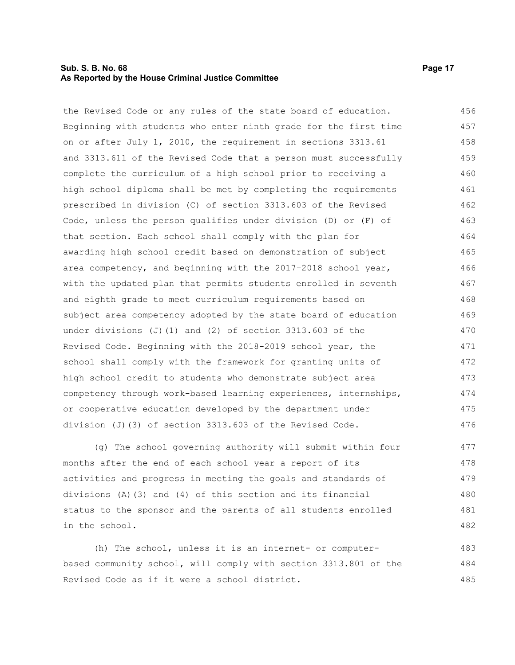#### **Sub. S. B. No. 68 Page 17 As Reported by the House Criminal Justice Committee**

the Revised Code or any rules of the state board of education. Beginning with students who enter ninth grade for the first time on or after July 1, 2010, the requirement in sections 3313.61 and 3313.611 of the Revised Code that a person must successfully complete the curriculum of a high school prior to receiving a high school diploma shall be met by completing the requirements prescribed in division (C) of section 3313.603 of the Revised Code, unless the person qualifies under division (D) or (F) of that section. Each school shall comply with the plan for awarding high school credit based on demonstration of subject area competency, and beginning with the 2017-2018 school year, with the updated plan that permits students enrolled in seventh and eighth grade to meet curriculum requirements based on subject area competency adopted by the state board of education under divisions  $(J)$  (1) and (2) of section 3313.603 of the Revised Code. Beginning with the 2018-2019 school year, the school shall comply with the framework for granting units of high school credit to students who demonstrate subject area competency through work-based learning experiences, internships, or cooperative education developed by the department under 456 457 458 459 460 461 462 463 464 465 466 467 468 469 470 471 472 473 474 475

(g) The school governing authority will submit within four months after the end of each school year a report of its activities and progress in meeting the goals and standards of divisions (A)(3) and (4) of this section and its financial status to the sponsor and the parents of all students enrolled in the school. 477 478 479 480 481 482

division (J)(3) of section 3313.603 of the Revised Code.

(h) The school, unless it is an internet- or computerbased community school, will comply with section 3313.801 of the Revised Code as if it were a school district. 483 484 485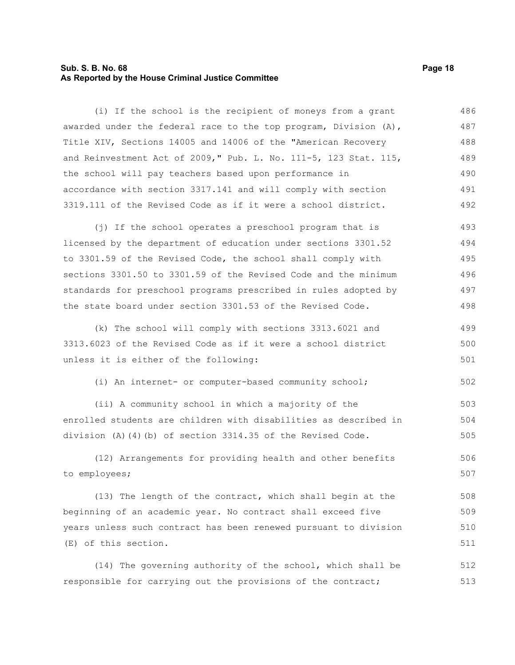#### **Sub. S. B. No. 68 Page 18 As Reported by the House Criminal Justice Committee**

(i) If the school is the recipient of moneys from a grant awarded under the federal race to the top program, Division (A), Title XIV, Sections 14005 and 14006 of the "American Recovery and Reinvestment Act of 2009," Pub. L. No. 111-5, 123 Stat. 115, the school will pay teachers based upon performance in accordance with section 3317.141 and will comply with section 3319.111 of the Revised Code as if it were a school district. 486 487 488 489 490 491 492

(j) If the school operates a preschool program that is licensed by the department of education under sections 3301.52 to 3301.59 of the Revised Code, the school shall comply with sections 3301.50 to 3301.59 of the Revised Code and the minimum standards for preschool programs prescribed in rules adopted by the state board under section 3301.53 of the Revised Code. 493 494 495 496 497 498

(k) The school will comply with sections 3313.6021 and 3313.6023 of the Revised Code as if it were a school district unless it is either of the following: 499 500 501

(i) An internet- or computer-based community school;

(ii) A community school in which a majority of the enrolled students are children with disabilities as described in division (A)(4)(b) of section 3314.35 of the Revised Code. 503 504 505

(12) Arrangements for providing health and other benefits to employees; 506 507

(13) The length of the contract, which shall begin at the beginning of an academic year. No contract shall exceed five years unless such contract has been renewed pursuant to division (E) of this section. 508 509 510 511

(14) The governing authority of the school, which shall be responsible for carrying out the provisions of the contract; 512 513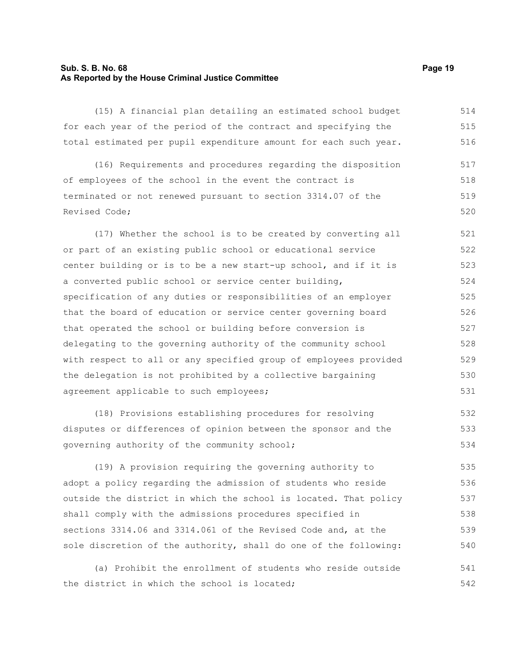#### **Sub. S. B. No. 68 Page 19 As Reported by the House Criminal Justice Committee**

(15) A financial plan detailing an estimated school budget for each year of the period of the contract and specifying the total estimated per pupil expenditure amount for each such year. 514 515 516

(16) Requirements and procedures regarding the disposition of employees of the school in the event the contract is terminated or not renewed pursuant to section 3314.07 of the Revised Code; 517 518 519 520

(17) Whether the school is to be created by converting all or part of an existing public school or educational service center building or is to be a new start-up school, and if it is a converted public school or service center building, specification of any duties or responsibilities of an employer that the board of education or service center governing board that operated the school or building before conversion is delegating to the governing authority of the community school with respect to all or any specified group of employees provided the delegation is not prohibited by a collective bargaining agreement applicable to such employees; 521 522 523 524 525 526 527 528 529 530 531

(18) Provisions establishing procedures for resolving disputes or differences of opinion between the sponsor and the governing authority of the community school; 532 533 534

(19) A provision requiring the governing authority to adopt a policy regarding the admission of students who reside outside the district in which the school is located. That policy shall comply with the admissions procedures specified in sections 3314.06 and 3314.061 of the Revised Code and, at the sole discretion of the authority, shall do one of the following: 535 536 537 538 539 540

(a) Prohibit the enrollment of students who reside outside the district in which the school is located; 541 542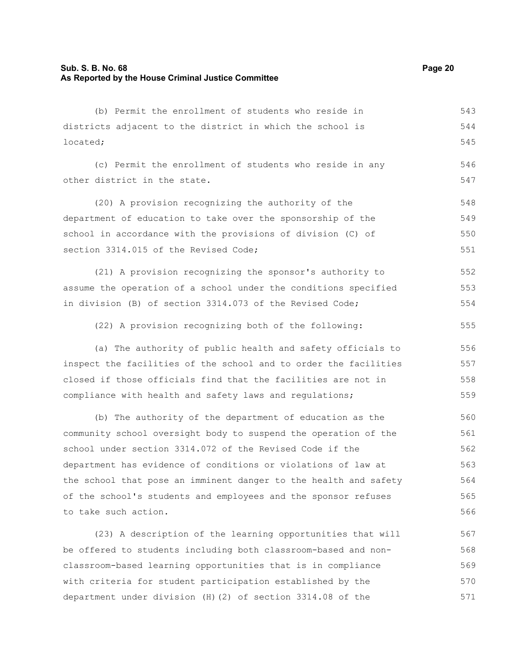#### **Sub. S. B. No. 68 Page 20 As Reported by the House Criminal Justice Committee**

(b) Permit the enrollment of students who reside in districts adjacent to the district in which the school is located; (c) Permit the enrollment of students who reside in any other district in the state. (20) A provision recognizing the authority of the department of education to take over the sponsorship of the school in accordance with the provisions of division (C) of section 3314.015 of the Revised Code; (21) A provision recognizing the sponsor's authority to assume the operation of a school under the conditions specified in division (B) of section 3314.073 of the Revised Code; (22) A provision recognizing both of the following: (a) The authority of public health and safety officials to inspect the facilities of the school and to order the facilities closed if those officials find that the facilities are not in compliance with health and safety laws and regulations; (b) The authority of the department of education as the community school oversight body to suspend the operation of the school under section 3314.072 of the Revised Code if the department has evidence of conditions or violations of law at the school that pose an imminent danger to the health and safety of the school's students and employees and the sponsor refuses to take such action. 543 544 545 546 547 548 549 550 551 552 553 554 555 556 557 558 559 560 561 562 563 564 565 566

(23) A description of the learning opportunities that will be offered to students including both classroom-based and nonclassroom-based learning opportunities that is in compliance with criteria for student participation established by the department under division (H)(2) of section 3314.08 of the 567 568 569 570 571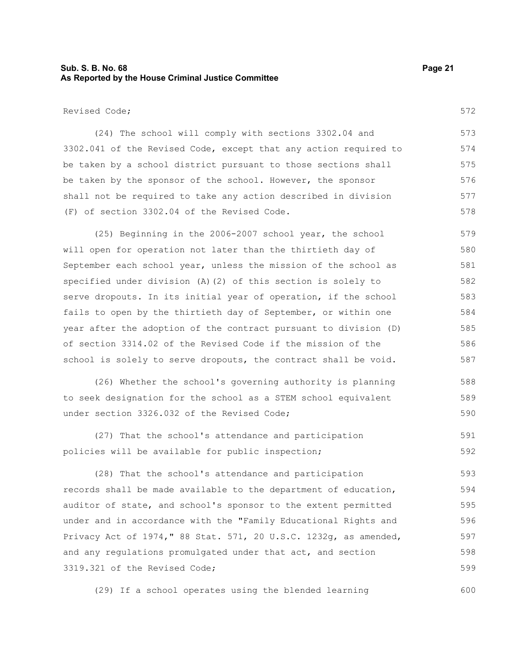### **Sub. S. B. No. 68 Page 21 As Reported by the House Criminal Justice Committee**

(24) The school will comply with sections 3302.04 and 3302.041 of the Revised Code, except that any action required to be taken by a school district pursuant to those sections shall be taken by the sponsor of the school. However, the sponsor shall not be required to take any action described in division (F) of section 3302.04 of the Revised Code. 573 574 575 576 577 578

(25) Beginning in the 2006-2007 school year, the school will open for operation not later than the thirtieth day of September each school year, unless the mission of the school as specified under division (A)(2) of this section is solely to serve dropouts. In its initial year of operation, if the school fails to open by the thirtieth day of September, or within one year after the adoption of the contract pursuant to division (D) of section 3314.02 of the Revised Code if the mission of the school is solely to serve dropouts, the contract shall be void. 579 580 581 582 583 584 585 586 587

(26) Whether the school's governing authority is planning to seek designation for the school as a STEM school equivalent under section 3326.032 of the Revised Code;

(27) That the school's attendance and participation policies will be available for public inspection; 591 592

(28) That the school's attendance and participation records shall be made available to the department of education, auditor of state, and school's sponsor to the extent permitted under and in accordance with the "Family Educational Rights and Privacy Act of 1974," 88 Stat. 571, 20 U.S.C. 1232g, as amended, and any regulations promulgated under that act, and section 3319.321 of the Revised Code; 593 594 595 596 597 598 599

(29) If a school operates using the blended learning 600

572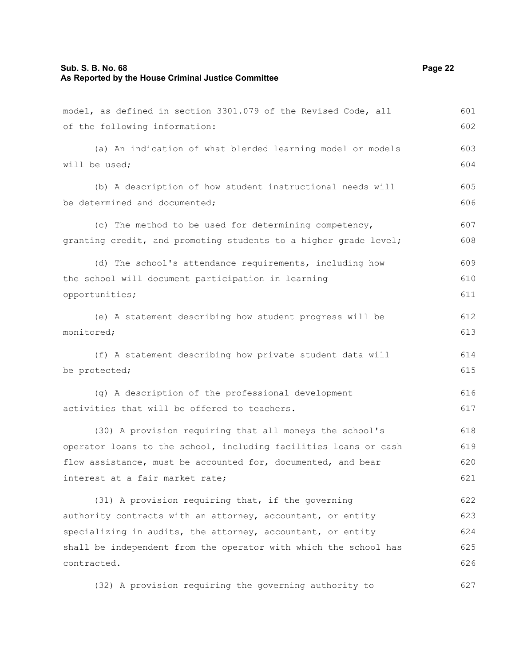# **Sub. S. B. No. 68 Page 22 As Reported by the House Criminal Justice Committee**

| model, as defined in section 3301.079 of the Revised Code, all   | 601 |
|------------------------------------------------------------------|-----|
| of the following information:                                    | 602 |
| (a) An indication of what blended learning model or models       | 603 |
| will be used;                                                    | 604 |
|                                                                  |     |
| (b) A description of how student instructional needs will        | 605 |
| be determined and documented;                                    | 606 |
| (c) The method to be used for determining competency,            | 607 |
| granting credit, and promoting students to a higher grade level; | 608 |
| (d) The school's attendance requirements, including how          | 609 |
| the school will document participation in learning               | 610 |
| opportunities;                                                   | 611 |
| (e) A statement describing how student progress will be          | 612 |
| monitored;                                                       | 613 |
| (f) A statement describing how private student data will         | 614 |
| be protected;                                                    | 615 |
| (g) A description of the professional development                | 616 |
| activities that will be offered to teachers.                     | 617 |
|                                                                  |     |
| (30) A provision requiring that all moneys the school's          | 618 |
| operator loans to the school, including facilities loans or cash | 619 |
| flow assistance, must be accounted for, documented, and bear     | 620 |
| interest at a fair market rate;                                  | 621 |
| (31) A provision requiring that, if the governing                | 622 |
| authority contracts with an attorney, accountant, or entity      | 623 |
| specializing in audits, the attorney, accountant, or entity      | 624 |
| shall be independent from the operator with which the school has | 625 |
| contracted.                                                      | 626 |
| (32) A provision requiring the governing authority to            | 627 |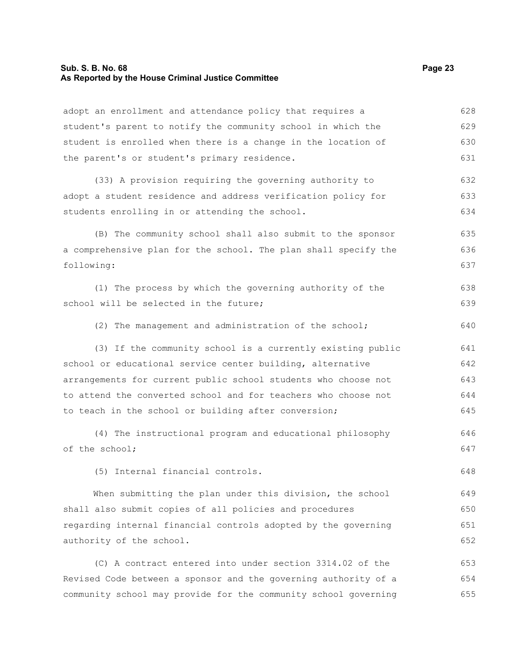#### **Sub. S. B. No. 68 Page 23 As Reported by the House Criminal Justice Committee**

adopt an enrollment and attendance policy that requires a student's parent to notify the community school in which the student is enrolled when there is a change in the location of the parent's or student's primary residence. (33) A provision requiring the governing authority to adopt a student residence and address verification policy for students enrolling in or attending the school. (B) The community school shall also submit to the sponsor a comprehensive plan for the school. The plan shall specify the following: (1) The process by which the governing authority of the school will be selected in the future; (2) The management and administration of the school; (3) If the community school is a currently existing public school or educational service center building, alternative arrangements for current public school students who choose not to attend the converted school and for teachers who choose not to teach in the school or building after conversion; (4) The instructional program and educational philosophy of the school; (5) Internal financial controls. When submitting the plan under this division, the school shall also submit copies of all policies and procedures regarding internal financial controls adopted by the governing authority of the school. (C) A contract entered into under section 3314.02 of the Revised Code between a sponsor and the governing authority of a 628 629 630 631 632 633 634 635 636 637 638 639 640 641 642 643 644 645 646 647 648 649 650 651 652 653 654

community school may provide for the community school governing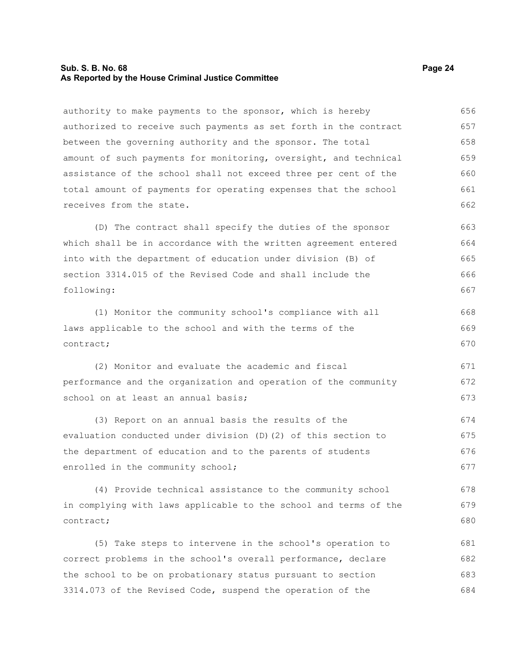#### **Sub. S. B. No. 68 Page 24 As Reported by the House Criminal Justice Committee**

authority to make payments to the sponsor, which is hereby authorized to receive such payments as set forth in the contract between the governing authority and the sponsor. The total amount of such payments for monitoring, oversight, and technical assistance of the school shall not exceed three per cent of the total amount of payments for operating expenses that the school receives from the state. 656 657 658 659 660 661 662

(D) The contract shall specify the duties of the sponsor which shall be in accordance with the written agreement entered into with the department of education under division (B) of section 3314.015 of the Revised Code and shall include the following: 663 664 665 666 667

(1) Monitor the community school's compliance with all laws applicable to the school and with the terms of the contract; 668 669 670

(2) Monitor and evaluate the academic and fiscal performance and the organization and operation of the community school on at least an annual basis; 671 672 673

(3) Report on an annual basis the results of the evaluation conducted under division (D)(2) of this section to the department of education and to the parents of students enrolled in the community school; 674 675 676 677

(4) Provide technical assistance to the community school in complying with laws applicable to the school and terms of the contract;

(5) Take steps to intervene in the school's operation to correct problems in the school's overall performance, declare the school to be on probationary status pursuant to section 3314.073 of the Revised Code, suspend the operation of the 681 682 683 684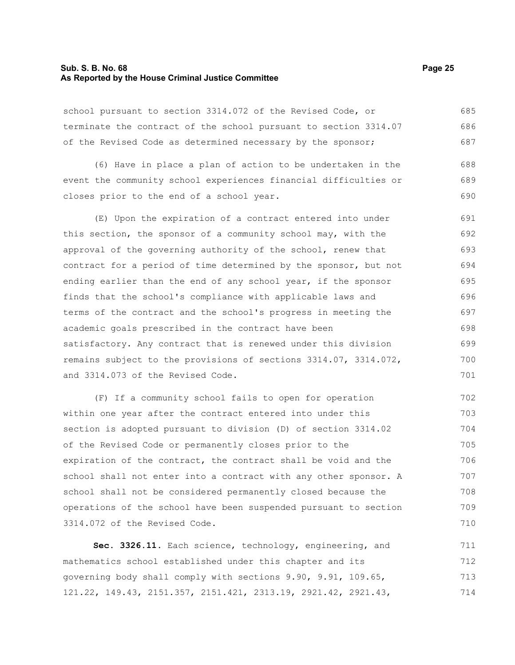#### **Sub. S. B. No. 68 Page 25 As Reported by the House Criminal Justice Committee**

school pursuant to section 3314.072 of the Revised Code, or terminate the contract of the school pursuant to section 3314.07 of the Revised Code as determined necessary by the sponsor; 685 686 687

(6) Have in place a plan of action to be undertaken in the event the community school experiences financial difficulties or closes prior to the end of a school year. 688 689 690

(E) Upon the expiration of a contract entered into under this section, the sponsor of a community school may, with the approval of the governing authority of the school, renew that contract for a period of time determined by the sponsor, but not ending earlier than the end of any school year, if the sponsor finds that the school's compliance with applicable laws and terms of the contract and the school's progress in meeting the academic goals prescribed in the contract have been satisfactory. Any contract that is renewed under this division remains subject to the provisions of sections 3314.07, 3314.072, and 3314.073 of the Revised Code. 691 692 693 694 695 696 697 698 699 700 701

(F) If a community school fails to open for operation within one year after the contract entered into under this section is adopted pursuant to division (D) of section 3314.02 of the Revised Code or permanently closes prior to the expiration of the contract, the contract shall be void and the school shall not enter into a contract with any other sponsor. A school shall not be considered permanently closed because the operations of the school have been suspended pursuant to section 3314.072 of the Revised Code. 702 703 704 705 706 707 708 709 710

**Sec. 3326.11.** Each science, technology, engineering, and mathematics school established under this chapter and its governing body shall comply with sections 9.90, 9.91, 109.65, 121.22, 149.43, 2151.357, 2151.421, 2313.19, 2921.42, 2921.43, 711 712 713 714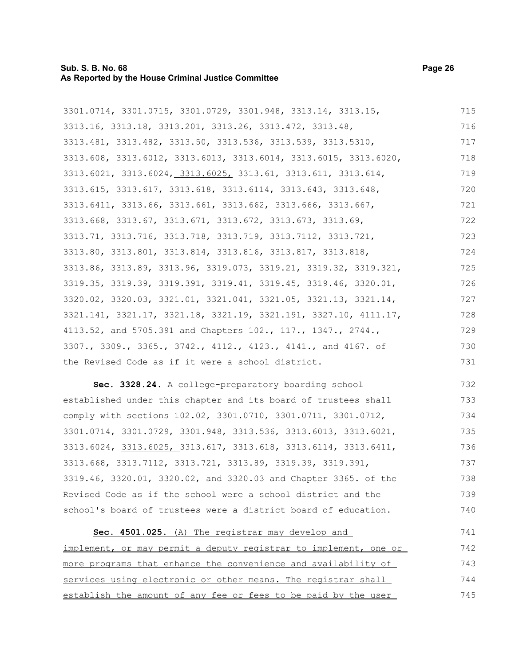| 3301.0714, 3301.0715, 3301.0729, 3301.948, 3313.14, 3313.15,     | 715 |
|------------------------------------------------------------------|-----|
| 3313.16, 3313.18, 3313.201, 3313.26, 3313.472, 3313.48,          | 716 |
| 3313.481, 3313.482, 3313.50, 3313.536, 3313.539, 3313.5310,      | 717 |
| 3313.608, 3313.6012, 3313.6013, 3313.6014, 3313.6015, 3313.6020, | 718 |
| 3313.6021, 3313.6024, 3313.6025, 3313.61, 3313.611, 3313.614,    | 719 |
| 3313.615, 3313.617, 3313.618, 3313.6114, 3313.643, 3313.648,     | 720 |
| 3313.6411, 3313.66, 3313.661, 3313.662, 3313.666, 3313.667,      | 721 |
| 3313.668, 3313.67, 3313.671, 3313.672, 3313.673, 3313.69,        | 722 |
| 3313.71, 3313.716, 3313.718, 3313.719, 3313.7112, 3313.721,      | 723 |
| 3313.80, 3313.801, 3313.814, 3313.816, 3313.817, 3313.818,       | 724 |
| 3313.86, 3313.89, 3313.96, 3319.073, 3319.21, 3319.32, 3319.321, | 725 |
| 3319.35, 3319.39, 3319.391, 3319.41, 3319.45, 3319.46, 3320.01,  | 726 |
| 3320.02, 3320.03, 3321.01, 3321.041, 3321.05, 3321.13, 3321.14,  | 727 |
| 3321.141, 3321.17, 3321.18, 3321.19, 3321.191, 3327.10, 4111.17, | 728 |
| 4113.52, and 5705.391 and Chapters 102., 117., 1347., 2744.,     | 729 |
| 3307., 3309., 3365., 3742., 4112., 4123., 4141., and 4167. of    | 730 |
| the Revised Code as if it were a school district.                | 731 |
| Sec. 3328.24. A college-preparatory boarding school              | 732 |
| established under this chapter and its board of trustees shall   | 733 |
| comply with sections 102.02, 3301.0710, 3301.0711, 3301.0712,    | 734 |
| 3301.0714, 3301.0729, 3301.948, 3313.536, 3313.6013, 3313.6021,  | 735 |
| 3313.6024, 3313.6025, 3313.617, 3313.618, 3313.6114, 3313.6411,  | 736 |
| 3313.668, 3313.7112, 3313.721, 3313.89, 3319.39, 3319.391,       | 737 |
| 3319.46, 3320.01, 3320.02, and 3320.03 and Chapter 3365. of the  | 738 |
|                                                                  |     |

school's board of trustees were a district board of education. **Sec. 4501.025.** (A) The registrar may develop and implement, or may permit a deputy registrar to implement, one or 740 741 742

Revised Code as if the school were a school district and the

more programs that enhance the convenience and availability of services using electronic or other means. The registrar shall establish the amount of any fee or fees to be paid by the user 743 744 745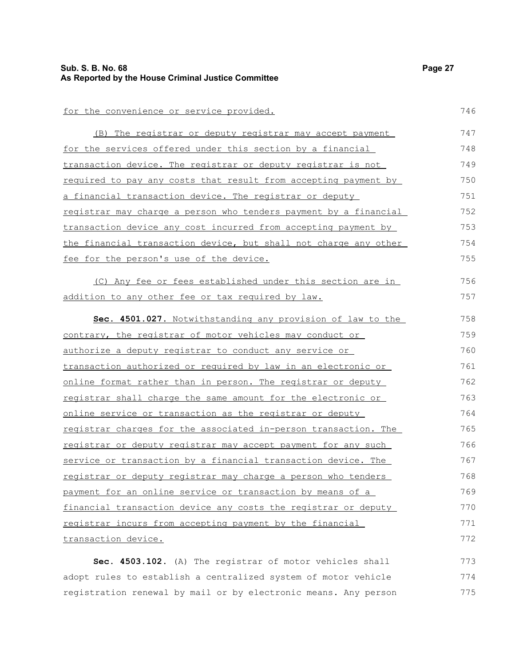# **Sub. S. B. No. 68** Page 27 **As Reported by the House Criminal Justice Committee**

| for the convenience or service provided.                               | 746 |
|------------------------------------------------------------------------|-----|
| (B) The registrar or deputy registrar may accept payment               | 747 |
| for the services offered under this section by a financial             | 748 |
| transaction device. The registrar or deputy registrar is not           | 749 |
| required to pay any costs that result from accepting payment by        | 750 |
| a financial transaction device. The registrar or deputy                | 751 |
| registrar may charge a person who tenders payment by a financial       | 752 |
| <u>transaction device any cost incurred from accepting payment by</u>  | 753 |
| the financial transaction device, but shall not charge any other       | 754 |
| fee for the person's use of the device.                                | 755 |
| (C) Any fee or fees established under this section are in              | 756 |
| addition to any other fee or tax required by law.                      | 757 |
| Sec. 4501.027. Notwithstanding any provision of law to the             | 758 |
| <u>contrary, the registrar of motor vehicles may conduct or </u>       | 759 |
| <u>authorize a deputy registrar to conduct any service or </u>         | 760 |
| transaction authorized or required by law in an electronic or          | 761 |
| online format rather than in person. The registrar or deputy           | 762 |
| registrar shall charge the same amount for the electronic or           | 763 |
| <u>online service or transaction as the registrar or deputy</u>        | 764 |
| <u>registrar charges for the associated in-person transaction. The</u> | 765 |
| registrar or deputy registrar may accept payment for any such          | 766 |
| <u>service or transaction by a financial transaction device. The</u>   | 767 |
| registrar or deputy registrar may charge a person who tenders          | 768 |
| payment for an online service or transaction by means of a             | 769 |
| financial transaction device any costs the registrar or deputy         | 770 |
| registrar incurs from accepting payment by the financial               | 771 |
| transaction device.                                                    | 772 |

**Sec. 4503.102.** (A) The registrar of motor vehicles shall adopt rules to establish a centralized system of motor vehicle registration renewal by mail or by electronic means. Any person 773 774 775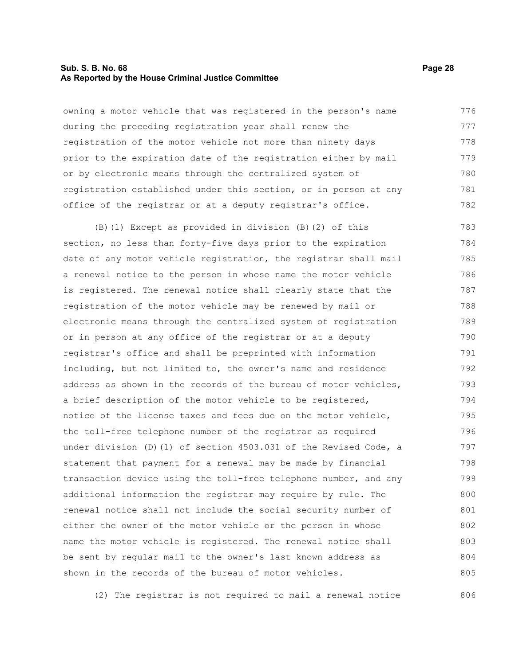#### **Sub. S. B. No. 68 Page 28 As Reported by the House Criminal Justice Committee**

owning a motor vehicle that was registered in the person's name during the preceding registration year shall renew the registration of the motor vehicle not more than ninety days prior to the expiration date of the registration either by mail or by electronic means through the centralized system of registration established under this section, or in person at any office of the registrar or at a deputy registrar's office. 776 777 778 779 780 781 782

(B)(1) Except as provided in division (B)(2) of this section, no less than forty-five days prior to the expiration date of any motor vehicle registration, the registrar shall mail a renewal notice to the person in whose name the motor vehicle is registered. The renewal notice shall clearly state that the registration of the motor vehicle may be renewed by mail or electronic means through the centralized system of registration or in person at any office of the registrar or at a deputy registrar's office and shall be preprinted with information including, but not limited to, the owner's name and residence address as shown in the records of the bureau of motor vehicles, a brief description of the motor vehicle to be registered, notice of the license taxes and fees due on the motor vehicle, the toll-free telephone number of the registrar as required under division (D)(1) of section 4503.031 of the Revised Code, a statement that payment for a renewal may be made by financial transaction device using the toll-free telephone number, and any additional information the registrar may require by rule. The renewal notice shall not include the social security number of either the owner of the motor vehicle or the person in whose name the motor vehicle is registered. The renewal notice shall be sent by regular mail to the owner's last known address as shown in the records of the bureau of motor vehicles. 783 784 785 786 787 788 789 790 791 792 793 794 795 796 797 798 799 800 801 802 803 804 805

(2) The registrar is not required to mail a renewal notice 806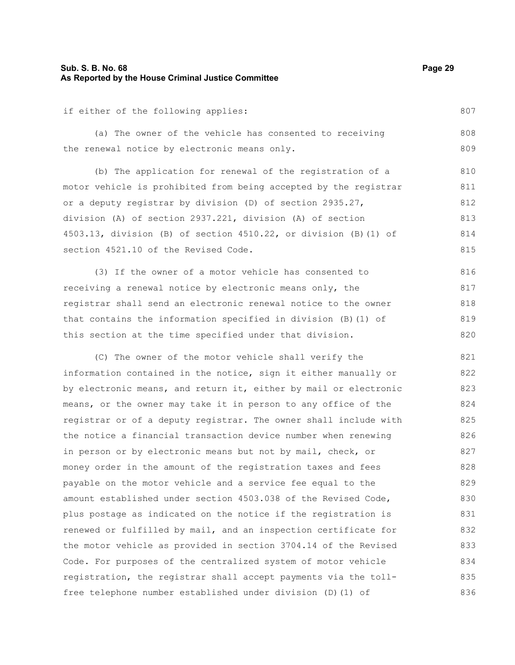#### **Sub. S. B. No. 68 Page 29 As Reported by the House Criminal Justice Committee**

if either of the following applies:

(a) The owner of the vehicle has consented to receiving the renewal notice by electronic means only. 808 809

(b) The application for renewal of the registration of a motor vehicle is prohibited from being accepted by the registrar or a deputy registrar by division (D) of section 2935.27, division (A) of section 2937.221, division (A) of section 4503.13, division (B) of section 4510.22, or division (B)(1) of section 4521.10 of the Revised Code. 810 811 812 813 814 815

(3) If the owner of a motor vehicle has consented to receiving a renewal notice by electronic means only, the registrar shall send an electronic renewal notice to the owner that contains the information specified in division (B)(1) of this section at the time specified under that division. 816 817 818 819 820

(C) The owner of the motor vehicle shall verify the information contained in the notice, sign it either manually or by electronic means, and return it, either by mail or electronic means, or the owner may take it in person to any office of the registrar or of a deputy registrar. The owner shall include with the notice a financial transaction device number when renewing in person or by electronic means but not by mail, check, or money order in the amount of the registration taxes and fees payable on the motor vehicle and a service fee equal to the amount established under section 4503.038 of the Revised Code, plus postage as indicated on the notice if the registration is renewed or fulfilled by mail, and an inspection certificate for the motor vehicle as provided in section 3704.14 of the Revised Code. For purposes of the centralized system of motor vehicle registration, the registrar shall accept payments via the tollfree telephone number established under division (D)(1) of 821 822 823 824 825 826 827 828 829 830 831 832 833 834 835 836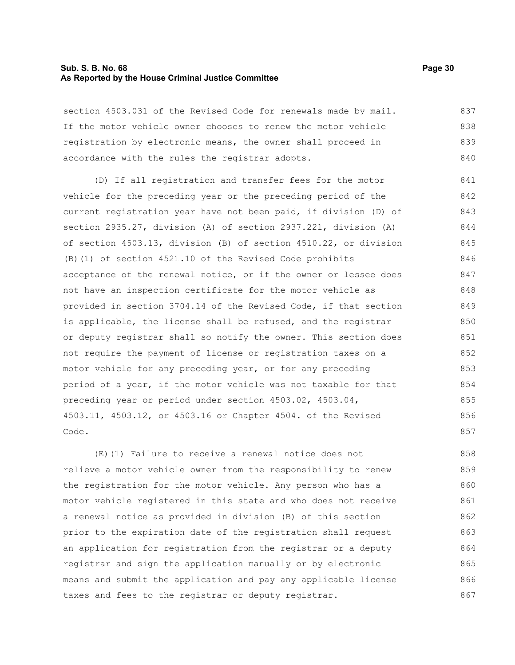#### **Sub. S. B. No. 68 Page 30 As Reported by the House Criminal Justice Committee**

section 4503.031 of the Revised Code for renewals made by mail. If the motor vehicle owner chooses to renew the motor vehicle registration by electronic means, the owner shall proceed in accordance with the rules the registrar adopts. 837 838 839 840

(D) If all registration and transfer fees for the motor vehicle for the preceding year or the preceding period of the current registration year have not been paid, if division (D) of section 2935.27, division (A) of section 2937.221, division (A) of section 4503.13, division (B) of section 4510.22, or division (B)(1) of section 4521.10 of the Revised Code prohibits acceptance of the renewal notice, or if the owner or lessee does not have an inspection certificate for the motor vehicle as provided in section 3704.14 of the Revised Code, if that section is applicable, the license shall be refused, and the registrar or deputy registrar shall so notify the owner. This section does not require the payment of license or registration taxes on a motor vehicle for any preceding year, or for any preceding period of a year, if the motor vehicle was not taxable for that preceding year or period under section 4503.02, 4503.04, 4503.11, 4503.12, or 4503.16 or Chapter 4504. of the Revised Code. 841 842 843 844 845 846 847 848 849 850 851 852 853 854 855 856 857

(E)(1) Failure to receive a renewal notice does not relieve a motor vehicle owner from the responsibility to renew the registration for the motor vehicle. Any person who has a motor vehicle registered in this state and who does not receive a renewal notice as provided in division (B) of this section prior to the expiration date of the registration shall request an application for registration from the registrar or a deputy registrar and sign the application manually or by electronic means and submit the application and pay any applicable license taxes and fees to the registrar or deputy registrar. 858 859 860 861 862 863 864 865 866 867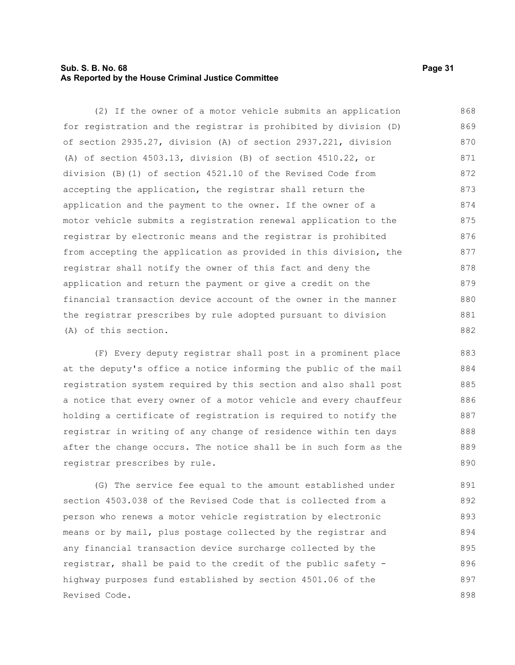#### **Sub. S. B. No. 68 Page 31 As Reported by the House Criminal Justice Committee**

(2) If the owner of a motor vehicle submits an application for registration and the registrar is prohibited by division (D) of section 2935.27, division (A) of section 2937.221, division (A) of section 4503.13, division (B) of section 4510.22, or division (B)(1) of section 4521.10 of the Revised Code from accepting the application, the registrar shall return the application and the payment to the owner. If the owner of a motor vehicle submits a registration renewal application to the registrar by electronic means and the registrar is prohibited from accepting the application as provided in this division, the registrar shall notify the owner of this fact and deny the application and return the payment or give a credit on the financial transaction device account of the owner in the manner the registrar prescribes by rule adopted pursuant to division (A) of this section. 868 869 870 871 872 873 874 875 876 877 878 879 880 881 882

(F) Every deputy registrar shall post in a prominent place at the deputy's office a notice informing the public of the mail registration system required by this section and also shall post a notice that every owner of a motor vehicle and every chauffeur holding a certificate of registration is required to notify the registrar in writing of any change of residence within ten days after the change occurs. The notice shall be in such form as the registrar prescribes by rule.

(G) The service fee equal to the amount established under section 4503.038 of the Revised Code that is collected from a person who renews a motor vehicle registration by electronic means or by mail, plus postage collected by the registrar and any financial transaction device surcharge collected by the registrar, shall be paid to the credit of the public safety highway purposes fund established by section 4501.06 of the Revised Code. 891 892 893 894 895 896 897 898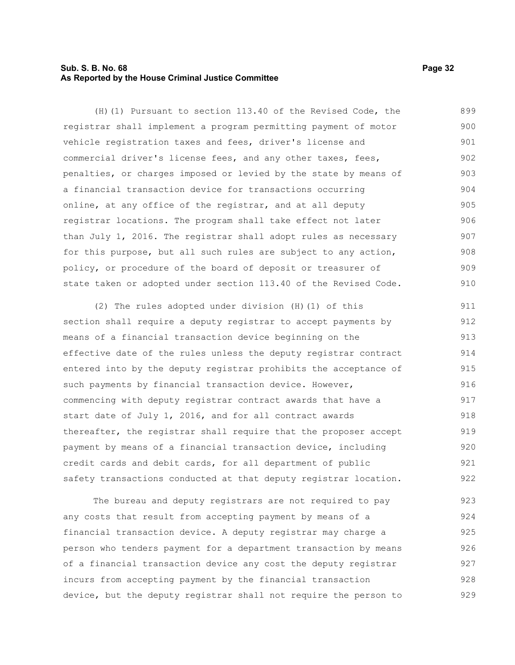#### **Sub. S. B. No. 68 Page 32 As Reported by the House Criminal Justice Committee**

(H)(1) Pursuant to section 113.40 of the Revised Code, the registrar shall implement a program permitting payment of motor vehicle registration taxes and fees, driver's license and commercial driver's license fees, and any other taxes, fees, penalties, or charges imposed or levied by the state by means of a financial transaction device for transactions occurring online, at any office of the registrar, and at all deputy registrar locations. The program shall take effect not later than July 1, 2016. The registrar shall adopt rules as necessary for this purpose, but all such rules are subject to any action, policy, or procedure of the board of deposit or treasurer of state taken or adopted under section 113.40 of the Revised Code. 899 900 901 902 903 904 905 906 907 908 909 910

(2) The rules adopted under division (H)(1) of this section shall require a deputy registrar to accept payments by means of a financial transaction device beginning on the effective date of the rules unless the deputy registrar contract entered into by the deputy registrar prohibits the acceptance of such payments by financial transaction device. However, commencing with deputy registrar contract awards that have a start date of July 1, 2016, and for all contract awards thereafter, the registrar shall require that the proposer accept payment by means of a financial transaction device, including credit cards and debit cards, for all department of public safety transactions conducted at that deputy registrar location. 911 912 913 914 915 916 917 918 919 920 921 922

The bureau and deputy registrars are not required to pay any costs that result from accepting payment by means of a financial transaction device. A deputy registrar may charge a person who tenders payment for a department transaction by means of a financial transaction device any cost the deputy registrar incurs from accepting payment by the financial transaction device, but the deputy registrar shall not require the person to 923 924 925 926 927 928 929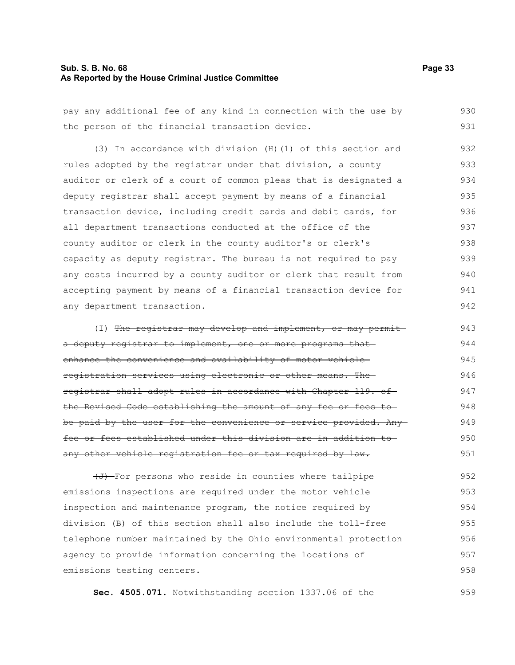#### **Sub. S. B. No. 68 Page 33 As Reported by the House Criminal Justice Committee**

pay any additional fee of any kind in connection with the use by the person of the financial transaction device. (3) In accordance with division (H)(1) of this section and rules adopted by the registrar under that division, a county

auditor or clerk of a court of common pleas that is designated a deputy registrar shall accept payment by means of a financial transaction device, including credit cards and debit cards, for all department transactions conducted at the office of the county auditor or clerk in the county auditor's or clerk's capacity as deputy registrar. The bureau is not required to pay any costs incurred by a county auditor or clerk that result from accepting payment by means of a financial transaction device for any department transaction. 934 935 936 937 938 939 940 941 942

(I) The registrar may develop and implement, or may permit a deputy registrar to implement, one or more programs that enhance the convenience and availability of motor vehicleregistration services using electronic or other means. The registrar shall adopt rules in accordance with Chapter 119. of the Revised Code establishing the amount of any fee or fees to be paid by the user for the convenience or service provided. Anyfee or fees established under this division are in addition to any other vehicle registration fee or tax required by law. 943 944 945 946 947 948 949 950 951

 $\overline{J}$  For persons who reside in counties where tailpipe emissions inspections are required under the motor vehicle inspection and maintenance program, the notice required by division (B) of this section shall also include the toll-free telephone number maintained by the Ohio environmental protection agency to provide information concerning the locations of emissions testing centers. 952 953 954 955 956 957 958

**Sec. 4505.071.** Notwithstanding section 1337.06 of the

930 931

932 933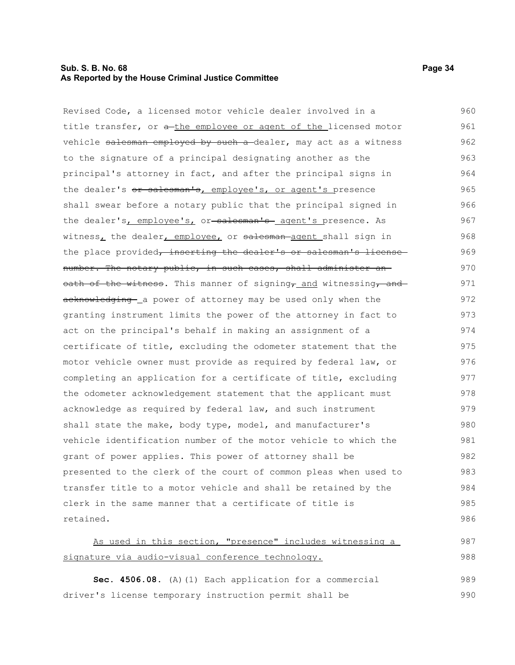#### **Sub. S. B. No. 68 Page 34 As Reported by the House Criminal Justice Committee**

Revised Code, a licensed motor vehicle dealer involved in a title transfer, or  $a$ -the employee or agent of the licensed motor vehicle salesman employed by such a dealer, may act as a witness to the signature of a principal designating another as the

principal's attorney in fact, and after the principal signs in the dealer's or salesman's, employee's, or agent's presence shall swear before a notary public that the principal signed in the dealer's, employee's, or-salesman's-agent's presence. As witness, the dealer, employee, or salesman agent shall sign in the place provided, inserting the dealer's or salesman's license number. The notary public, in such cases, shall administer an $o$ ath of the witness. This manner of signing, and witnessing, and acknowledging a power of attorney may be used only when the granting instrument limits the power of the attorney in fact to act on the principal's behalf in making an assignment of a certificate of title, excluding the odometer statement that the motor vehicle owner must provide as required by federal law, or completing an application for a certificate of title, excluding the odometer acknowledgement statement that the applicant must acknowledge as required by federal law, and such instrument shall state the make, body type, model, and manufacturer's vehicle identification number of the motor vehicle to which the grant of power applies. This power of attorney shall be presented to the clerk of the court of common pleas when used to transfer title to a motor vehicle and shall be retained by the clerk in the same manner that a certificate of title is retained. 963 964 965 966 967 968 969 970 971 972 973 974 975 976 977 978 979 980 981 982 983 984 985 986

#### As used in this section, "presence" includes witnessing a signature via audio-visual conference technology. 987 988

**Sec. 4506.08.** (A)(1) Each application for a commercial driver's license temporary instruction permit shall be 989 990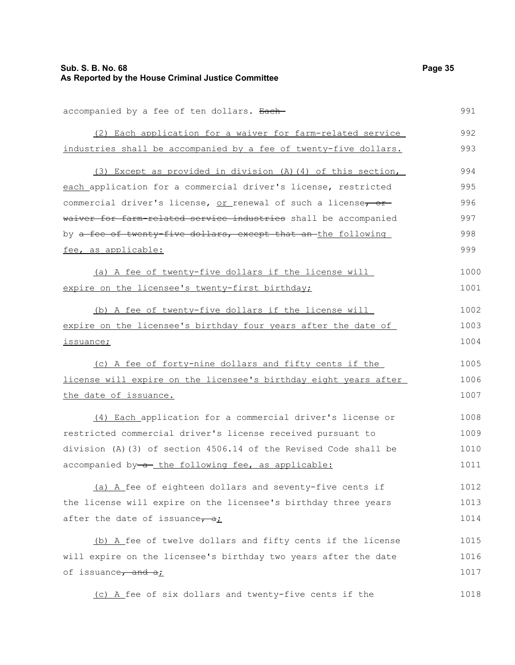#### **Sub. S. B. No. 68 Page 35 As Reported by the House Criminal Justice Committee**

accompanied by a fee of ten dollars. Each-(2) Each application for a waiver for farm-related service industries shall be accompanied by a fee of twenty-five dollars. (3) Except as provided in division (A)(4) of this section, each application for a commercial driver's license, restricted commercial driver's license, or renewal of such a license, or waiver for farm-related service industries shall be accompanied by a fee of twenty-five dollars, except that an-the following fee, as applicable: (a) A fee of twenty-five dollars if the license will expire on the licensee's twenty-first birthday; (b) A fee of twenty-five dollars if the license will

expire on the licensee's birthday four years after the date of issuance; (c) A fee of forty-nine dollars and fifty cents if the 1003 1004 1005

license will expire on the licensee's birthday eight years after the date of issuance.

(4) Each application for a commercial driver's license or restricted commercial driver's license received pursuant to division (A)(3) of section 4506.14 of the Revised Code shall be accompanied by-a- the following fee, as applicable: 1008 1009 1010 1011

(a) A fee of eighteen dollars and seventy-five cents if the license will expire on the licensee's birthday three years after the date of issuance $\frac{1}{2}$ ; 1012 1013 1014

(b) A fee of twelve dollars and fifty cents if the license will expire on the licensee's birthday two years after the date of issuance, and a; 1015 1016 1017

(c) A fee of six dollars and twenty-five cents if the

991

992 993

1000 1001

1002

- 
- 1018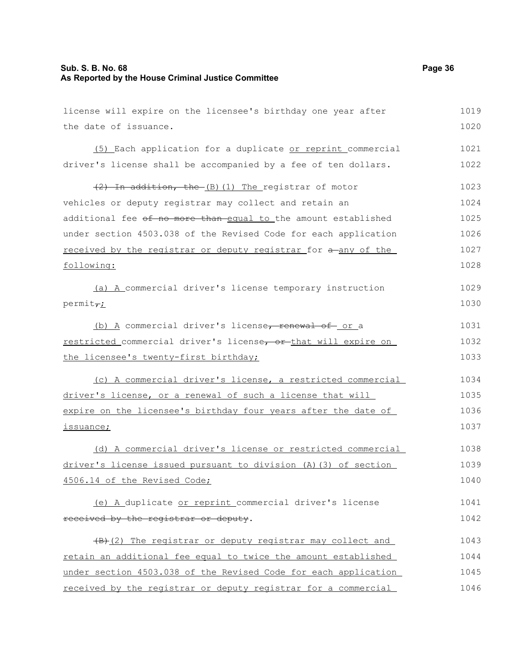```
license will expire on the licensee's birthday one year after
the date of issuance. 
     (5) Each application for a duplicate or reprint commercial
driver's license shall be accompanied by a fee of ten dollars.
     (2) In addition, the (B)(1) The registrar of motor
vehicles or deputy registrar may collect and retain an
additional fee of no more than equal to the amount established
under section 4503.038 of the Revised Code for each application
received by the registrar or deputy registrar for a any of the
following:
     (a) A commercial driver's license temporary instruction
permit\tau_L(b) A commercial driver's license, renewal of or a
restricted commercial driver's license, or that will expire on
the licensee's twenty-first birthday;
     (c) A commercial driver's license, a restricted commercial
driver's license, or a renewal of such a license that will
expire on the licensee's birthday four years after the date of
issuance;
     (d) A commercial driver's license or restricted commercial
driver's license issued pursuant to division (A)(3) of section
4506.14 of the Revised Code;
     (e) A duplicate or reprint commercial driver's license
received by the registrar or deputy.
     (B)(2) The registrar or deputy registrar may collect and
retain an additional fee equal to twice the amount established
under section 4503.038 of the Revised Code for each application
received by the registrar or deputy registrar for a commercial
                                                                           1019
                                                                           1020
                                                                          1021
                                                                          1022
                                                                          1023
                                                                          1024
                                                                          1025
                                                                          1026
                                                                          1027
                                                                           1028
                                                                          1029
                                                                           1030
                                                                          1031
                                                                          1032
                                                                          1033
                                                                          1034
                                                                          1035
                                                                          1036
                                                                          1037
                                                                          1038
                                                                          1039
                                                                           1040
                                                                          1041
                                                                           1042
                                                                          1043
                                                                          1044
                                                                          1045
                                                                          1046
```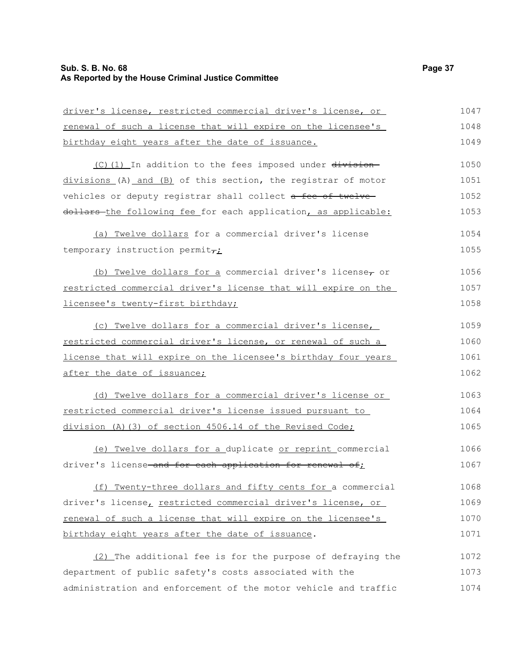| driver's license, restricted commercial driver's license, or          | 1047 |
|-----------------------------------------------------------------------|------|
| renewal of such a license that will expire on the licensee's          | 1048 |
| birthday eight years after the date of issuance.                      | 1049 |
| (C)(1) In addition to the fees imposed under division                 | 1050 |
| divisions (A) and (B) of this section, the registrar of motor         | 1051 |
| vehicles or deputy registrar shall collect a fee of twelve            | 1052 |
| dollars-the following fee for each application, as applicable:        | 1053 |
| (a) Twelve dollars for a commercial driver's license                  | 1054 |
| temporary instruction permitri                                        | 1055 |
| (b) Twelve dollars for a commercial driver's license <sub>r</sub> or  | 1056 |
| <u>restricted commercial driver's license that will expire on the</u> | 1057 |
| licensee's twenty-first birthday;                                     | 1058 |
| (c) Twelve dollars for a commercial driver's license,                 | 1059 |
| restricted commercial driver's license, or renewal of such a          | 1060 |
| license that will expire on the licensee's birthday four years        | 1061 |
| after the date of issuance;                                           | 1062 |
| (d) Twelve dollars for a commercial driver's license or               | 1063 |
| restricted commercial driver's license issued pursuant to             | 1064 |
| division (A) (3) of section 4506.14 of the Revised Code;              | 1065 |
| (e) Twelve dollars for a duplicate or reprint commercial              | 1066 |
| driver's license-and for each application for renewal of;             | 1067 |
| (f) Twenty-three dollars and fifty cents for a commercial             | 1068 |
| driver's license, restricted commercial driver's license, or          | 1069 |
| renewal of such a license that will expire on the licensee's          | 1070 |
| birthday eight years after the date of issuance.                      | 1071 |
| (2) The additional fee is for the purpose of defraying the            | 1072 |
| department of public safety's costs associated with the               | 1073 |
| administration and enforcement of the motor vehicle and traffic       | 1074 |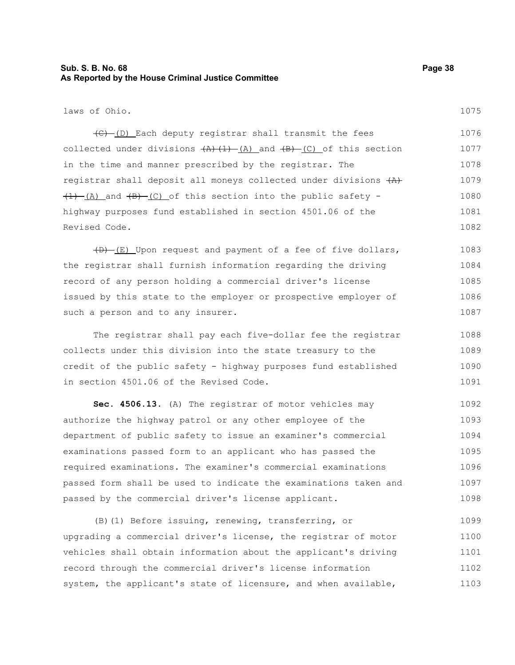## **Sub. S. B. No. 68 Page 38 As Reported by the House Criminal Justice Committee**

laws of Ohio.

1075

(C) (D) Each deputy registrar shall transmit the fees collected under divisions  $(A)$   $(1)$   $(A)$  and  $(B)$  (C) of this section in the time and manner prescribed by the registrar. The registrar shall deposit all moneys collected under divisions  $\{A\}$  $(1)$  (A) and  $(B)$  (C) of this section into the public safety highway purposes fund established in section 4501.06 of the Revised Code. 1076 1077 1078 1079 1080 1081 1082

 $(D)$  (E) Upon request and payment of a fee of five dollars, the registrar shall furnish information regarding the driving record of any person holding a commercial driver's license issued by this state to the employer or prospective employer of such a person and to any insurer. 1083 1084 1085 1086 1087

The registrar shall pay each five-dollar fee the registrar collects under this division into the state treasury to the credit of the public safety - highway purposes fund established in section 4501.06 of the Revised Code. 1088 1089 1090 1091

**Sec. 4506.13.** (A) The registrar of motor vehicles may authorize the highway patrol or any other employee of the department of public safety to issue an examiner's commercial examinations passed form to an applicant who has passed the required examinations. The examiner's commercial examinations passed form shall be used to indicate the examinations taken and passed by the commercial driver's license applicant. 1092 1093 1094 1095 1096 1097 1098

(B)(1) Before issuing, renewing, transferring, or upgrading a commercial driver's license, the registrar of motor vehicles shall obtain information about the applicant's driving record through the commercial driver's license information system, the applicant's state of licensure, and when available, 1099 1100 1101 1102 1103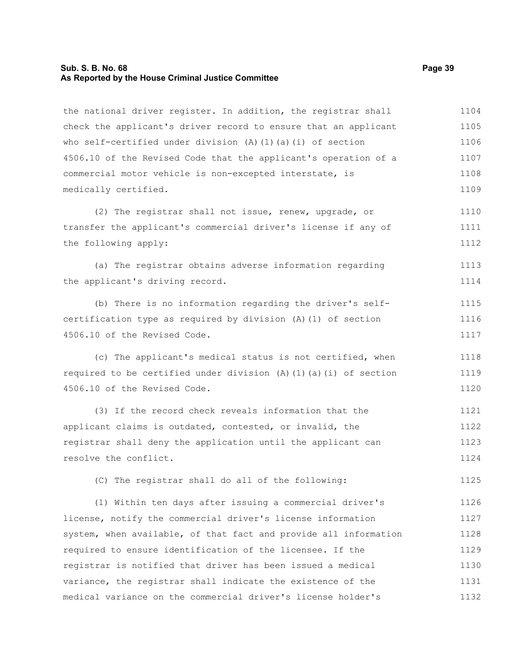#### **Sub. S. B. No. 68 Page 39 As Reported by the House Criminal Justice Committee**

the national driver register. In addition, the registrar shall check the applicant's driver record to ensure that an applicant who self-certified under division  $(A)$   $(1)$   $(a)$   $(i)$  of section 4506.10 of the Revised Code that the applicant's operation of a commercial motor vehicle is non-excepted interstate, is medically certified. (2) The registrar shall not issue, renew, upgrade, or transfer the applicant's commercial driver's license if any of the following apply: (a) The registrar obtains adverse information regarding the applicant's driving record. (b) There is no information regarding the driver's selfcertification type as required by division (A)(1) of section 4506.10 of the Revised Code. (c) The applicant's medical status is not certified, when required to be certified under division  $(A)$   $(1)$   $(a)$   $(i)$  of section 4506.10 of the Revised Code. (3) If the record check reveals information that the applicant claims is outdated, contested, or invalid, the registrar shall deny the application until the applicant can resolve the conflict. (C) The registrar shall do all of the following: (1) Within ten days after issuing a commercial driver's license, notify the commercial driver's license information system, when available, of that fact and provide all information required to ensure identification of the licensee. If the 1104 1105 1106 1107 1108 1109 1110 1111 1112 1113 1114 1115 1116 1117 1118 1119 1120 1121 1122 1123 1124 1125 1126 1127 1128 1129

registrar is notified that driver has been issued a medical variance, the registrar shall indicate the existence of the medical variance on the commercial driver's license holder's 1130 1131 1132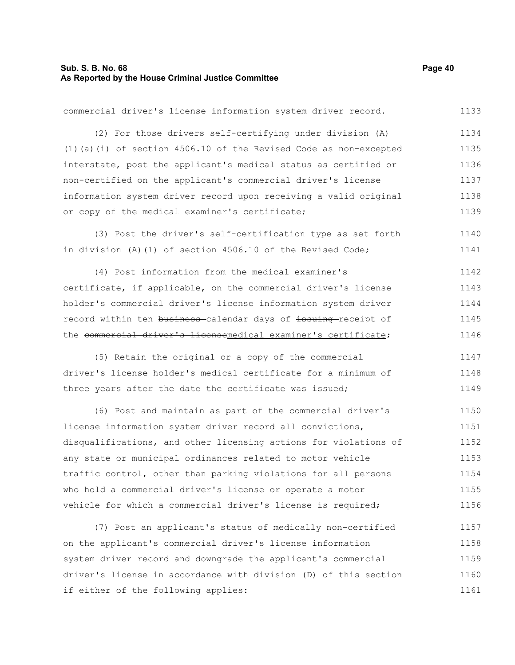# **Sub. S. B. No. 68** Page 40 **As Reported by the House Criminal Justice Committee**

| commercial driver's license information system driver record.        | 1133 |
|----------------------------------------------------------------------|------|
| (2) For those drivers self-certifying under division (A)             | 1134 |
| $(1)$ (a) (i) of section 4506.10 of the Revised Code as non-excepted | 1135 |
| interstate, post the applicant's medical status as certified or      | 1136 |
| non-certified on the applicant's commercial driver's license         | 1137 |
| information system driver record upon receiving a valid original     | 1138 |
| or copy of the medical examiner's certificate;                       | 1139 |
| (3) Post the driver's self-certification type as set forth           | 1140 |
| in division (A)(1) of section 4506.10 of the Revised Code;           | 1141 |
| (4) Post information from the medical examiner's                     | 1142 |
| certificate, if applicable, on the commercial driver's license       | 1143 |
| holder's commercial driver's license information system driver       | 1144 |
| record within ten business-calendar days of issuing-receipt of       | 1145 |
| the commercial driver's licensemedical examiner's certificate;       | 1146 |
| (5) Retain the original or a copy of the commercial                  | 1147 |
| driver's license holder's medical certificate for a minimum of       | 1148 |
| three years after the date the certificate was issued;               | 1149 |
| (6) Post and maintain as part of the commercial driver's             | 1150 |
| license information system driver record all convictions,            | 1151 |
| disqualifications, and other licensing actions for violations of     | 1152 |
| any state or municipal ordinances related to motor vehicle           | 1153 |
| traffic control, other than parking violations for all persons       | 1154 |
| who hold a commercial driver's license or operate a motor            | 1155 |
| vehicle for which a commercial driver's license is required;         | 1156 |
| (7) Post an applicant's status of medically non-certified            | 1157 |
| on the applicant's commercial driver's license information           | 1158 |
| system driver record and downgrade the applicant's commercial        | 1159 |
| driver's license in accordance with division (D) of this section     | 1160 |
| if either of the following applies:                                  | 1161 |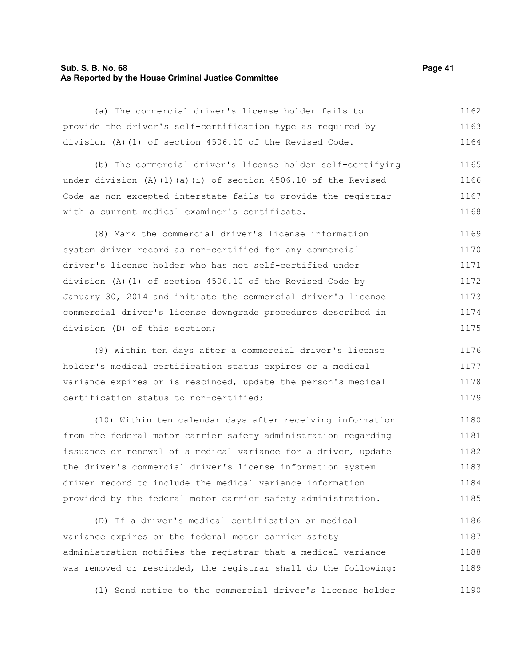#### **Sub. S. B. No. 68 Page 41 As Reported by the House Criminal Justice Committee**

(a) The commercial driver's license holder fails to provide the driver's self-certification type as required by division (A)(1) of section 4506.10 of the Revised Code. 1162 1163 1164

(b) The commercial driver's license holder self-certifying under division (A)(1)(a)(i) of section  $4506.10$  of the Revised Code as non-excepted interstate fails to provide the registrar with a current medical examiner's certificate. 1165 1166 1167 1168

(8) Mark the commercial driver's license information system driver record as non-certified for any commercial driver's license holder who has not self-certified under division (A)(1) of section 4506.10 of the Revised Code by January 30, 2014 and initiate the commercial driver's license commercial driver's license downgrade procedures described in division (D) of this section; 1169 1170 1171 1172 1173 1174 1175

(9) Within ten days after a commercial driver's license holder's medical certification status expires or a medical variance expires or is rescinded, update the person's medical certification status to non-certified; 1176 1177 1178 1179

(10) Within ten calendar days after receiving information from the federal motor carrier safety administration regarding issuance or renewal of a medical variance for a driver, update the driver's commercial driver's license information system driver record to include the medical variance information provided by the federal motor carrier safety administration. 1180 1181 1182 1183 1184 1185

(D) If a driver's medical certification or medical variance expires or the federal motor carrier safety administration notifies the registrar that a medical variance was removed or rescinded, the registrar shall do the following: 1186 1187 1188 1189

(1) Send notice to the commercial driver's license holder 1190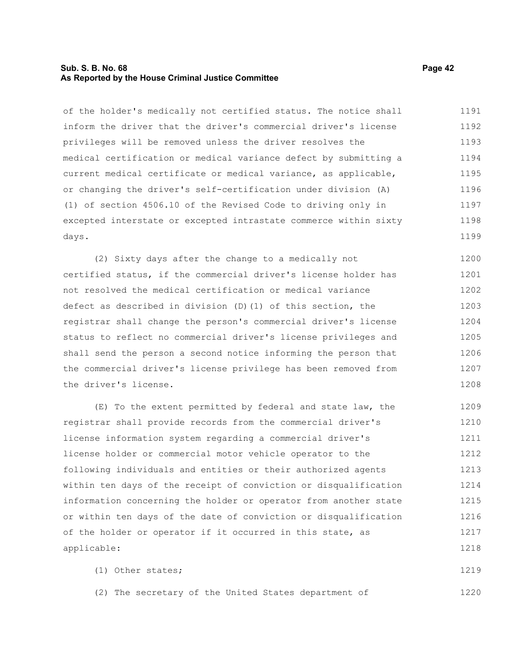#### **Sub. S. B. No. 68 Page 42 As Reported by the House Criminal Justice Committee**

of the holder's medically not certified status. The notice shall inform the driver that the driver's commercial driver's license privileges will be removed unless the driver resolves the medical certification or medical variance defect by submitting a current medical certificate or medical variance, as applicable, or changing the driver's self-certification under division (A) (1) of section 4506.10 of the Revised Code to driving only in excepted interstate or excepted intrastate commerce within sixty days. 1191 1192 1193 1194 1195 1196 1197 1198 1199

(2) Sixty days after the change to a medically not certified status, if the commercial driver's license holder has not resolved the medical certification or medical variance defect as described in division (D)(1) of this section, the registrar shall change the person's commercial driver's license status to reflect no commercial driver's license privileges and shall send the person a second notice informing the person that the commercial driver's license privilege has been removed from the driver's license. 1200 1201 1202 1203 1204 1205 1206 1207 1208

(E) To the extent permitted by federal and state law, the registrar shall provide records from the commercial driver's license information system regarding a commercial driver's license holder or commercial motor vehicle operator to the following individuals and entities or their authorized agents within ten days of the receipt of conviction or disqualification information concerning the holder or operator from another state or within ten days of the date of conviction or disqualification of the holder or operator if it occurred in this state, as applicable: 1209 1210 1211 1212 1213 1214 1215 1216 1217 1218

(1) Other states; 1219

(2) The secretary of the United States department of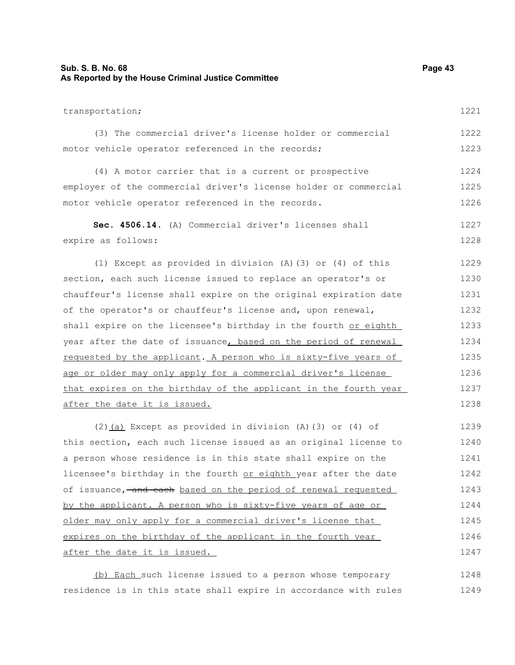#### **Sub. S. B. No. 68 Page 43 As Reported by the House Criminal Justice Committee**

| transportation;                                                  | 1221 |
|------------------------------------------------------------------|------|
| (3) The commercial driver's license holder or commercial         | 1222 |
| motor vehicle operator referenced in the records;                | 1223 |
| (4) A motor carrier that is a current or prospective             | 1224 |
| employer of the commercial driver's license holder or commercial | 1225 |
| motor vehicle operator referenced in the records.                | 1226 |
| Sec. 4506.14. (A) Commercial driver's licenses shall             | 1227 |
| expire as follows:                                               | 1228 |
| (1) Except as provided in division (A) $(3)$ or $(4)$ of this    | 1229 |
| section, each such license issued to replace an operator's or    | 1230 |
| chauffeur's license shall expire on the original expiration date | 1231 |
| of the operator's or chauffeur's license and, upon renewal,      | 1232 |
| shall expire on the licensee's birthday in the fourth or eighth  | 1233 |
| year after the date of issuance, based on the period of renewal  | 1234 |
| requested by the applicant. A person who is sixty-five years of  | 1235 |

requested by the applicant. A person who is sixty-five years of age or older may only apply for a commercial driver's license that expires on the birthday of the applicant in the fourth year after the date it is issued. 1236 1237 1238

(2) $(a)$  Except as provided in division (A)(3) or (4) of this section, each such license issued as an original license to a person whose residence is in this state shall expire on the licensee's birthday in the fourth or eighth year after the date of issuance, and each based on the period of renewal requested by the applicant. A person who is sixty-five years of age or older may only apply for a commercial driver's license that expires on the birthday of the applicant in the fourth year after the date it is issued. 1239 1240 1241 1242 1243 1244 1245 1246 1247

(b) Each such license issued to a person whose temporary residence is in this state shall expire in accordance with rules 1248 1249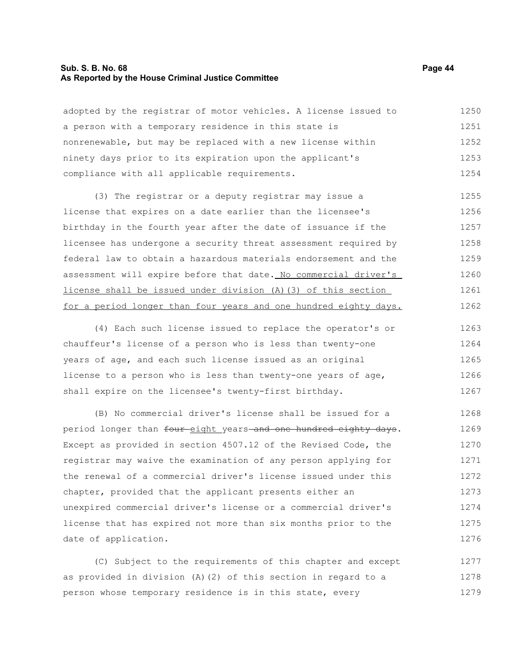#### **Sub. S. B. No. 68 Page 44 As Reported by the House Criminal Justice Committee**

adopted by the registrar of motor vehicles. A license issued to a person with a temporary residence in this state is nonrenewable, but may be replaced with a new license within ninety days prior to its expiration upon the applicant's compliance with all applicable requirements. 1250 1251 1252 1253 1254

(3) The registrar or a deputy registrar may issue a license that expires on a date earlier than the licensee's birthday in the fourth year after the date of issuance if the licensee has undergone a security threat assessment required by federal law to obtain a hazardous materials endorsement and the assessment will expire before that date. No commercial driver's license shall be issued under division (A)(3) of this section for a period longer than four years and one hundred eighty days. 1255 1256 1257 1258 1259 1260 1261 1262

(4) Each such license issued to replace the operator's or chauffeur's license of a person who is less than twenty-one years of age, and each such license issued as an original license to a person who is less than twenty-one years of age, shall expire on the licensee's twenty-first birthday. 1263 1264 1265 1266 1267

(B) No commercial driver's license shall be issued for a period longer than four eight years and one hundred eighty days. Except as provided in section 4507.12 of the Revised Code, the registrar may waive the examination of any person applying for the renewal of a commercial driver's license issued under this chapter, provided that the applicant presents either an unexpired commercial driver's license or a commercial driver's license that has expired not more than six months prior to the date of application. 1268 1269 1270 1271 1272 1273 1274 1275 1276

(C) Subject to the requirements of this chapter and except as provided in division (A)(2) of this section in regard to a person whose temporary residence is in this state, every 1277 1278 1279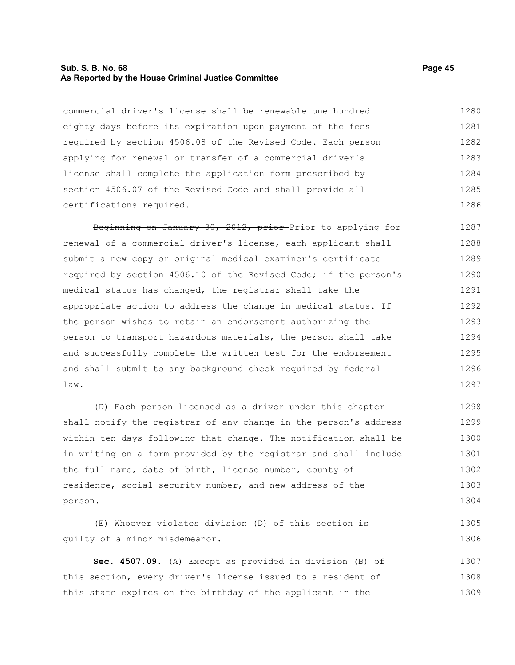#### **Sub. S. B. No. 68 Page 45 As Reported by the House Criminal Justice Committee**

commercial driver's license shall be renewable one hundred eighty days before its expiration upon payment of the fees required by section 4506.08 of the Revised Code. Each person applying for renewal or transfer of a commercial driver's license shall complete the application form prescribed by section 4506.07 of the Revised Code and shall provide all certifications required. 1280 1281 1282 1283 1284 1285 1286

Beginning on January 30, 2012, prior Prior to applying for renewal of a commercial driver's license, each applicant shall submit a new copy or original medical examiner's certificate required by section 4506.10 of the Revised Code; if the person's medical status has changed, the registrar shall take the appropriate action to address the change in medical status. If the person wishes to retain an endorsement authorizing the person to transport hazardous materials, the person shall take and successfully complete the written test for the endorsement and shall submit to any background check required by federal law. 1287 1288 1289 1290 1291 1292 1293 1294 1295 1296 1297

(D) Each person licensed as a driver under this chapter shall notify the registrar of any change in the person's address within ten days following that change. The notification shall be in writing on a form provided by the registrar and shall include the full name, date of birth, license number, county of residence, social security number, and new address of the person. 1298 1299 1300 1301 1302 1303 1304

(E) Whoever violates division (D) of this section is guilty of a minor misdemeanor. 1305 1306

**Sec. 4507.09.** (A) Except as provided in division (B) of this section, every driver's license issued to a resident of this state expires on the birthday of the applicant in the 1307 1308 1309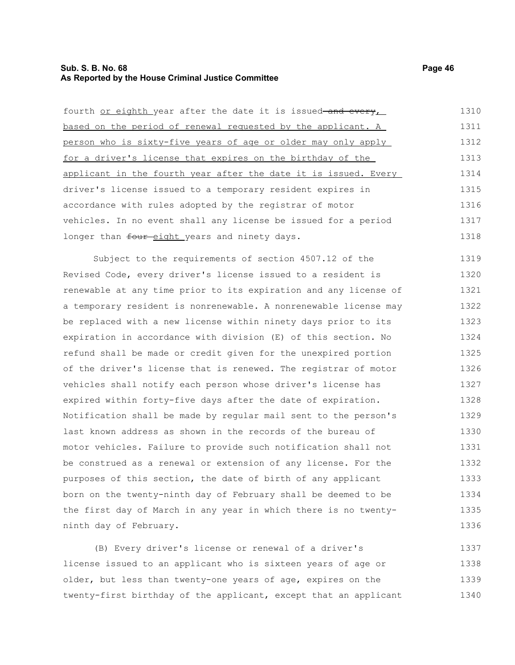fourth or eighth year after the date it is issued-and every, based on the period of renewal requested by the applicant. A person who is sixty-five years of age or older may only apply for a driver's license that expires on the birthday of the applicant in the fourth year after the date it is issued. Every driver's license issued to a temporary resident expires in accordance with rules adopted by the registrar of motor vehicles. In no event shall any license be issued for a period longer than four-eight years and ninety days. Subject to the requirements of section 4507.12 of the Revised Code, every driver's license issued to a resident is renewable at any time prior to its expiration and any license of a temporary resident is nonrenewable. A nonrenewable license may be replaced with a new license within ninety days prior to its expiration in accordance with division (E) of this section. No refund shall be made or credit given for the unexpired portion of the driver's license that is renewed. The registrar of motor vehicles shall notify each person whose driver's license has expired within forty-five days after the date of expiration. Notification shall be made by regular mail sent to the person's last known address as shown in the records of the bureau of motor vehicles. Failure to provide such notification shall not be construed as a renewal or extension of any license. For the purposes of this section, the date of birth of any applicant born on the twenty-ninth day of February shall be deemed to be the first day of March in any year in which there is no twentyninth day of February. 1310 1311 1312 1313 1314 1315 1316 1317 1318 1319 1320 1321 1322 1323 1324 1325 1326 1327 1328 1329 1330 1331 1332 1333 1334 1335 1336

(B) Every driver's license or renewal of a driver's license issued to an applicant who is sixteen years of age or older, but less than twenty-one years of age, expires on the twenty-first birthday of the applicant, except that an applicant 1337 1338 1339 1340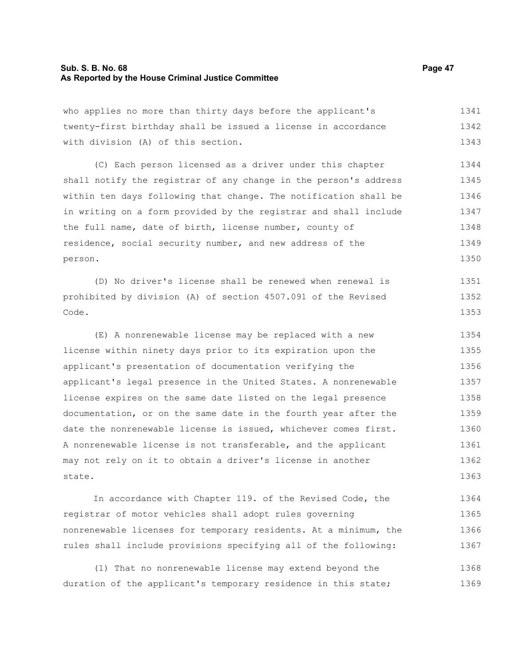#### **Sub. S. B. No. 68 Page 47 As Reported by the House Criminal Justice Committee**

who applies no more than thirty days before the applicant's twenty-first birthday shall be issued a license in accordance with division (A) of this section. 1341 1342 1343

(C) Each person licensed as a driver under this chapter shall notify the registrar of any change in the person's address within ten days following that change. The notification shall be in writing on a form provided by the registrar and shall include the full name, date of birth, license number, county of residence, social security number, and new address of the person. 1344 1345 1346 1347 1348 1349 1350

(D) No driver's license shall be renewed when renewal is prohibited by division (A) of section 4507.091 of the Revised Code. 1351 1352 1353

(E) A nonrenewable license may be replaced with a new license within ninety days prior to its expiration upon the applicant's presentation of documentation verifying the applicant's legal presence in the United States. A nonrenewable license expires on the same date listed on the legal presence documentation, or on the same date in the fourth year after the date the nonrenewable license is issued, whichever comes first. A nonrenewable license is not transferable, and the applicant may not rely on it to obtain a driver's license in another state. 1354 1355 1356 1357 1358 1359 1360 1361 1362 1363

In accordance with Chapter 119. of the Revised Code, the registrar of motor vehicles shall adopt rules governing nonrenewable licenses for temporary residents. At a minimum, the rules shall include provisions specifying all of the following: 1364 1365 1366 1367

(1) That no nonrenewable license may extend beyond the duration of the applicant's temporary residence in this state; 1368 1369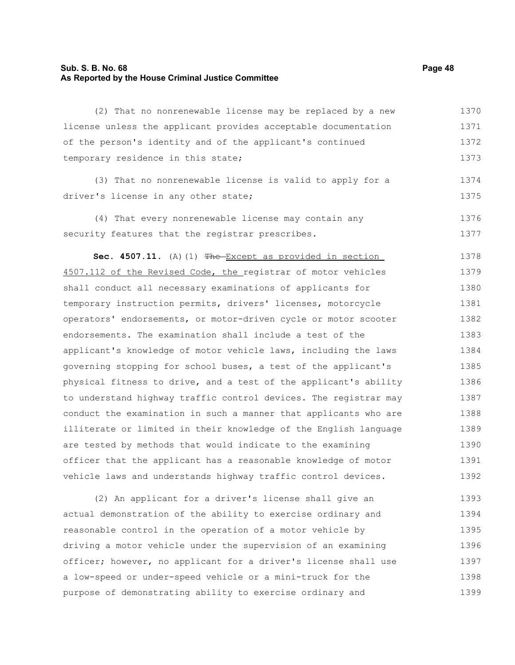#### **Sub. S. B. No. 68 Page 48 As Reported by the House Criminal Justice Committee**

(2) That no nonrenewable license may be replaced by a new license unless the applicant provides acceptable documentation of the person's identity and of the applicant's continued temporary residence in this state; (3) That no nonrenewable license is valid to apply for a driver's license in any other state; (4) That every nonrenewable license may contain any security features that the registrar prescribes. Sec. 4507.11. (A)(1) The Except as provided in section 4507.112 of the Revised Code, the registrar of motor vehicles shall conduct all necessary examinations of applicants for temporary instruction permits, drivers' licenses, motorcycle operators' endorsements, or motor-driven cycle or motor scooter endorsements. The examination shall include a test of the applicant's knowledge of motor vehicle laws, including the laws governing stopping for school buses, a test of the applicant's physical fitness to drive, and a test of the applicant's ability to understand highway traffic control devices. The registrar may conduct the examination in such a manner that applicants who are illiterate or limited in their knowledge of the English language are tested by methods that would indicate to the examining officer that the applicant has a reasonable knowledge of motor vehicle laws and understands highway traffic control devices. 1370 1371 1372 1373 1374 1375 1376 1377 1378 1379 1380 1381 1382 1383 1384 1385 1386 1387 1388 1389 1390 1391 1392

(2) An applicant for a driver's license shall give an actual demonstration of the ability to exercise ordinary and reasonable control in the operation of a motor vehicle by driving a motor vehicle under the supervision of an examining officer; however, no applicant for a driver's license shall use a low-speed or under-speed vehicle or a mini-truck for the purpose of demonstrating ability to exercise ordinary and 1393 1394 1395 1396 1397 1398 1399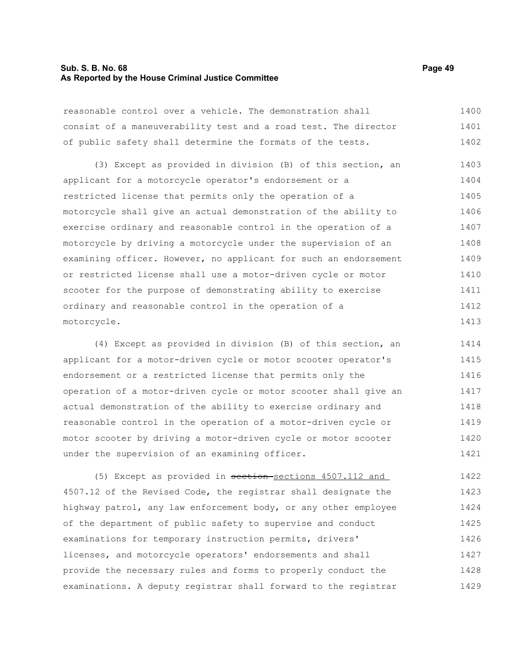#### **Sub. S. B. No. 68 Page 49 As Reported by the House Criminal Justice Committee**

reasonable control over a vehicle. The demonstration shall consist of a maneuverability test and a road test. The director of public safety shall determine the formats of the tests. 1400 1401 1402

(3) Except as provided in division (B) of this section, an applicant for a motorcycle operator's endorsement or a restricted license that permits only the operation of a motorcycle shall give an actual demonstration of the ability to exercise ordinary and reasonable control in the operation of a motorcycle by driving a motorcycle under the supervision of an examining officer. However, no applicant for such an endorsement or restricted license shall use a motor-driven cycle or motor scooter for the purpose of demonstrating ability to exercise ordinary and reasonable control in the operation of a motorcycle. 1403 1404 1405 1406 1407 1408 1409 1410 1411 1412 1413

(4) Except as provided in division (B) of this section, an applicant for a motor-driven cycle or motor scooter operator's endorsement or a restricted license that permits only the operation of a motor-driven cycle or motor scooter shall give an actual demonstration of the ability to exercise ordinary and reasonable control in the operation of a motor-driven cycle or motor scooter by driving a motor-driven cycle or motor scooter under the supervision of an examining officer. 1414 1415 1416 1417 1418 1419 1420 1421

(5) Except as provided in section-sections 4507.112 and 4507.12 of the Revised Code, the registrar shall designate the highway patrol, any law enforcement body, or any other employee of the department of public safety to supervise and conduct examinations for temporary instruction permits, drivers' licenses, and motorcycle operators' endorsements and shall provide the necessary rules and forms to properly conduct the examinations. A deputy registrar shall forward to the registrar 1422 1423 1424 1425 1426 1427 1428 1429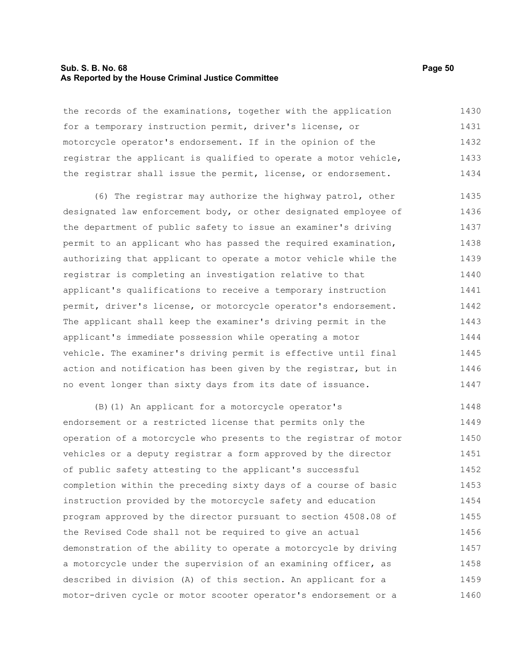#### **Sub. S. B. No. 68 Page 50 As Reported by the House Criminal Justice Committee**

the records of the examinations, together with the application for a temporary instruction permit, driver's license, or motorcycle operator's endorsement. If in the opinion of the registrar the applicant is qualified to operate a motor vehicle, the registrar shall issue the permit, license, or endorsement. 1430 1431 1432 1433 1434

(6) The registrar may authorize the highway patrol, other designated law enforcement body, or other designated employee of the department of public safety to issue an examiner's driving permit to an applicant who has passed the required examination, authorizing that applicant to operate a motor vehicle while the registrar is completing an investigation relative to that applicant's qualifications to receive a temporary instruction permit, driver's license, or motorcycle operator's endorsement. The applicant shall keep the examiner's driving permit in the applicant's immediate possession while operating a motor vehicle. The examiner's driving permit is effective until final action and notification has been given by the registrar, but in no event longer than sixty days from its date of issuance. 1435 1436 1437 1438 1439 1440 1441 1442 1443 1444 1445 1446 1447

(B)(1) An applicant for a motorcycle operator's endorsement or a restricted license that permits only the operation of a motorcycle who presents to the registrar of motor vehicles or a deputy registrar a form approved by the director of public safety attesting to the applicant's successful completion within the preceding sixty days of a course of basic instruction provided by the motorcycle safety and education program approved by the director pursuant to section 4508.08 of the Revised Code shall not be required to give an actual demonstration of the ability to operate a motorcycle by driving a motorcycle under the supervision of an examining officer, as described in division (A) of this section. An applicant for a motor-driven cycle or motor scooter operator's endorsement or a 1448 1449 1450 1451 1452 1453 1454 1455 1456 1457 1458 1459 1460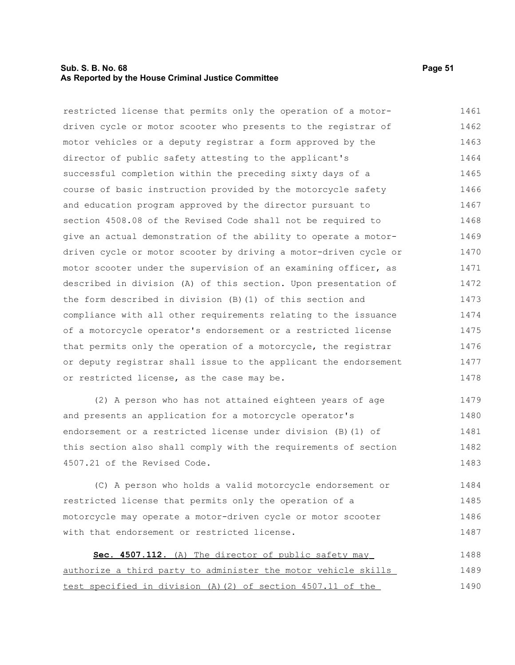#### **Sub. S. B. No. 68 Page 51 As Reported by the House Criminal Justice Committee**

restricted license that permits only the operation of a motordriven cycle or motor scooter who presents to the registrar of motor vehicles or a deputy registrar a form approved by the director of public safety attesting to the applicant's successful completion within the preceding sixty days of a course of basic instruction provided by the motorcycle safety and education program approved by the director pursuant to section 4508.08 of the Revised Code shall not be required to give an actual demonstration of the ability to operate a motordriven cycle or motor scooter by driving a motor-driven cycle or motor scooter under the supervision of an examining officer, as described in division (A) of this section. Upon presentation of the form described in division (B)(1) of this section and compliance with all other requirements relating to the issuance of a motorcycle operator's endorsement or a restricted license that permits only the operation of a motorcycle, the registrar or deputy registrar shall issue to the applicant the endorsement or restricted license, as the case may be. 1461 1462 1463 1464 1465 1466 1467 1468 1469 1470 1471 1472 1473 1474 1475 1476 1477 1478

(2) A person who has not attained eighteen years of age and presents an application for a motorcycle operator's endorsement or a restricted license under division (B)(1) of this section also shall comply with the requirements of section 4507.21 of the Revised Code. 1479 1480 1481 1482 1483

(C) A person who holds a valid motorcycle endorsement or restricted license that permits only the operation of a motorcycle may operate a motor-driven cycle or motor scooter with that endorsement or restricted license. 1484 1485 1486 1487

Sec. 4507.112. (A) The director of public safety may authorize a third party to administer the motor vehicle skills test specified in division (A)(2) of section 4507.11 of the 1488 1489 1490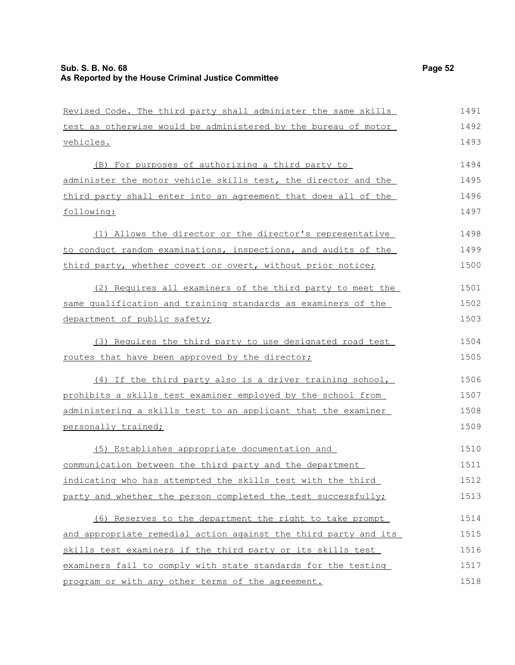| Revised Code. The third party shall administer the same skills  | 1491 |
|-----------------------------------------------------------------|------|
| test as otherwise would be administered by the bureau of motor  | 1492 |
| vehicles.                                                       | 1493 |
| (B) For purposes of authorizing a third party to                | 1494 |
| administer the motor vehicle skills test, the director and the  | 1495 |
| third party shall enter into an agreement that does all of the  | 1496 |
| following:                                                      | 1497 |
| (1) Allows the director or the director's representative        | 1498 |
| to conduct random examinations, inspections, and audits of the  | 1499 |
| third party, whether covert or overt, without prior notice;     | 1500 |
| (2) Requires all examiners of the third party to meet the       | 1501 |
| same qualification and training standards as examiners of the   | 1502 |
| department of public safety;                                    | 1503 |
| (3) Requires the third party to use designated road test        | 1504 |
| routes that have been approved by the director;                 | 1505 |
| (4) If the third party also is a driver training school,        | 1506 |
| prohibits a skills test examiner employed by the school from    | 1507 |
| administering a skills test to an applicant that the examiner   | 1508 |
| personally trained;                                             | 1509 |
| (5) Establishes appropriate documentation and                   | 1510 |
| communication between the third party and the department        | 1511 |
| indicating who has attempted the skills test with the third     | 1512 |
| party and whether the person completed the test successfully;   | 1513 |
| (6) Reserves to the department the right to take prompt         | 1514 |
| and appropriate remedial action against the third party and its | 1515 |
| skills test examiners if the third party or its skills test     | 1516 |
| examiners fail to comply with state standards for the testing   | 1517 |
| program or with any other terms of the agreement.               | 1518 |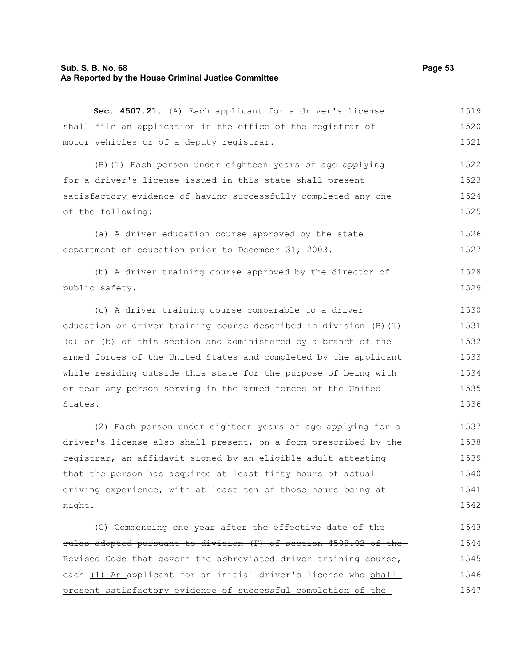## **Sub. S. B. No. 68 Page 53 As Reported by the House Criminal Justice Committee**

| shall file an application in the office of the registrar of       | 1520 |
|-------------------------------------------------------------------|------|
| motor vehicles or of a deputy registrar.                          | 1521 |
| (B) (1) Each person under eighteen years of age applying          | 1522 |
| for a driver's license issued in this state shall present         | 1523 |
|                                                                   |      |
| satisfactory evidence of having successfully completed any one    | 1524 |
| of the following:                                                 | 1525 |
| (a) A driver education course approved by the state               | 1526 |
| department of education prior to December 31, 2003.               | 1527 |
| (b) A driver training course approved by the director of          | 1528 |
| public safety.                                                    | 1529 |
| (c) A driver training course comparable to a driver               | 1530 |
| education or driver training course described in division (B) (1) | 1531 |
| (a) or (b) of this section and administered by a branch of the    | 1532 |
| armed forces of the United States and completed by the applicant  | 1533 |
| while residing outside this state for the purpose of being with   | 1534 |
| or near any person serving in the armed forces of the United      | 1535 |
| States.                                                           | 1536 |
| (2) Each person under eighteen years of age applying for a        | 1537 |
| driver's license also shall present, on a form prescribed by the  | 1538 |
| registrar, an affidavit signed by an eligible adult attesting     | 1539 |
| that the person has acquired at least fifty hours of actual       | 1540 |
| driving experience, with at least ten of those hours being at     | 1541 |
| night.                                                            | 1542 |
|                                                                   |      |

**Sec. 4507.21.** (A) Each applicant for a driver's license

(C)-Commencing one year after the effective date of therules adopted pursuant to division (F) of section 4508.02 of the Revised Code that govern the abbreviated driver training course, each (1) An applicant for an initial driver's license who shall present satisfactory evidence of successful completion of the 1543 1544 1545 1546 1547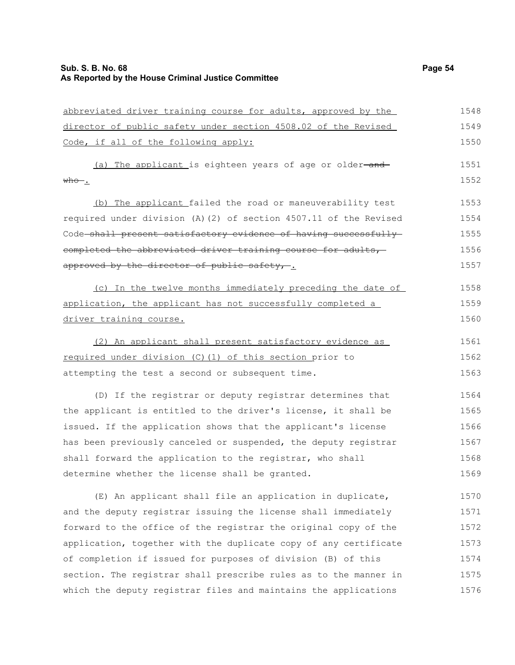abbreviated driver training course for adults, approved by the

| director of public safety under section 4508.02 of the Revised               | 1549 |
|------------------------------------------------------------------------------|------|
| Code, if all of the following apply:                                         | 1550 |
| (a) The applicant is eighteen years of age or older-and                      | 1551 |
| <del>who .</del>                                                             | 1552 |
| (b) The applicant failed the road or maneuverability test                    | 1553 |
| required under division (A) (2) of section 4507.11 of the Revised            | 1554 |
| Code <del>-shall present satisfactory evidence of having successfully-</del> | 1555 |
| completed the abbreviated driver training course for adults,                 | 1556 |
| approved by the director of public safety,.                                  | 1557 |
| (c) In the twelve months immediately preceding the date of                   | 1558 |
| application, the applicant has not successfully completed a                  | 1559 |
| driver training course.                                                      | 1560 |
| (2) An applicant shall present satisfactory evidence as                      | 1561 |
| required under division (C) (1) of this section prior to                     | 1562 |
| attempting the test a second or subsequent time.                             | 1563 |
| (D) If the registrar or deputy registrar determines that                     | 1564 |
| the applicant is entitled to the driver's license, it shall be               | 1565 |
| issued. If the application shows that the applicant's license                | 1566 |
| has been previously canceled or suspended, the deputy registrar              | 1567 |
| shall forward the application to the registrar, who shall                    | 1568 |
| determine whether the license shall be granted.                              | 1569 |
| (E) An applicant shall file an application in duplicate,                     | 1570 |
| and the deputy registrar issuing the license shall immediately               | 1571 |
| forward to the office of the registrar the original copy of the              | 1572 |
| application, together with the duplicate copy of any certificate             | 1573 |

section. The registrar shall prescribe rules as to the manner in which the deputy registrar files and maintains the applications 1575 1576

of completion if issued for purposes of division (B) of this

1548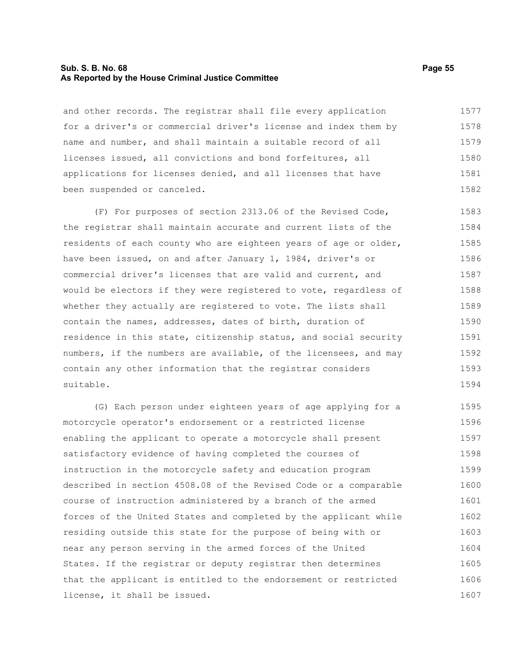#### **Sub. S. B. No. 68 Page 55 As Reported by the House Criminal Justice Committee**

and other records. The registrar shall file every application for a driver's or commercial driver's license and index them by name and number, and shall maintain a suitable record of all licenses issued, all convictions and bond forfeitures, all applications for licenses denied, and all licenses that have been suspended or canceled. 1577 1578 1579 1580 1581 1582

(F) For purposes of section 2313.06 of the Revised Code, the registrar shall maintain accurate and current lists of the residents of each county who are eighteen years of age or older, have been issued, on and after January 1, 1984, driver's or commercial driver's licenses that are valid and current, and would be electors if they were registered to vote, regardless of whether they actually are registered to vote. The lists shall contain the names, addresses, dates of birth, duration of residence in this state, citizenship status, and social security numbers, if the numbers are available, of the licensees, and may contain any other information that the registrar considers suitable. 1583 1584 1585 1586 1587 1588 1589 1590 1591 1592 1593 1594

(G) Each person under eighteen years of age applying for a motorcycle operator's endorsement or a restricted license enabling the applicant to operate a motorcycle shall present satisfactory evidence of having completed the courses of instruction in the motorcycle safety and education program described in section 4508.08 of the Revised Code or a comparable course of instruction administered by a branch of the armed forces of the United States and completed by the applicant while residing outside this state for the purpose of being with or near any person serving in the armed forces of the United States. If the registrar or deputy registrar then determines that the applicant is entitled to the endorsement or restricted license, it shall be issued. 1595 1596 1597 1598 1599 1600 1601 1602 1603 1604 1605 1606 1607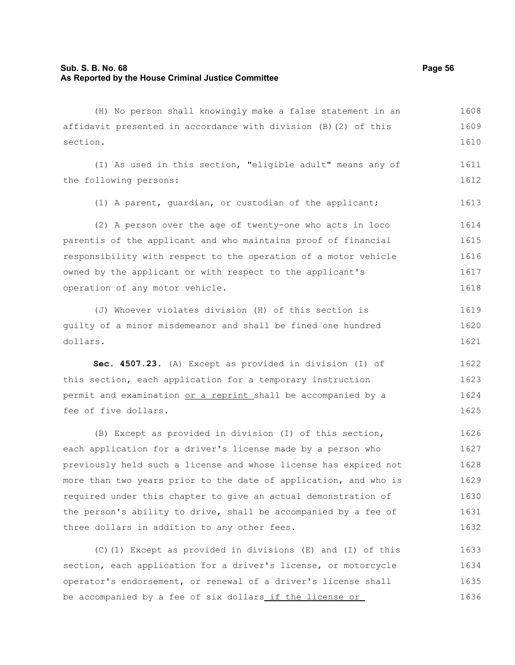#### **Sub. S. B. No. 68 Page 56 As Reported by the House Criminal Justice Committee**

(H) No person shall knowingly make a false statement in an affidavit presented in accordance with division (B)(2) of this section. 1608 1609 1610

(I) As used in this section, "eligible adult" means any of the following persons: 1611 1612

(1) A parent, guardian, or custodian of the applicant; 1613

(2) A person over the age of twenty-one who acts in loco parentis of the applicant and who maintains proof of financial responsibility with respect to the operation of a motor vehicle owned by the applicant or with respect to the applicant's operation of any motor vehicle. 1614 1615 1616 1617 1618

(J) Whoever violates division (H) of this section is guilty of a minor misdemeanor and shall be fined one hundred dollars. 1619 1620 1621

**Sec. 4507.23.** (A) Except as provided in division (I) of this section, each application for a temporary instruction permit and examination or a reprint shall be accompanied by a fee of five dollars. 1622 1623 1624 1625

(B) Except as provided in division (I) of this section, each application for a driver's license made by a person who previously held such a license and whose license has expired not more than two years prior to the date of application, and who is required under this chapter to give an actual demonstration of the person's ability to drive, shall be accompanied by a fee of three dollars in addition to any other fees. 1626 1627 1628 1629 1630 1631 1632

(C)(1) Except as provided in divisions (E) and (I) of this section, each application for a driver's license, or motorcycle operator's endorsement, or renewal of a driver's license shall be accompanied by a fee of six dollars if the license or 1633 1634 1635 1636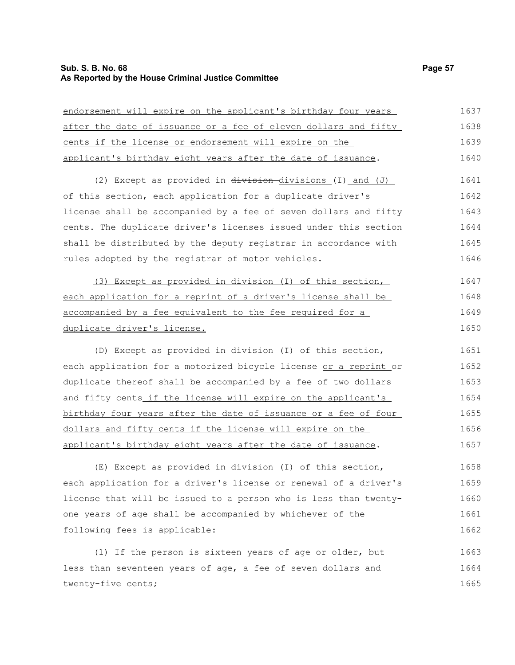# **Sub. S. B. No. 68** Page 57 **As Reported by the House Criminal Justice Committee**

| endorsement will expire on the applicant's birthday four years   | 1637 |
|------------------------------------------------------------------|------|
| after the date of issuance or a fee of eleven dollars and fifty  | 1638 |
| cents if the license or endorsement will expire on the           | 1639 |
| applicant's birthday eight years after the date of issuance.     | 1640 |
| (2) Except as provided in division-divisions (I) and (J)         | 1641 |
| of this section, each application for a duplicate driver's       | 1642 |
| license shall be accompanied by a fee of seven dollars and fifty | 1643 |
| cents. The duplicate driver's licenses issued under this section | 1644 |
| shall be distributed by the deputy registrar in accordance with  | 1645 |
| rules adopted by the registrar of motor vehicles.                | 1646 |
| (3) Except as provided in division (I) of this section,          | 1647 |
| each application for a reprint of a driver's license shall be    | 1648 |
| accompanied by a fee equivalent to the fee required for a        | 1649 |
| duplicate driver's license.                                      | 1650 |
| (D) Except as provided in division (I) of this section,          | 1651 |
| each application for a motorized bicycle license or a reprint or | 1652 |
| duplicate thereof shall be accompanied by a fee of two dollars   | 1653 |
| and fifty cents_if_the_license_will_expire_on_the_applicant's_   | 1654 |
| birthday four years after the date of issuance or a fee of four  | 1655 |
| dollars and fifty cents if the license will expire on the        | 1656 |
| applicant's birthday eight years after the date of issuance.     | 1657 |
| (E) Except as provided in division (I) of this section,          | 1658 |
| each application for a driver's license or renewal of a driver's | 1659 |
| license that will be issued to a person who is less than twenty- | 1660 |
| one years of age shall be accompanied by whichever of the        | 1661 |
| following fees is applicable:                                    | 1662 |
| (1) If the person is sixteen years of age or older, but          | 1663 |
| less than seventeen years of age, a fee of seven dollars and     | 1664 |
| twenty-five cents;                                               | 1665 |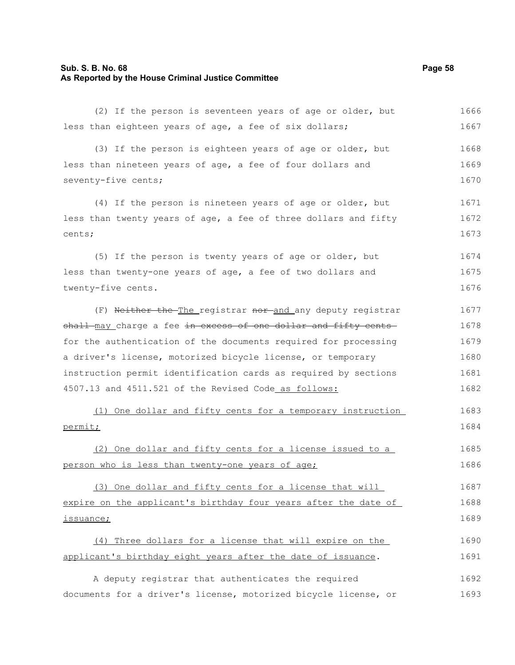#### **Sub. S. B. No. 68 Page 58 As Reported by the House Criminal Justice Committee**

(2) If the person is seventeen years of age or older, but less than eighteen years of age, a fee of six dollars; (3) If the person is eighteen years of age or older, but less than nineteen years of age, a fee of four dollars and seventy-five cents; (4) If the person is nineteen years of age or older, but less than twenty years of age, a fee of three dollars and fifty cents; (5) If the person is twenty years of age or older, but less than twenty-one years of age, a fee of two dollars and twenty-five cents. (F) Neither the The registrar nor and any deputy registrar shall may charge a fee in excess of one dollar and fifty cents for the authentication of the documents required for processing a driver's license, motorized bicycle license, or temporary instruction permit identification cards as required by sections 4507.13 and 4511.521 of the Revised Code as follows: (1) One dollar and fifty cents for a temporary instruction permit; (2) One dollar and fifty cents for a license issued to a person who is less than twenty-one years of age; (3) One dollar and fifty cents for a license that will expire on the applicant's birthday four years after the date of issuance; (4) Three dollars for a license that will expire on the applicant's birthday eight years after the date of issuance. A deputy registrar that authenticates the required documents for a driver's license, motorized bicycle license, or 1666 1667 1668 1669 1670 1671 1672 1673 1674 1675 1676 1677 1678 1679 1680 1681 1682 1683 1684 1685 1686 1687 1688 1689 1690 1691 1692 1693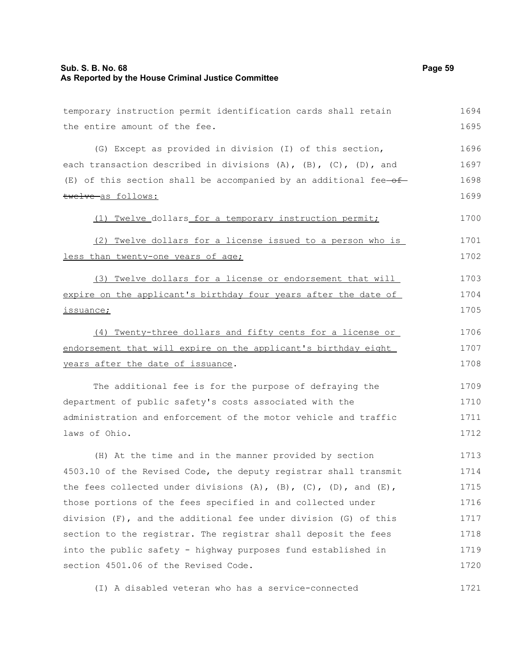# **Sub. S. B. No. 68** Page 59 **As Reported by the House Criminal Justice Committee**

| temporary instruction permit identification cards shall retain                 | 1694 |
|--------------------------------------------------------------------------------|------|
| the entire amount of the fee.                                                  | 1695 |
| (G) Except as provided in division (I) of this section,                        | 1696 |
| each transaction described in divisions $(A)$ , $(B)$ , $(C)$ , $(D)$ , and    | 1697 |
| (E) of this section shall be accompanied by an additional fee-of-              | 1698 |
| twelve-as follows:                                                             | 1699 |
| (1) Twelve dollars for a temporary instruction permit;                         | 1700 |
| (2) Twelve dollars for a license issued to a person who is                     | 1701 |
| less than twenty-one years of age;                                             | 1702 |
| (3) Twelve dollars for a license or endorsement that will                      | 1703 |
| expire on the applicant's birthday four years after the date of                | 1704 |
| issuance;                                                                      | 1705 |
| (4) Twenty-three dollars and fifty cents for a license or                      | 1706 |
| endorsement that will expire on the applicant's birthday eight                 | 1707 |
| years after the date of issuance.                                              | 1708 |
| The additional fee is for the purpose of defraying the                         | 1709 |
| department of public safety's costs associated with the                        | 1710 |
| administration and enforcement of the motor vehicle and traffic                | 1711 |
| laws of Ohio.                                                                  | 1712 |
| (H) At the time and in the manner provided by section                          | 1713 |
| 4503.10 of the Revised Code, the deputy registrar shall transmit               | 1714 |
| the fees collected under divisions $(A)$ , $(B)$ , $(C)$ , $(D)$ , and $(E)$ , | 1715 |
| those portions of the fees specified in and collected under                    | 1716 |
| division $(F)$ , and the additional fee under division $(G)$ of this           | 1717 |
| section to the registrar. The registrar shall deposit the fees                 | 1718 |
| into the public safety - highway purposes fund established in                  | 1719 |
| section 4501.06 of the Revised Code.                                           | 1720 |
|                                                                                |      |

(I) A disabled veteran who has a service-connected 1721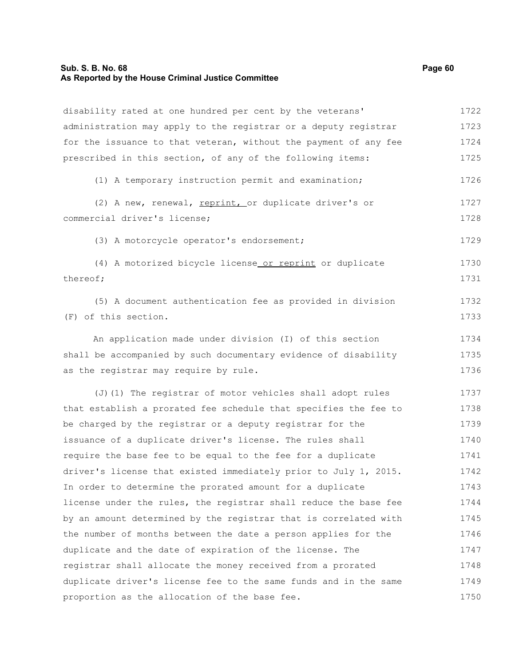#### **Sub. S. B. No. 68 Page 60 As Reported by the House Criminal Justice Committee**

proportion as the allocation of the base fee.

disability rated at one hundred per cent by the veterans' administration may apply to the registrar or a deputy registrar for the issuance to that veteran, without the payment of any fee prescribed in this section, of any of the following items: (1) A temporary instruction permit and examination; (2) A new, renewal, reprint, or duplicate driver's or commercial driver's license; (3) A motorcycle operator's endorsement; (4) A motorized bicycle license or reprint or duplicate thereof; (5) A document authentication fee as provided in division (F) of this section. An application made under division (I) of this section shall be accompanied by such documentary evidence of disability as the registrar may require by rule. (J)(1) The registrar of motor vehicles shall adopt rules that establish a prorated fee schedule that specifies the fee to be charged by the registrar or a deputy registrar for the issuance of a duplicate driver's license. The rules shall require the base fee to be equal to the fee for a duplicate driver's license that existed immediately prior to July 1, 2015. In order to determine the prorated amount for a duplicate license under the rules, the registrar shall reduce the base fee by an amount determined by the registrar that is correlated with the number of months between the date a person applies for the duplicate and the date of expiration of the license. The registrar shall allocate the money received from a prorated duplicate driver's license fee to the same funds and in the same 1722 1723 1724 1725 1726 1727 1728 1729 1730 1731 1732 1733 1734 1735 1736 1737 1738 1739 1740 1741 1742 1743 1744 1745 1746 1747 1748 1749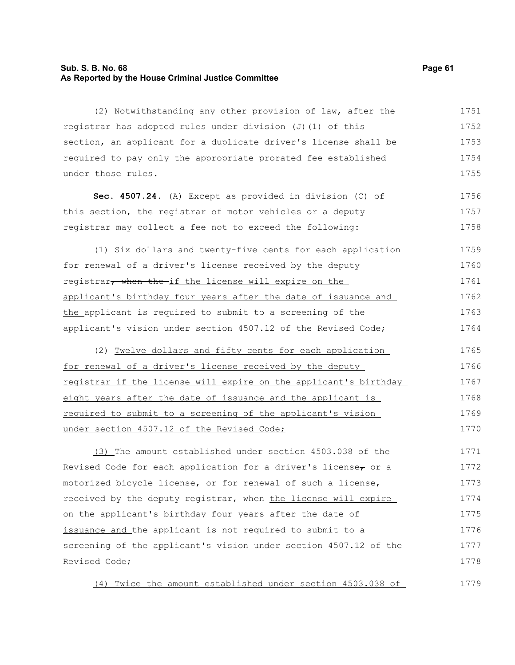#### **Sub. S. B. No. 68 Page 61 As Reported by the House Criminal Justice Committee**

(2) Notwithstanding any other provision of law, after the registrar has adopted rules under division (J)(1) of this section, an applicant for a duplicate driver's license shall be required to pay only the appropriate prorated fee established under those rules. 1751 1752 1753 1754 1755

**Sec. 4507.24.** (A) Except as provided in division (C) of this section, the registrar of motor vehicles or a deputy registrar may collect a fee not to exceed the following: 1756 1757 1758

(1) Six dollars and twenty-five cents for each application for renewal of a driver's license received by the deputy registrar, when the if the license will expire on the applicant's birthday four years after the date of issuance and the applicant is required to submit to a screening of the applicant's vision under section 4507.12 of the Revised Code; 1759 1760 1761 1762 1763 1764

(2) Twelve dollars and fifty cents for each application for renewal of a driver's license received by the deputy registrar if the license will expire on the applicant's birthday eight years after the date of issuance and the applicant is required to submit to a screening of the applicant's vision under section 4507.12 of the Revised Code; 1765 1766 1767 1768 1769 1770

(3) The amount established under section 4503.038 of the Revised Code for each application for a driver's license $\tau$  or  $\underline{a}$ motorized bicycle license, or for renewal of such a license, received by the deputy registrar, when the license will expire on the applicant's birthday four years after the date of issuance and the applicant is not required to submit to a screening of the applicant's vision under section 4507.12 of the Revised Code; 1771 1772 1773 1774 1775 1776 1777 1778

(4) Twice the amount established under section 4503.038 of 1779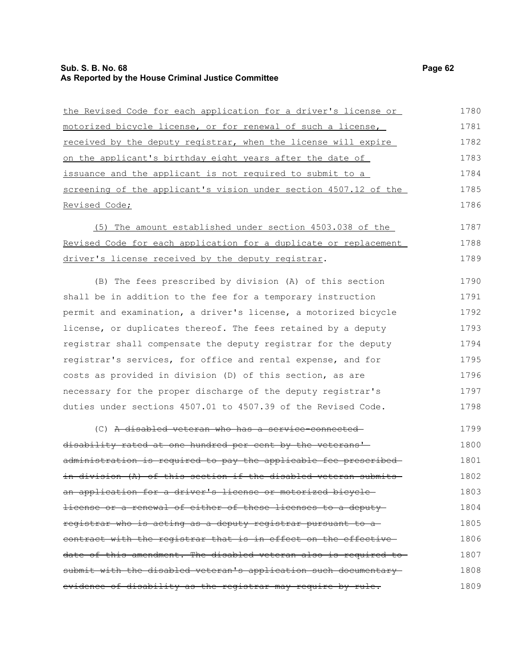## **Sub. S. B. No. 68 Page 62 As Reported by the House Criminal Justice Committee**

| the Revised Code for each application for a driver's license or  | 1780 |
|------------------------------------------------------------------|------|
| motorized bicycle license, or for renewal of such a license,     | 1781 |
| received by the deputy registrar, when the license will expire   | 1782 |
| on the applicant's birthday eight years after the date of        | 1783 |
| issuance and the applicant is not required to submit to a        | 1784 |
| screening of the applicant's vision under section 4507.12 of the | 1785 |
|                                                                  | 1786 |
| Revised Code;                                                    |      |
| (5) The amount established under section 4503.038 of the         | 1787 |
| Revised Code for each application for a duplicate or replacement | 1788 |
| driver's license received by the deputy registrar.               | 1789 |
| (B) The fees prescribed by division (A) of this section          | 1790 |
| shall be in addition to the fee for a temporary instruction      | 1791 |
| permit and examination, a driver's license, a motorized bicycle  | 1792 |
| license, or duplicates thereof. The fees retained by a deputy    | 1793 |
| registrar shall compensate the deputy registrar for the deputy   | 1794 |
| registrar's services, for office and rental expense, and for     | 1795 |
| costs as provided in division (D) of this section, as are        | 1796 |
| necessary for the proper discharge of the deputy registrar's     | 1797 |
| duties under sections 4507.01 to 4507.39 of the Revised Code.    | 1798 |
| (C) A disabled veteran who has a service-connected-              | 1799 |
| disability rated at one hundred per cent by the veterans'-       | 1800 |
| administration is required to pay the applicable fee prescribed  | 1801 |
| in division (A) of this section if the disabled veteran submits  | 1802 |
| an application for a driver's license or motorized bicycle-      | 1803 |
| license or a renewal of either of these licenses to a deputy-    | 1804 |
| registrar who is acting as a deputy registrar pursuant to a      | 1805 |
| contract with the registrar that is in effect on the effective-  | 1806 |
| date of this amendment. The disabled veteran also is required to | 1807 |
| submit with the disabled veteran's application such documentary- | 1808 |
| evidence of disability as the registrar may require by rule.     | 1809 |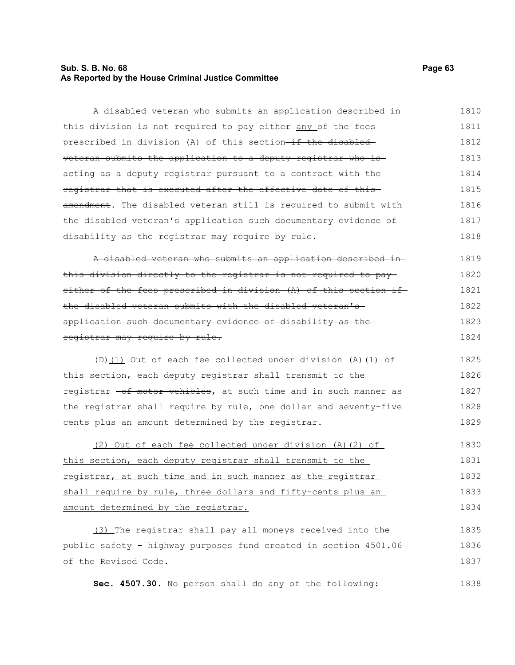#### **Sub. S. B. No. 68 Page 63 As Reported by the House Criminal Justice Committee**

A disabled veteran who submits an application described in this division is not required to pay either any of the fees prescribed in division (A) of this section-if the disabledveteran submits the application to a deputy registrar who is acting as a deputy registrar pursuant to a contract with the registrar that is executed after the effective date of this amendment. The disabled veteran still is required to submit with the disabled veteran's application such documentary evidence of disability as the registrar may require by rule. 1810 1811 1812 1813 1814 1815 1816 1817 1818

A disabled veteran who submits an application described in this division directly to the registrar is not required to pay either of the fees prescribed in division (A) of this section if the disabled veteran submits with the disabled veteran's application such documentary evidence of disability as the registrar may require by rule. 1819 1820 1821 1822 1823 1824

(D)(1) Out of each fee collected under division (A)(1) of this section, each deputy registrar shall transmit to the registrar -of motor vehicles, at such time and in such manner as the registrar shall require by rule, one dollar and seventy-five cents plus an amount determined by the registrar. 1825 1826 1827 1828 1829

(2) Out of each fee collected under division (A)(2) of this section, each deputy registrar shall transmit to the registrar, at such time and in such manner as the registrar shall require by rule, three dollars and fifty-cents plus an amount determined by the registrar. 1830 1831 1832 1833 1834

(3) The registrar shall pay all moneys received into the public safety - highway purposes fund created in section 4501.06 of the Revised Code. 1835 1836 1837

**Sec. 4507.30.** No person shall do any of the following: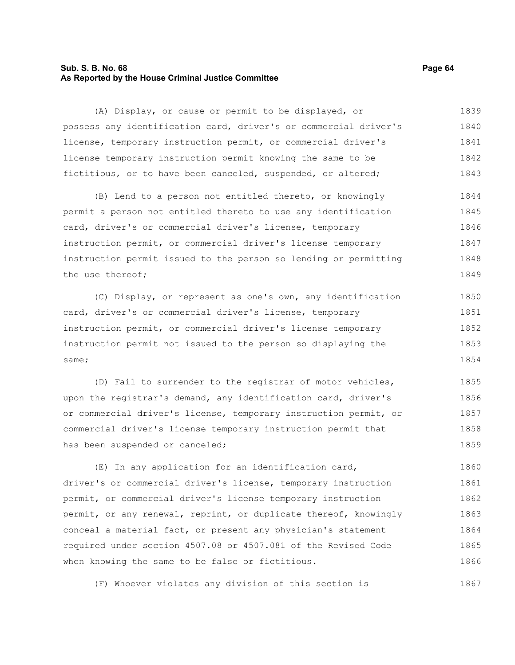#### **Sub. S. B. No. 68 Page 64 As Reported by the House Criminal Justice Committee**

(A) Display, or cause or permit to be displayed, or possess any identification card, driver's or commercial driver's license, temporary instruction permit, or commercial driver's license temporary instruction permit knowing the same to be fictitious, or to have been canceled, suspended, or altered; 1839 1840 1841 1842 1843

(B) Lend to a person not entitled thereto, or knowingly permit a person not entitled thereto to use any identification card, driver's or commercial driver's license, temporary instruction permit, or commercial driver's license temporary instruction permit issued to the person so lending or permitting the use thereof; 1844 1845 1846 1847 1848 1849

(C) Display, or represent as one's own, any identification card, driver's or commercial driver's license, temporary instruction permit, or commercial driver's license temporary instruction permit not issued to the person so displaying the same; 1850 1851 1852 1853 1854

(D) Fail to surrender to the registrar of motor vehicles, upon the registrar's demand, any identification card, driver's or commercial driver's license, temporary instruction permit, or commercial driver's license temporary instruction permit that has been suspended or canceled; 1855 1856 1857 1858 1859

(E) In any application for an identification card, driver's or commercial driver's license, temporary instruction permit, or commercial driver's license temporary instruction permit, or any renewal, reprint, or duplicate thereof, knowingly conceal a material fact, or present any physician's statement required under section 4507.08 or 4507.081 of the Revised Code when knowing the same to be false or fictitious. 1860 1861 1862 1863 1864 1865 1866

(F) Whoever violates any division of this section is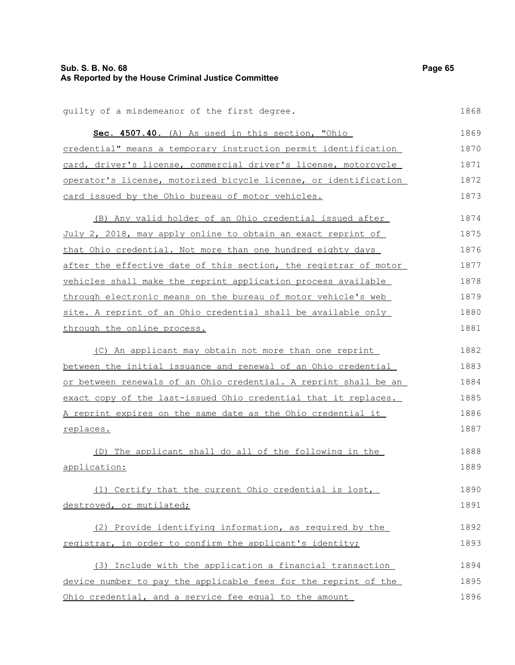# **As Reported by the House Criminal Justice Committee**

| quilty of a misdemeanor of the first degree.                     | 1868 |
|------------------------------------------------------------------|------|
| Sec. 4507.40. (A) As used in this section, "Ohio                 | 1869 |
| credential" means a temporary instruction permit identification  | 1870 |
| card, driver's license, commercial driver's license, motorcycle  | 1871 |
| operator's license, motorized bicycle license, or identification | 1872 |
| card issued by the Ohio bureau of motor vehicles.                | 1873 |
| (B) Any valid holder of an Ohio credential issued after          | 1874 |
| July 2, 2018, may apply online to obtain an exact reprint of     | 1875 |
| that Ohio credential. Not more than one hundred eighty days      | 1876 |
| after the effective date of this section, the registrar of motor | 1877 |
| vehicles shall make the reprint application process available    | 1878 |
| through electronic means on the bureau of motor vehicle's web    | 1879 |
| site. A reprint of an Ohio credential shall be available only    | 1880 |
| through the online process.                                      | 1881 |
| (C) An applicant may obtain not more than one reprint            | 1882 |
| between the initial issuance and renewal of an Ohio credential   | 1883 |
| or between renewals of an Ohio credential. A reprint shall be an | 1884 |
| exact copy of the last-issued Ohio credential that it replaces.  | 1885 |
| A reprint expires on the same date as the Ohio credential it     | 1886 |
| replaces.                                                        | 1887 |
| (D) The applicant shall do all of the following in the           | 1888 |
| application:                                                     | 1889 |
| (1) Certify that the current Ohio credential is lost,            | 1890 |
| destroyed, or mutilated;                                         | 1891 |
| (2) Provide identifying information, as required by the          | 1892 |
| registrar, in order to confirm the applicant's identity;         | 1893 |
| (3) Include with the application a financial transaction         | 1894 |
| device number to pay the applicable fees for the reprint of the  | 1895 |
| Ohio credential, and a service fee equal to the amount           | 1896 |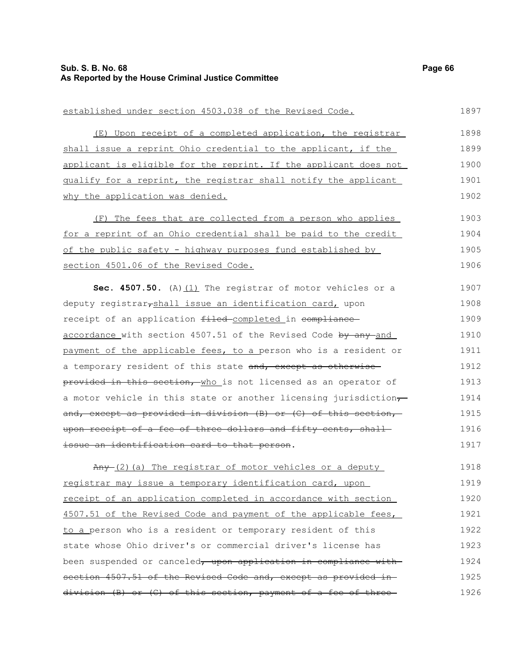| established under section 4503.038 of the Revised Code.                | 1897 |
|------------------------------------------------------------------------|------|
| (E) Upon receipt of a completed application, the registrar             | 1898 |
| shall issue a reprint Ohio credential to the applicant, if the         | 1899 |
| applicant is eligible for the reprint. If the applicant does not       | 1900 |
| qualify for a reprint, the registrar shall notify the applicant        | 1901 |
| why the application was denied.                                        | 1902 |
| (F) The fees that are collected from a person who applies              | 1903 |
| for a reprint of an Ohio credential shall be paid to the credit        | 1904 |
| of the public safety - highway purposes fund established by            | 1905 |
| section 4501.06 of the Revised Code.                                   | 1906 |
| Sec. 4507.50. (A) $(1)$ The registrar of motor vehicles or a           | 1907 |
| deputy registrar <sub>r</sub> shall issue an identification card, upon | 1908 |
| receipt of an application filed completed in compliance                | 1909 |
| accordance with section 4507.51 of the Revised Code by any-and         | 1910 |
| payment of the applicable fees, to a person who is a resident or       | 1911 |
| a temporary resident of this state and, except as otherwise-           | 1912 |
| provided in this section, who is not licensed as an operator of        | 1913 |
| a motor vehicle in this state or another licensing jurisdiction-       | 1914 |
| and, except as provided in division (B) or (C) of this section,        | 1915 |
| upon receipt of a fee of three dollars and fifty cents, shall-         | 1916 |
| issue an identification card to that person.                           | 1917 |
| Any (2) (a) The registrar of motor vehicles or a deputy                | 1918 |
| registrar may issue a temporary identification card, upon              | 1919 |
| receipt of an application completed in accordance with section         | 1920 |
| 4507.51 of the Revised Code and payment of the applicable fees,        | 1921 |
| to a person who is a resident or temporary resident of this            | 1922 |
| state whose Ohio driver's or commercial driver's license has           | 1923 |
| been suspended or canceled, upon application in compliance with        | 1924 |
| section 4507.51 of the Revised Code and, except as provided in-        | 1925 |
| division (B) or (C) of this section, payment of a fee of three-        | 1926 |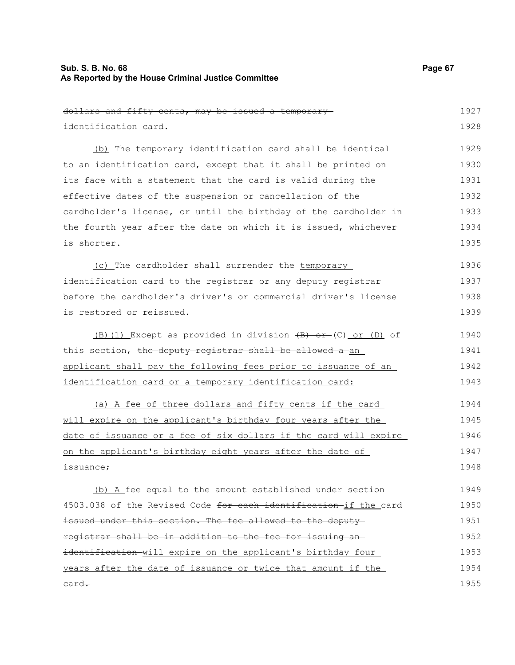# **Sub. S. B. No. 68** Page 67 **As Reported by the House Criminal Justice Committee**

| dollars and fifty cents, may be issued a temporary-              | 1927 |
|------------------------------------------------------------------|------|
| identification card.                                             | 1928 |
| (b) The temporary identification card shall be identical         | 1929 |
| to an identification card, except that it shall be printed on    | 1930 |
| its face with a statement that the card is valid during the      | 1931 |
| effective dates of the suspension or cancellation of the         | 1932 |
| cardholder's license, or until the birthday of the cardholder in | 1933 |
| the fourth year after the date on which it is issued, whichever  | 1934 |
| is shorter.                                                      | 1935 |
| (c) The cardholder shall surrender the temporary                 | 1936 |
| identification card to the registrar or any deputy registrar     | 1937 |
| before the cardholder's driver's or commercial driver's license  | 1938 |
| is restored or reissued.                                         | 1939 |
| $(B)$ (1) Except as provided in division $(B)$ or (C) or (D) of  | 1940 |
| this section, the deputy registrar shall be allowed a an         | 1941 |
| applicant shall pay the following fees prior to issuance of an   | 1942 |
| identification card or a temporary identification card:          | 1943 |
| (a) A fee of three dollars and fifty cents if the card           | 1944 |
| will expire on the applicant's birthday four years after the     | 1945 |
| date of issuance or a fee of six dollars if the card will expire | 1946 |
| on the applicant's birthday eight years after the date of        | 1947 |
| issuance;                                                        | 1948 |
| (b) A fee equal to the amount established under section          | 1949 |
| 4503.038 of the Revised Code for each identification if the card | 1950 |
| issued under this section. The fee allowed to the deputy-        | 1951 |
| registrar shall be in addition to the fee for issuing an-        | 1952 |
| identification will expire on the applicant's birthday four      | 1953 |
| years after the date of issuance or twice that amount if the     | 1954 |
| card <del>.</del>                                                | 1955 |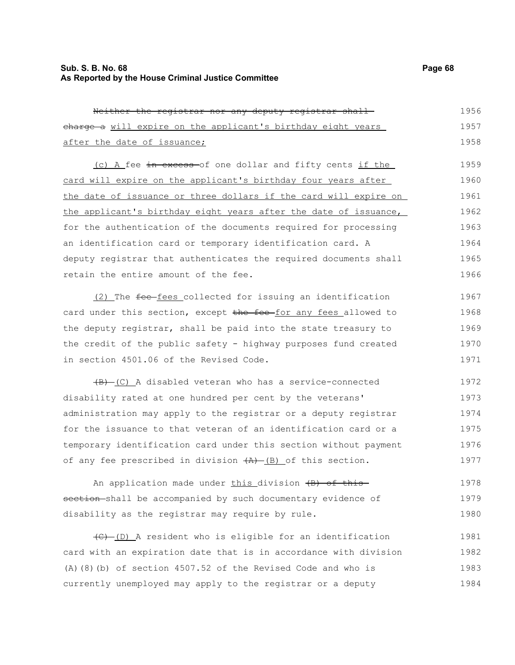## **Sub. S. B. No. 68 Page 68 As Reported by the House Criminal Justice Committee**

| Neither the registrar nor any deputy registrar shall-                       | 1956 |
|-----------------------------------------------------------------------------|------|
| charge a will expire on the applicant's birthday eight years                | 1957 |
| after the date of issuance;                                                 | 1958 |
| (c) A fee in excess of one dollar and fifty cents if the                    | 1959 |
| card will expire on the applicant's birthday four years after               | 1960 |
| the date of issuance or three dollars if the card will expire on            | 1961 |
|                                                                             |      |
| the applicant's birthday eight years after the date of issuance,            | 1962 |
| for the authentication of the documents required for processing             | 1963 |
| an identification card or temporary identification card. A                  | 1964 |
| deputy registrar that authenticates the required documents shall            | 1965 |
| retain the entire amount of the fee.                                        | 1966 |
| (2) The fee-fees collected for issuing an identification                    | 1967 |
| card under this section, except <del>the fee</del> -for any fees allowed to | 1968 |
| the deputy registrar, shall be paid into the state treasury to              | 1969 |
| the credit of the public safety - highway purposes fund created             | 1970 |
| in section 4501.06 of the Revised Code.                                     | 1971 |
| $(B)$ (C) A disabled veteran who has a service-connected                    | 1972 |
| disability rated at one hundred per cent by the veterans'                   | 1973 |
| administration may apply to the registrar or a deputy registrar             | 1974 |
| for the issuance to that veteran of an identification card or a             | 1975 |
| temporary identification card under this section without payment            | 1976 |
| of any fee prescribed in division $(A)$ (B) of this section.                | 1977 |
|                                                                             |      |

An application made under this division (B) of thissection-shall be accompanied by such documentary evidence of disability as the registrar may require by rule. 1978 1979 1980

 $\left(\frac{C}{D}\right)$  A resident who is eligible for an identification card with an expiration date that is in accordance with division (A)(8)(b) of section 4507.52 of the Revised Code and who is currently unemployed may apply to the registrar or a deputy 1981 1982 1983 1984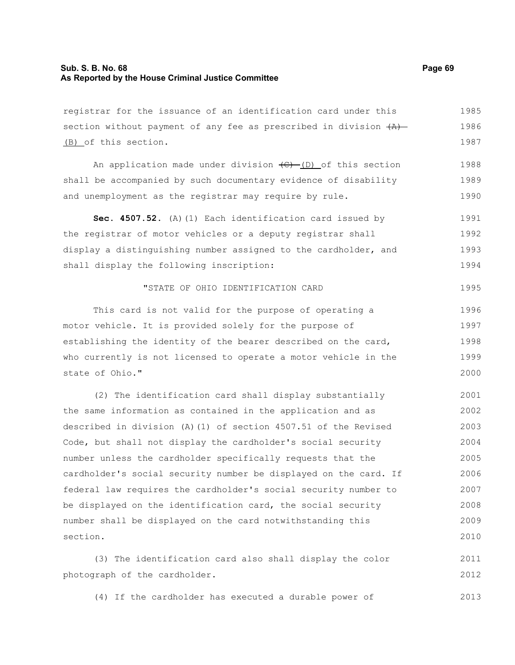#### **Sub. S. B. No. 68 Page 69 As Reported by the House Criminal Justice Committee**

registrar for the issuance of an identification card under this section without payment of any fee as prescribed in division  $(A)$ (B) of this section. 1985 1986 1987

An application made under division  $\left(\frac{C}{C}\right)$  of this section shall be accompanied by such documentary evidence of disability and unemployment as the registrar may require by rule. 1988 1989 1990

**Sec. 4507.52.** (A)(1) Each identification card issued by the registrar of motor vehicles or a deputy registrar shall display a distinguishing number assigned to the cardholder, and shall display the following inscription: 1991 1992 1993 1994

> "STATE OF OHIO IDENTIFICATION CARD 1995

This card is not valid for the purpose of operating a motor vehicle. It is provided solely for the purpose of establishing the identity of the bearer described on the card, who currently is not licensed to operate a motor vehicle in the state of Ohio." 1996 1997 1998 1999 2000

(2) The identification card shall display substantially the same information as contained in the application and as described in division (A)(1) of section 4507.51 of the Revised Code, but shall not display the cardholder's social security number unless the cardholder specifically requests that the cardholder's social security number be displayed on the card. If federal law requires the cardholder's social security number to be displayed on the identification card, the social security number shall be displayed on the card notwithstanding this section. 2001 2002 2003 2004 2005 2006 2007 2008 2009 2010

(3) The identification card also shall display the color photograph of the cardholder. 2011 2012

(4) If the cardholder has executed a durable power of 2013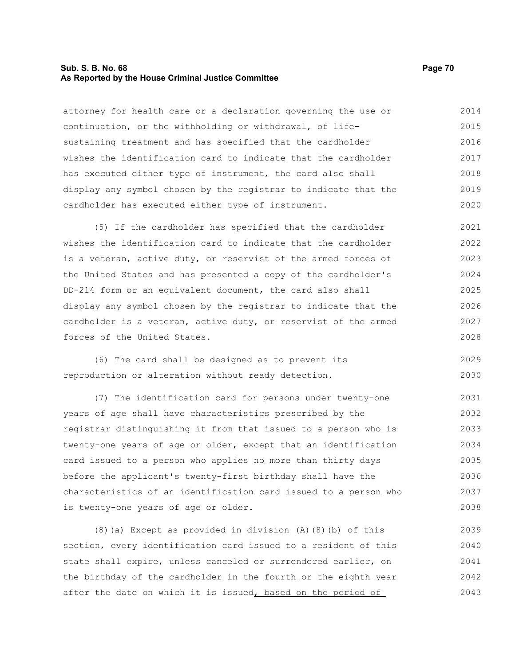#### **Sub. S. B. No. 68 Page 70 As Reported by the House Criminal Justice Committee**

attorney for health care or a declaration governing the use or continuation, or the withholding or withdrawal, of lifesustaining treatment and has specified that the cardholder wishes the identification card to indicate that the cardholder has executed either type of instrument, the card also shall display any symbol chosen by the registrar to indicate that the cardholder has executed either type of instrument. 2014 2015 2016 2017 2018 2019 2020

(5) If the cardholder has specified that the cardholder wishes the identification card to indicate that the cardholder is a veteran, active duty, or reservist of the armed forces of the United States and has presented a copy of the cardholder's DD-214 form or an equivalent document, the card also shall display any symbol chosen by the registrar to indicate that the cardholder is a veteran, active duty, or reservist of the armed forces of the United States. 2021 2022 2023 2024 2025 2026 2027 2028

(6) The card shall be designed as to prevent its reproduction or alteration without ready detection. 2029 2030

(7) The identification card for persons under twenty-one years of age shall have characteristics prescribed by the registrar distinguishing it from that issued to a person who is twenty-one years of age or older, except that an identification card issued to a person who applies no more than thirty days before the applicant's twenty-first birthday shall have the characteristics of an identification card issued to a person who is twenty-one years of age or older. 2031 2032 2033 2034 2035 2036 2037 2038

(8)(a) Except as provided in division (A)(8)(b) of this section, every identification card issued to a resident of this state shall expire, unless canceled or surrendered earlier, on the birthday of the cardholder in the fourth or the eighth year after the date on which it is issued, based on the period of 2039 2040 2041 2042 2043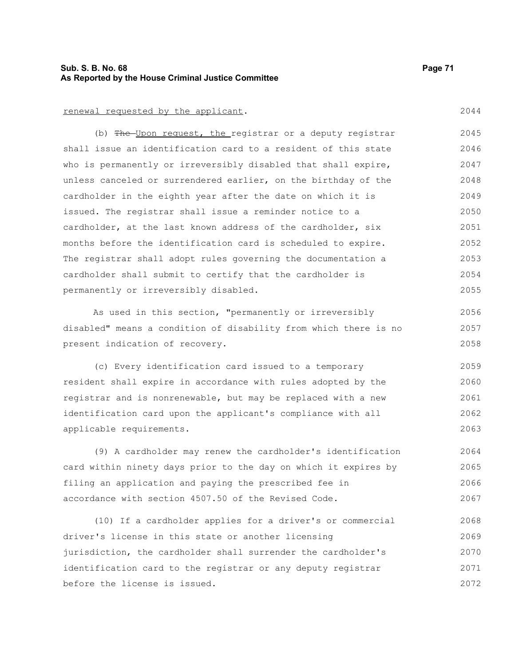#### **Sub. S. B. No. 68 Page 71 As Reported by the House Criminal Justice Committee**

#### renewal requested by the applicant.

(b) The Upon request, the registrar or a deputy registrar shall issue an identification card to a resident of this state who is permanently or irreversibly disabled that shall expire, unless canceled or surrendered earlier, on the birthday of the cardholder in the eighth year after the date on which it is issued. The registrar shall issue a reminder notice to a cardholder, at the last known address of the cardholder, six months before the identification card is scheduled to expire. The registrar shall adopt rules governing the documentation a cardholder shall submit to certify that the cardholder is permanently or irreversibly disabled. 2045 2046 2047 2048 2049 2050 2051 2052 2053 2054 2055

As used in this section, "permanently or irreversibly disabled" means a condition of disability from which there is no present indication of recovery.

(c) Every identification card issued to a temporary resident shall expire in accordance with rules adopted by the registrar and is nonrenewable, but may be replaced with a new identification card upon the applicant's compliance with all applicable requirements. 2059 2060 2061 2062 2063

(9) A cardholder may renew the cardholder's identification card within ninety days prior to the day on which it expires by filing an application and paying the prescribed fee in accordance with section 4507.50 of the Revised Code. 2064 2065 2066 2067

(10) If a cardholder applies for a driver's or commercial driver's license in this state or another licensing jurisdiction, the cardholder shall surrender the cardholder's identification card to the registrar or any deputy registrar before the license is issued. 2068 2069 2070 2071 2072

2044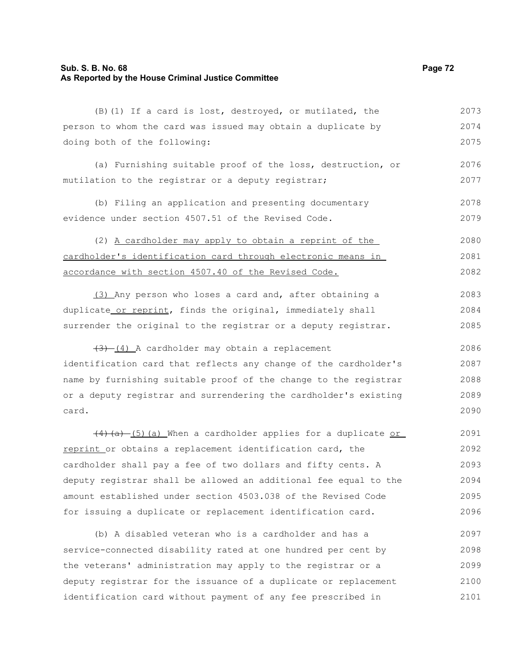#### **Sub. S. B. No. 68 Page 72 As Reported by the House Criminal Justice Committee**

| person to whom the card was issued may obtain a duplicate by | 2074 |
|--------------------------------------------------------------|------|
| doing both of the following:                                 | 2075 |
| (a) Furnishing suitable proof of the loss, destruction, or   | 2076 |
| mutilation to the registrar or a deputy registrar;           | 2077 |
| (b) Filing an application and presenting documentary         | 2078 |
| evidence under section 4507.51 of the Revised Code.          | 2079 |
| (2) A cardholder may apply to obtain a reprint of the        | 2080 |
| cardholder's identification card through electronic means in | 2081 |

accordance with section 4507.40 of the Revised Code. (3) Any person who loses a card and, after obtaining a

(B)(1) If a card is lost, destroyed, or mutilated, the

duplicate or reprint, finds the original, immediately shall surrender the original to the registrar or a deputy registrar. 2083 2084 2085

 $(3)$  (4) A cardholder may obtain a replacement identification card that reflects any change of the cardholder's name by furnishing suitable proof of the change to the registrar or a deputy registrar and surrendering the cardholder's existing card. 2086 2087 2088 2089 2090

 $(4)$  (a) (5)(a) When a cardholder applies for a duplicate or reprint or obtains a replacement identification card, the cardholder shall pay a fee of two dollars and fifty cents. A deputy registrar shall be allowed an additional fee equal to the amount established under section 4503.038 of the Revised Code for issuing a duplicate or replacement identification card. 2091 2092 2093 2094 2095 2096

(b) A disabled veteran who is a cardholder and has a service-connected disability rated at one hundred per cent by the veterans' administration may apply to the registrar or a deputy registrar for the issuance of a duplicate or replacement identification card without payment of any fee prescribed in 2097 2098 2099 2100 2101

2073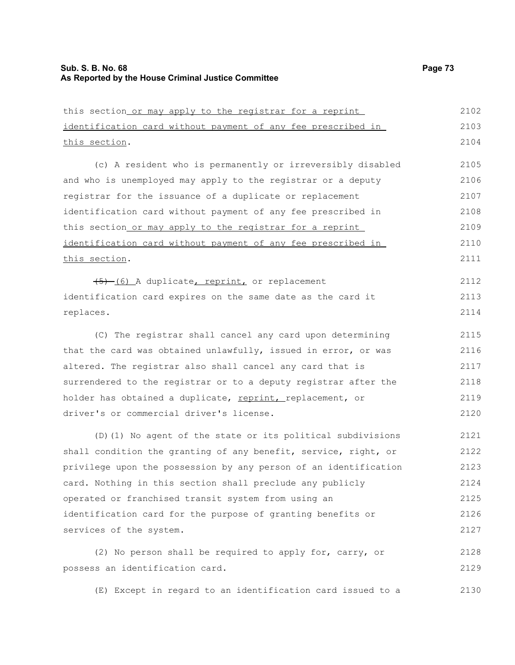this section or may apply to the registrar for a reprint identification card without payment of any fee prescribed in this section. (c) A resident who is permanently or irreversibly disabled and who is unemployed may apply to the registrar or a deputy registrar for the issuance of a duplicate or replacement identification card without payment of any fee prescribed in this section or may apply to the registrar for a reprint identification card without payment of any fee prescribed in this section. (5) (6) A duplicate, reprint, or replacement identification card expires on the same date as the card it replaces. (C) The registrar shall cancel any card upon determining that the card was obtained unlawfully, issued in error, or was altered. The registrar also shall cancel any card that is surrendered to the registrar or to a deputy registrar after the holder has obtained a duplicate, reprint, replacement, or driver's or commercial driver's license. (D)(1) No agent of the state or its political subdivisions shall condition the granting of any benefit, service, right, or privilege upon the possession by any person of an identification card. Nothing in this section shall preclude any publicly operated or franchised transit system from using an identification card for the purpose of granting benefits or services of the system. 2102 2103 2104 2105 2106 2107 2108 2109 2110 2111 2112 2113 2114 2115 2116 2117 2118 2119 2120 2121 2122 2123 2124 2125 2126 2127

(2) No person shall be required to apply for, carry, or possess an identification card. 2128 2129

(E) Except in regard to an identification card issued to a 2130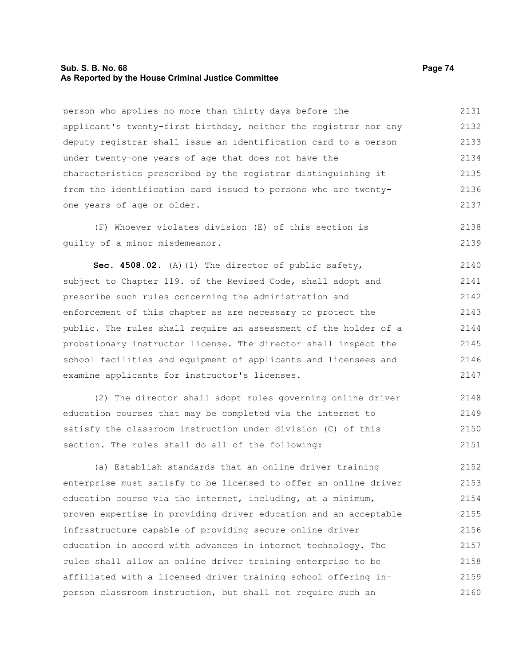### **Sub. S. B. No. 68 Page 74 As Reported by the House Criminal Justice Committee**

person who applies no more than thirty days before the applicant's twenty-first birthday, neither the registrar nor any deputy registrar shall issue an identification card to a person under twenty-one years of age that does not have the characteristics prescribed by the registrar distinguishing it from the identification card issued to persons who are twentyone years of age or older. 2131 2132 2133 2134 2135 2136 2137

(F) Whoever violates division (E) of this section is guilty of a minor misdemeanor. 2138 2139

**Sec. 4508.02.** (A)(1) The director of public safety, subject to Chapter 119. of the Revised Code, shall adopt and prescribe such rules concerning the administration and enforcement of this chapter as are necessary to protect the public. The rules shall require an assessment of the holder of a probationary instructor license. The director shall inspect the school facilities and equipment of applicants and licensees and examine applicants for instructor's licenses. 2140 2141 2142 2143 2144 2145 2146 2147

(2) The director shall adopt rules governing online driver education courses that may be completed via the internet to satisfy the classroom instruction under division (C) of this section. The rules shall do all of the following: 2148 2149 2150 2151

(a) Establish standards that an online driver training enterprise must satisfy to be licensed to offer an online driver education course via the internet, including, at a minimum, proven expertise in providing driver education and an acceptable infrastructure capable of providing secure online driver education in accord with advances in internet technology. The rules shall allow an online driver training enterprise to be affiliated with a licensed driver training school offering inperson classroom instruction, but shall not require such an 2152 2153 2154 2155 2156 2157 2158 2159 2160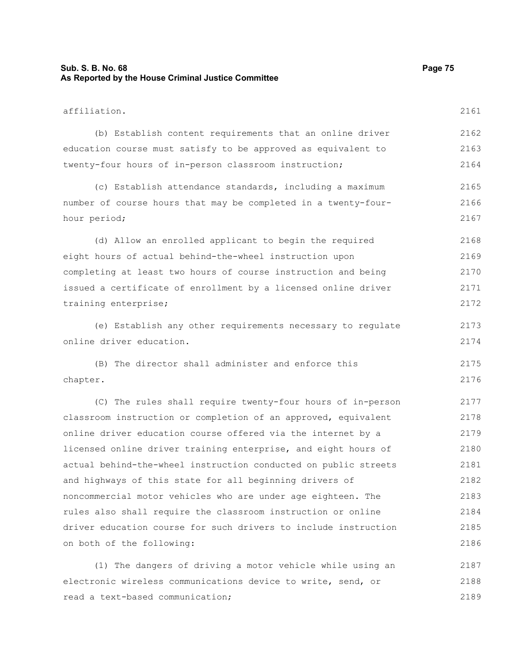# **Sub. S. B. No. 68 Page 75 As Reported by the House Criminal Justice Committee**

affiliation.

education course must satisfy to be approved as equivalent to twenty-four hours of in-person classroom instruction; 2163 2164

(c) Establish attendance standards, including a maximum number of course hours that may be completed in a twenty-fourhour period; 2165 2166 2167

(d) Allow an enrolled applicant to begin the required eight hours of actual behind-the-wheel instruction upon completing at least two hours of course instruction and being issued a certificate of enrollment by a licensed online driver training enterprise; 2168 2169 2170 2171 2172

(e) Establish any other requirements necessary to regulate online driver education.

(B) The director shall administer and enforce this chapter. 2175 2176

(C) The rules shall require twenty-four hours of in-person classroom instruction or completion of an approved, equivalent online driver education course offered via the internet by a licensed online driver training enterprise, and eight hours of actual behind-the-wheel instruction conducted on public streets and highways of this state for all beginning drivers of noncommercial motor vehicles who are under age eighteen. The rules also shall require the classroom instruction or online driver education course for such drivers to include instruction on both of the following: 2177 2178 2179 2180 2181 2182 2183 2184 2185 2186

(1) The dangers of driving a motor vehicle while using an electronic wireless communications device to write, send, or read a text-based communication; 2187 2188 2189

2161

2162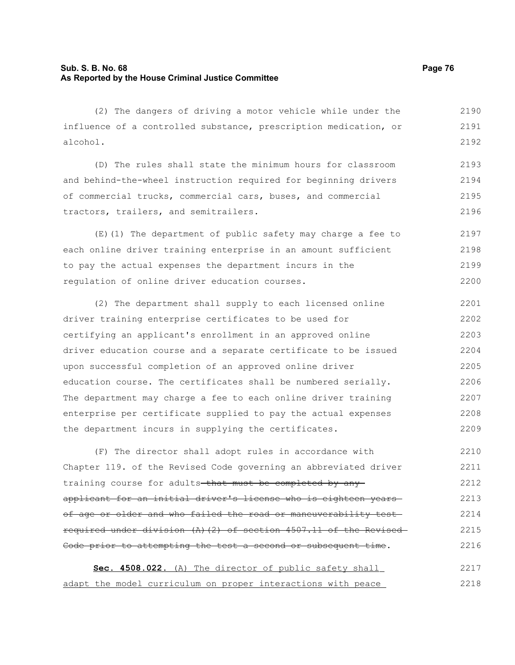# **Sub. S. B. No. 68 Page 76 As Reported by the House Criminal Justice Committee**

(2) The dangers of driving a motor vehicle while under the influence of a controlled substance, prescription medication, or alcohol. 2190 2191 2192

(D) The rules shall state the minimum hours for classroom and behind-the-wheel instruction required for beginning drivers of commercial trucks, commercial cars, buses, and commercial tractors, trailers, and semitrailers. 2193 2194 2195 2196

(E)(1) The department of public safety may charge a fee to each online driver training enterprise in an amount sufficient to pay the actual expenses the department incurs in the regulation of online driver education courses. 2197 2198 2199 2200

(2) The department shall supply to each licensed online driver training enterprise certificates to be used for certifying an applicant's enrollment in an approved online driver education course and a separate certificate to be issued upon successful completion of an approved online driver education course. The certificates shall be numbered serially. The department may charge a fee to each online driver training enterprise per certificate supplied to pay the actual expenses the department incurs in supplying the certificates. 2201 2202 2203 2204 2205 2206 2207 2208 2209

(F) The director shall adopt rules in accordance with Chapter 119. of the Revised Code governing an abbreviated driver training course for adults-that must be completed by any applicant for an initial driver's license who is eighteen years of age or older and who failed the road or maneuverability test required under division (A)(2) of section 4507.11 of the Revised Code prior to attempting the test a second or subsequent time. 2210 2211 2212 2213 2214 2215 2216

 **Sec. 4508.022.** (A) The director of public safety shall adapt the model curriculum on proper interactions with peace 2217 2218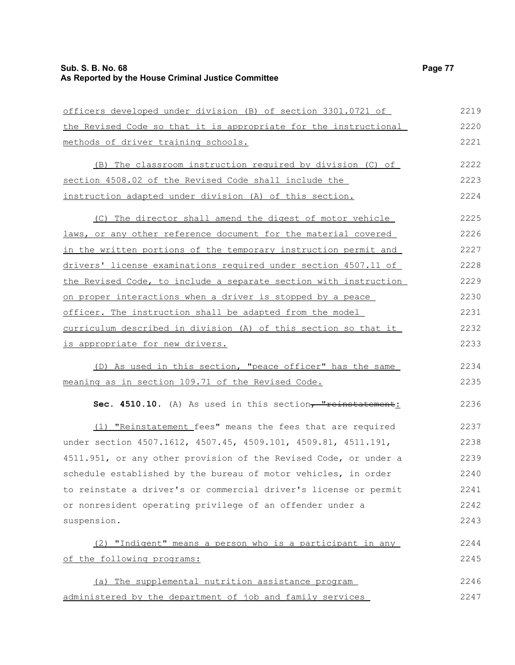# **Sub. S. B. No. 68** Page 77 **As Reported by the House Criminal Justice Committee**

| officers developed under division (B) of section 3301.0721 of    | 2219 |
|------------------------------------------------------------------|------|
| the Revised Code so that it is appropriate for the instructional | 2220 |
| methods of driver training schools.                              | 2221 |
| (B) The classroom instruction required by division (C) of        | 2222 |
| section 4508.02 of the Revised Code shall include the            | 2223 |
| instruction adapted under division (A) of this section.          | 2224 |
| (C) The director shall amend the digest of motor vehicle         | 2225 |
| laws, or any other reference document for the material covered   | 2226 |
| in the written portions of the temporary instruction permit and  | 2227 |
| drivers' license examinations required under section 4507.11 of  | 2228 |
| the Revised Code, to include a separate section with instruction | 2229 |
| on proper interactions when a driver is stopped by a peace       | 2230 |
| officer. The instruction shall be adapted from the model         | 2231 |
| curriculum described in division (A) of this section so that it  | 2232 |
| is appropriate for new drivers.                                  | 2233 |
| (D) As used in this section, "peace officer" has the same        | 2234 |
| meaning as in section 109.71 of the Revised Code.                | 2235 |
| Sec. 4510.10. (A) As used in this section, "reinstatement:       | 2236 |
| (1) "Reinstatement fees" means the fees that are required        | 2237 |
| under section 4507.1612, 4507.45, 4509.101, 4509.81, 4511.191,   | 2238 |
| 4511.951, or any other provision of the Revised Code, or under a | 2239 |
| schedule established by the bureau of motor vehicles, in order   | 2240 |
| to reinstate a driver's or commercial driver's license or permit | 2241 |
| or nonresident operating privilege of an offender under a        | 2242 |
| suspension.                                                      | 2243 |
| (2) "Indigent" means a person who is a participant in any        | 2244 |
| of the following programs:                                       | 2245 |
| (a) The supplemental nutrition assistance program                | 2246 |
| administered by the department of job and family services        | 2247 |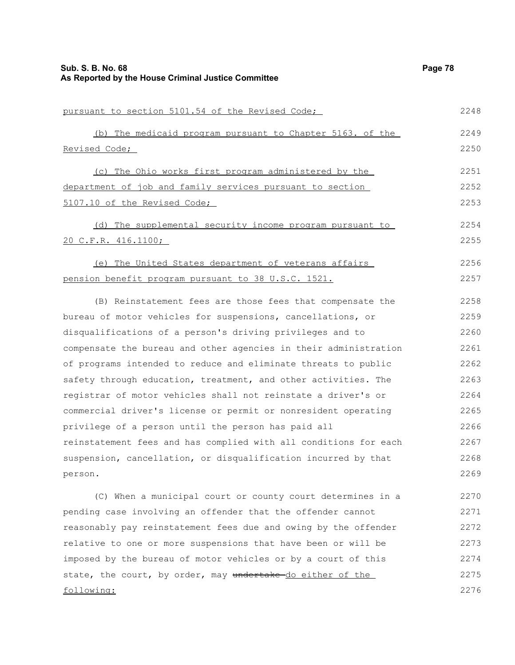2275 2276

| pursuant to section 5101.54 of the Revised Code;                 | 2248 |
|------------------------------------------------------------------|------|
| (b) The medicaid program pursuant to Chapter 5163. of the        | 2249 |
| Revised Code;                                                    | 2250 |
| (c) The Ohio works first program administered by the             | 2251 |
| department of job and family services pursuant to section        | 2252 |
| 5107.10 of the Revised Code;                                     | 2253 |
| (d) The supplemental security income program pursuant to         | 2254 |
| 20 C.F.R. 416.1100;                                              | 2255 |
| (e) The United States department of veterans affairs             | 2256 |
| pension benefit program pursuant to 38 U.S.C. 1521.              | 2257 |
| (B) Reinstatement fees are those fees that compensate the        | 2258 |
| bureau of motor vehicles for suspensions, cancellations, or      | 2259 |
| disqualifications of a person's driving privileges and to        | 2260 |
| compensate the bureau and other agencies in their administration | 2261 |
| of programs intended to reduce and eliminate threats to public   | 2262 |
| safety through education, treatment, and other activities. The   | 2263 |
| registrar of motor vehicles shall not reinstate a driver's or    | 2264 |
| commercial driver's license or permit or nonresident operating   | 2265 |
| privilege of a person until the person has paid all              | 2266 |
| reinstatement fees and has complied with all conditions for each | 2267 |
| suspension, cancellation, or disqualification incurred by that   | 2268 |
| person.                                                          | 2269 |
| (C) When a municipal court or county court determines in a       | 2270 |
| pending case involving an offender that the offender cannot      | 2271 |
| reasonably pay reinstatement fees due and owing by the offender  | 2272 |
| relative to one or more suspensions that have been or will be    | 2273 |
| imposed by the bureau of motor vehicles or by a court of this    | 2274 |

state, the court, by order, may undertake-do either of the

following: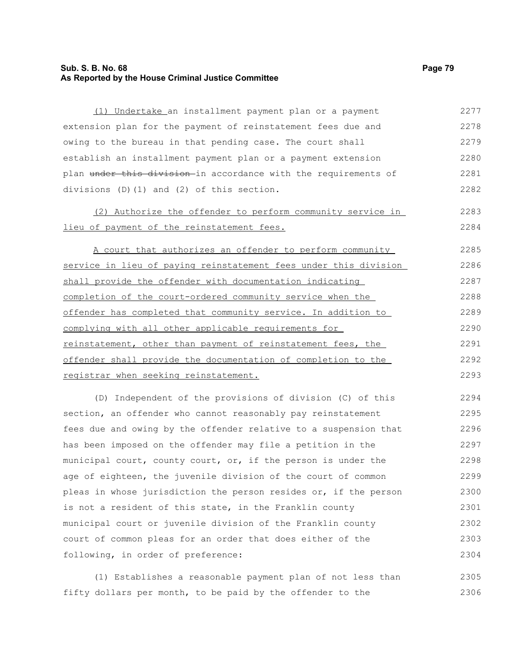## **Sub. S. B. No. 68 Page 79 As Reported by the House Criminal Justice Committee**

(1) Undertake an installment payment plan or a payment extension plan for the payment of reinstatement fees due and owing to the bureau in that pending case. The court shall establish an installment payment plan or a payment extension plan under this division in accordance with the requirements of divisions (D)(1) and (2) of this section. (2) Authorize the offender to perform community service in lieu of payment of the reinstatement fees. A court that authorizes an offender to perform community service in lieu of paying reinstatement fees under this division shall provide the offender with documentation indicating completion of the court-ordered community service when the offender has completed that community service. In addition to complying with all other applicable requirements for reinstatement, other than payment of reinstatement fees, the offender shall provide the documentation of completion to the registrar when seeking reinstatement. (D) Independent of the provisions of division (C) of this section, an offender who cannot reasonably pay reinstatement fees due and owing by the offender relative to a suspension that has been imposed on the offender may file a petition in the municipal court, county court, or, if the person is under the age of eighteen, the juvenile division of the court of common pleas in whose jurisdiction the person resides or, if the person is not a resident of this state, in the Franklin county municipal court or juvenile division of the Franklin county court of common pleas for an order that does either of the following, in order of preference: 2277 2278 2279 2280 2281 2282 2283 2284 2285 2286 2287 2288 2289 2290 2291 2292 2293 2294 2295 2296 2297 2298 2299 2300 2301 2302 2303 2304

(1) Establishes a reasonable payment plan of not less than fifty dollars per month, to be paid by the offender to the 2305 2306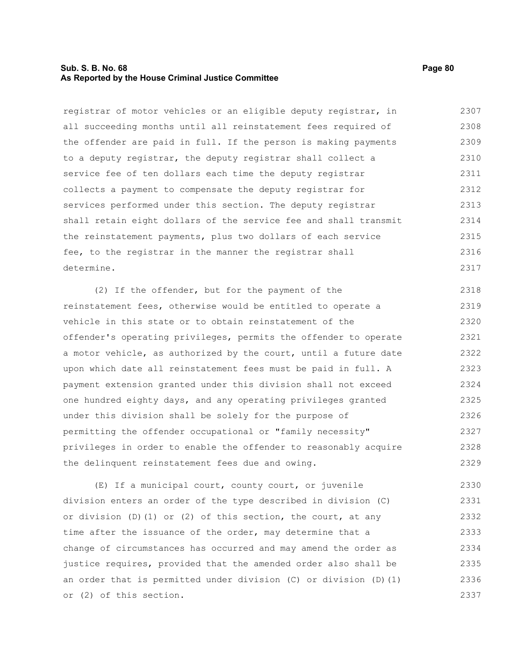### **Sub. S. B. No. 68 Page 80 As Reported by the House Criminal Justice Committee**

registrar of motor vehicles or an eligible deputy registrar, in all succeeding months until all reinstatement fees required of the offender are paid in full. If the person is making payments to a deputy registrar, the deputy registrar shall collect a service fee of ten dollars each time the deputy registrar collects a payment to compensate the deputy registrar for services performed under this section. The deputy registrar shall retain eight dollars of the service fee and shall transmit the reinstatement payments, plus two dollars of each service fee, to the registrar in the manner the registrar shall determine. 2307 2308 2309 2310 2311 2312 2313 2314 2315 2316 2317

(2) If the offender, but for the payment of the reinstatement fees, otherwise would be entitled to operate a vehicle in this state or to obtain reinstatement of the offender's operating privileges, permits the offender to operate a motor vehicle, as authorized by the court, until a future date upon which date all reinstatement fees must be paid in full. A payment extension granted under this division shall not exceed one hundred eighty days, and any operating privileges granted under this division shall be solely for the purpose of permitting the offender occupational or "family necessity" privileges in order to enable the offender to reasonably acquire the delinquent reinstatement fees due and owing. 2318 2319 2320 2321 2322 2323 2324 2325 2326 2327 2328 2329

(E) If a municipal court, county court, or juvenile division enters an order of the type described in division (C) or division (D)(1) or (2) of this section, the court, at any time after the issuance of the order, may determine that a change of circumstances has occurred and may amend the order as justice requires, provided that the amended order also shall be an order that is permitted under division (C) or division (D)(1) or (2) of this section. 2330 2331 2332 2333 2334 2335 2336 2337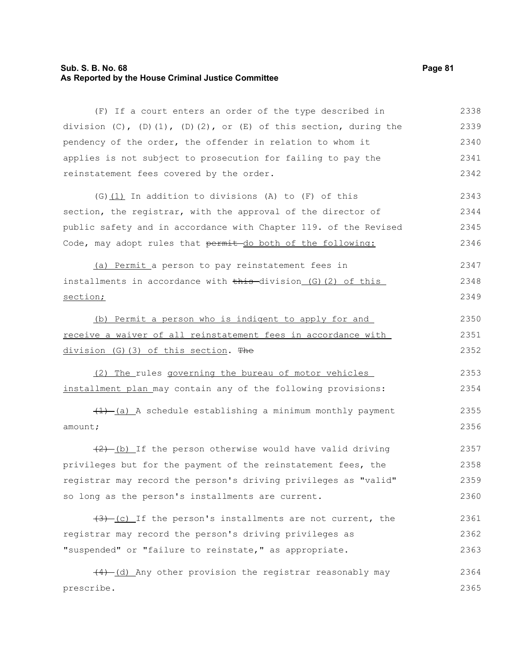### **Sub. S. B. No. 68 Page 81 As Reported by the House Criminal Justice Committee**

division  $(C)$ ,  $(D)$  $(1)$ ,  $(D)$  $(2)$ , or  $(E)$  of this section, during the pendency of the order, the offender in relation to whom it applies is not subject to prosecution for failing to pay the reinstatement fees covered by the order. (G)(1) In addition to divisions (A) to (F) of this section, the registrar, with the approval of the director of public safety and in accordance with Chapter 119. of the Revised Code, may adopt rules that permit do both of the following: (a) Permit a person to pay reinstatement fees in installments in accordance with  $t$ his division (G)(2) of this section; (b) Permit a person who is indigent to apply for and receive a waiver of all reinstatement fees in accordance with division (G)(3) of this section. The (2) The rules governing the bureau of motor vehicles installment plan may contain any of the following provisions: 2339 2340 2341 2342 2343 2344 2345 2346 2347 2348 2349 2350 2351 2352 2353 2354

(F) If a court enters an order of the type described in

 $(1)$  (a) A schedule establishing a minimum monthly payment amount; 2355 2356

 $(2)$  (b) If the person otherwise would have valid driving privileges but for the payment of the reinstatement fees, the registrar may record the person's driving privileges as "valid" so long as the person's installments are current. 2357 2358 2359 2360

 $(3)$  (c) If the person's installments are not current, the registrar may record the person's driving privileges as "suspended" or "failure to reinstate," as appropriate. 2361 2362 2363

 $(4)$   $(d)$  Any other provision the registrar reasonably may prescribe. 2364 2365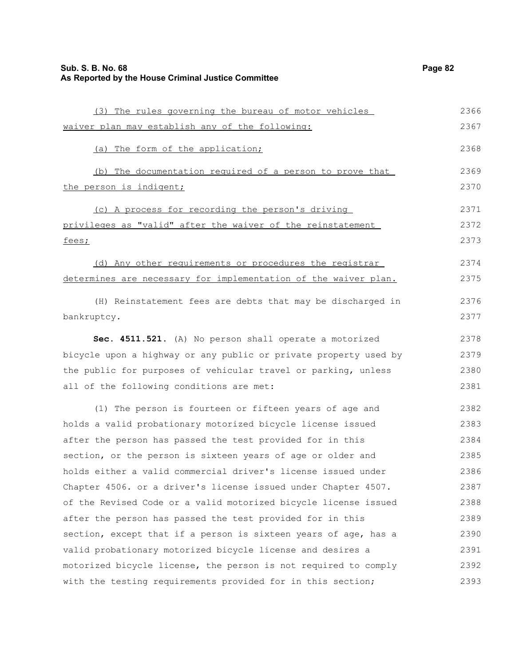(3) The rules governing the bureau of motor vehicles

| waiver plan may establish any of the following:                  | 2367 |
|------------------------------------------------------------------|------|
| (a) The form of the application;                                 | 2368 |
| (b) The documentation required of a person to prove that         | 2369 |
| the person is indigent;                                          | 2370 |
| (c) A process for recording the person's driving                 | 2371 |
| privileges as "valid" after the waiver of the reinstatement      | 2372 |
| fees;                                                            | 2373 |
| (d) Any other requirements or procedures the registrar           | 2374 |
| determines are necessary for implementation of the waiver plan.  | 2375 |
| (H) Reinstatement fees are debts that may be discharged in       | 2376 |
| bankruptcy.                                                      | 2377 |
| Sec. 4511.521. (A) No person shall operate a motorized           | 2378 |
| bicycle upon a highway or any public or private property used by | 2379 |
| the public for purposes of vehicular travel or parking, unless   | 2380 |
| all of the following conditions are met:                         | 2381 |
| (1) The person is fourteen or fifteen years of age and           | 2382 |
| holds a valid probationary motorized bicycle license issued      | 2383 |
| after the person has passed the test provided for in this        | 2384 |
| section, or the person is sixteen years of age or older and      | 2385 |
| holds either a valid commercial driver's license issued under    | 2386 |
| Chapter 4506. or a driver's license issued under Chapter 4507.   | 2387 |
| of the Revised Code or a valid motorized bicycle license issued  | 2388 |
| after the person has passed the test provided for in this        | 2389 |
| section, except that if a person is sixteen years of age, has a  | 2390 |
| valid probationary motorized bicycle license and desires a       | 2391 |
| motorized bicycle license, the person is not required to comply  | 2392 |
| with the testing requirements provided for in this section;      | 2393 |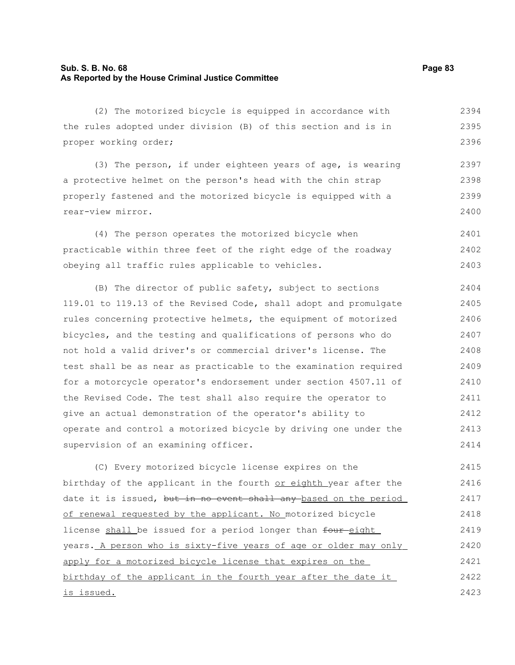# **Sub. S. B. No. 68 Page 83 As Reported by the House Criminal Justice Committee**

(2) The motorized bicycle is equipped in accordance with the rules adopted under division (B) of this section and is in proper working order; 2394 2395 2396

(3) The person, if under eighteen years of age, is wearing a protective helmet on the person's head with the chin strap properly fastened and the motorized bicycle is equipped with a rear-view mirror. 2397 2398 2399 2400

(4) The person operates the motorized bicycle when practicable within three feet of the right edge of the roadway obeying all traffic rules applicable to vehicles. 2401 2402 2403

(B) The director of public safety, subject to sections 119.01 to 119.13 of the Revised Code, shall adopt and promulgate rules concerning protective helmets, the equipment of motorized bicycles, and the testing and qualifications of persons who do not hold a valid driver's or commercial driver's license. The test shall be as near as practicable to the examination required for a motorcycle operator's endorsement under section 4507.11 of the Revised Code. The test shall also require the operator to give an actual demonstration of the operator's ability to operate and control a motorized bicycle by driving one under the supervision of an examining officer. 2404 2405 2406 2407 2408 2409 2410 2411 2412 2413 2414

(C) Every motorized bicycle license expires on the birthday of the applicant in the fourth or eighth year after the date it is issued, but in no event shall any based on the period of renewal requested by the applicant. No motorized bicycle license shall be issued for a period longer than four eight years. A person who is sixty-five years of age or older may only apply for a motorized bicycle license that expires on the birthday of the applicant in the fourth year after the date it is issued. 2415 2416 2417 2418 2419 2420 2421 2422 2423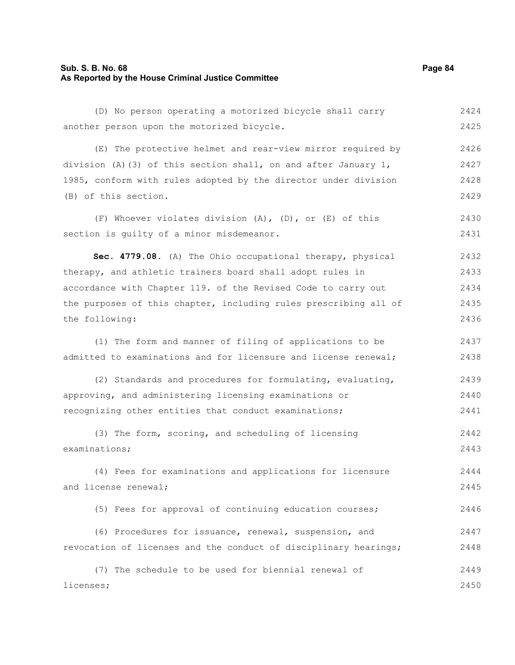## **Sub. S. B. No. 68 Page 84 As Reported by the House Criminal Justice Committee**

(D) No person operating a motorized bicycle shall carry another person upon the motorized bicycle. 2424 2425

(E) The protective helmet and rear-view mirror required by division (A)(3) of this section shall, on and after January 1, 1985, conform with rules adopted by the director under division (B) of this section. 2426 2427 2428 2429

(F) Whoever violates division (A), (D), or (E) of this section is guilty of a minor misdemeanor. 2430 2431

**Sec. 4779.08.** (A) The Ohio occupational therapy, physical therapy, and athletic trainers board shall adopt rules in accordance with Chapter 119. of the Revised Code to carry out the purposes of this chapter, including rules prescribing all of the following: 2432 2433 2434 2435 2436

(1) The form and manner of filing of applications to be admitted to examinations and for licensure and license renewal; 2437 2438

(2) Standards and procedures for formulating, evaluating, approving, and administering licensing examinations or recognizing other entities that conduct examinations; 2439 2440 2441

(3) The form, scoring, and scheduling of licensing examinations; 2442 2443

(4) Fees for examinations and applications for licensure and license renewal; 2444 2445

(5) Fees for approval of continuing education courses; (6) Procedures for issuance, renewal, suspension, and revocation of licenses and the conduct of disciplinary hearings; 2446 2447 2448

(7) The schedule to be used for biennial renewal of licenses; 2449 2450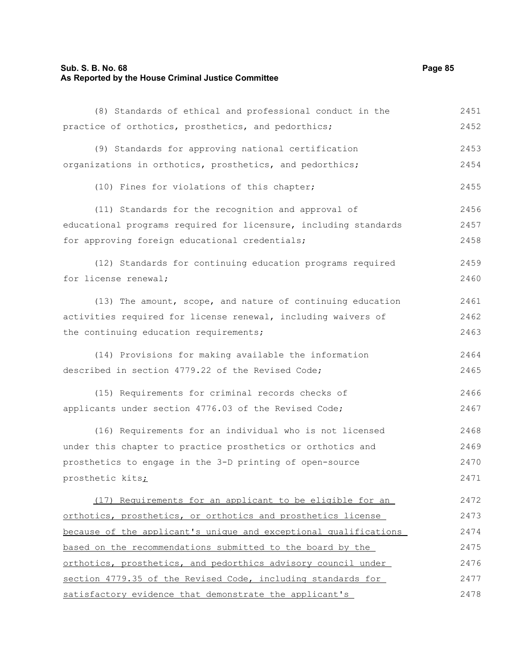# **Sub. S. B. No. 68** Page 85 **As Reported by the House Criminal Justice Committee**

| (8) Standards of ethical and professional conduct in the         | 2451 |
|------------------------------------------------------------------|------|
| practice of orthotics, prosthetics, and pedorthics;              | 2452 |
| (9) Standards for approving national certification               | 2453 |
| organizations in orthotics, prosthetics, and pedorthics;         | 2454 |
| (10) Fines for violations of this chapter;                       | 2455 |
| (11) Standards for the recognition and approval of               | 2456 |
| educational programs required for licensure, including standards | 2457 |
| for approving foreign educational credentials;                   | 2458 |
| (12) Standards for continuing education programs required        | 2459 |
| for license renewal;                                             | 2460 |
| (13) The amount, scope, and nature of continuing education       | 2461 |
| activities required for license renewal, including waivers of    | 2462 |
| the continuing education requirements;                           | 2463 |
| (14) Provisions for making available the information             | 2464 |
| described in section 4779.22 of the Revised Code;                | 2465 |
| (15) Requirements for criminal records checks of                 | 2466 |
| applicants under section 4776.03 of the Revised Code;            | 2467 |
| (16) Requirements for an individual who is not licensed          | 2468 |
| under this chapter to practice prosthetics or orthotics and      | 2469 |
| prosthetics to engage in the 3-D printing of open-source         | 2470 |
| prosthetic kits;                                                 | 2471 |
| (17) Requirements for an applicant to be eligible for an         | 2472 |
| orthotics, prosthetics, or orthotics and prosthetics license     | 2473 |
| because of the applicant's unique and exceptional qualifications | 2474 |
| based on the recommendations submitted to the board by the       | 2475 |
| orthotics, prosthetics, and pedorthics advisory council under    | 2476 |
| section 4779.35 of the Revised Code, including standards for     | 2477 |
| satisfactory evidence that demonstrate the applicant's           | 2478 |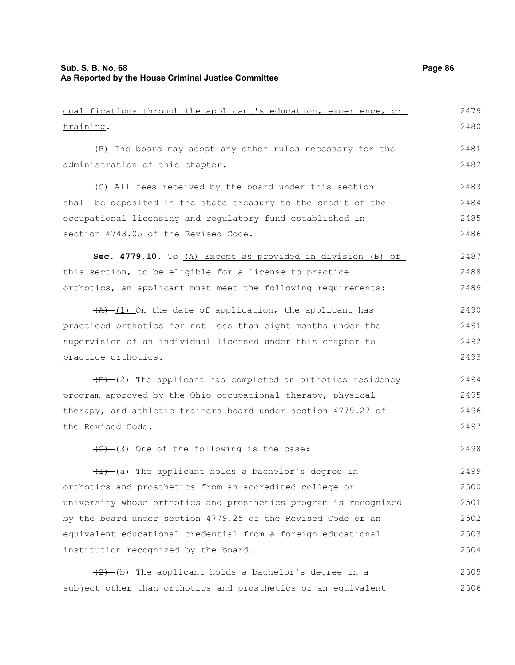qualifications through the applicant's education, experience, or training. (B) The board may adopt any other rules necessary for the administration of this chapter. (C) All fees received by the board under this section shall be deposited in the state treasury to the credit of the occupational licensing and regulatory fund established in section 4743.05 of the Revised Code. **Sec. 4779.10.**  $\overline{\mathbf{F} \cdot \mathbf{G}}$  Except as provided in division (B) of this section, to be eligible for a license to practice orthotics, an applicant must meet the following requirements:  $(A)$  (1) On the date of application, the applicant has practiced orthotics for not less than eight months under the supervision of an individual licensed under this chapter to practice orthotics.  $(B)$  (2) The applicant has completed an orthotics residency program approved by the Ohio occupational therapy, physical therapy, and athletic trainers board under section 4779.27 of the Revised Code.  $(C)$  (3) One of the following is the case: (1) (a) The applicant holds a bachelor's degree in orthotics and prosthetics from an accredited college or university whose orthotics and prosthetics program is recognized by the board under section 4779.25 of the Revised Code or an equivalent educational credential from a foreign educational institution recognized by the board. 2479 2480 2481 2482 2483 2484 2485 2486 2487 2488 2489 2490 2491 2492 2493 2494 2495 2496 2497 2498 2499 2500 2501 2502 2503 2504

 $(2)$  (b) The applicant holds a bachelor's degree in a subject other than orthotics and prosthetics or an equivalent 2505 2506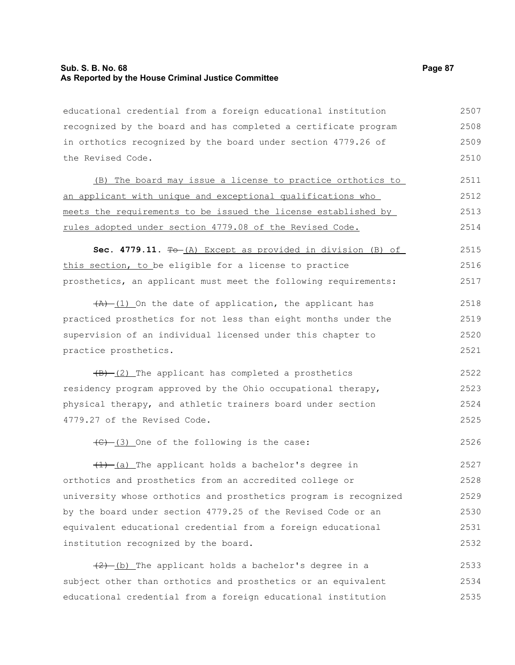## **Sub. S. B. No. 68 Page 87 As Reported by the House Criminal Justice Committee**

educational credential from a foreign educational institution recognized by the board and has completed a certificate program in orthotics recognized by the board under section 4779.26 of the Revised Code. 2507 2508 2509 2510

(B) The board may issue a license to practice orthotics to an applicant with unique and exceptional qualifications who meets the requirements to be issued the license established by rules adopted under section 4779.08 of the Revised Code. 2511 2512 2513 2514

Sec. 4779.11.  $F\rightarrow (A)$  Except as provided in division (B) of this section, to be eligible for a license to practice prosthetics, an applicant must meet the following requirements: 2515 2516 2517

 $(A)$  (1) On the date of application, the applicant has practiced prosthetics for not less than eight months under the supervision of an individual licensed under this chapter to practice prosthetics. 2518 2519 2520 2521

 $(B)$  (2) The applicant has completed a prosthetics residency program approved by the Ohio occupational therapy, physical therapy, and athletic trainers board under section 4779.27 of the Revised Code. 2522 2523 2524 2525

 $\left(\frac{C}{C}-\frac{1}{3}\right)$  One of the following is the case: 2526

 $(1)$  (a) The applicant holds a bachelor's degree in orthotics and prosthetics from an accredited college or university whose orthotics and prosthetics program is recognized by the board under section 4779.25 of the Revised Code or an equivalent educational credential from a foreign educational institution recognized by the board. 2527 2528 2529 2530 2531 2532

 $(2)$  (b) The applicant holds a bachelor's degree in a subject other than orthotics and prosthetics or an equivalent educational credential from a foreign educational institution 2533 2534 2535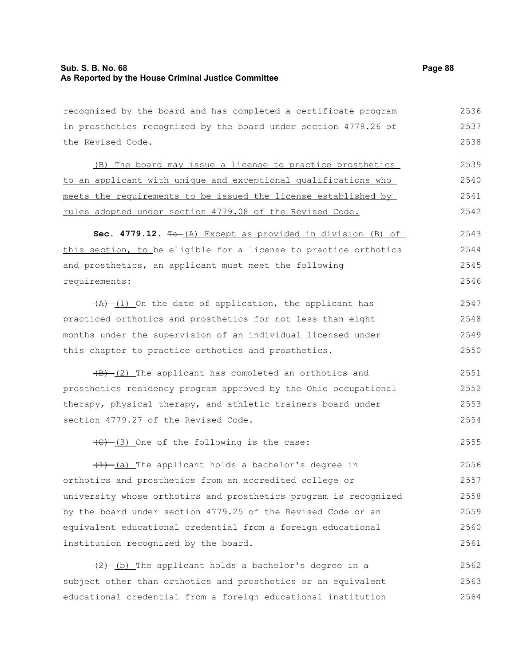# **Sub. S. B. No. 68 Page 88 As Reported by the House Criminal Justice Committee**

| recognized by the board and has completed a certificate program     | 2536 |
|---------------------------------------------------------------------|------|
| in prosthetics recognized by the board under section 4779.26 of     | 2537 |
| the Revised Code.                                                   | 2538 |
| (B) The board may issue a license to practice prosthetics           | 2539 |
| to an applicant with unique and exceptional qualifications who      | 2540 |
| meets the requirements to be issued the license established by      | 2541 |
| rules adopted under section 4779.08 of the Revised Code.            | 2542 |
| Sec. 4779.12. To (A) Except as provided in division (B) of          | 2543 |
| this section, to be eligible for a license to practice orthotics    | 2544 |
| and prosthetics, an applicant must meet the following               | 2545 |
| requirements:                                                       | 2546 |
| $\frac{1}{(A) - (1)}$ On the date of application, the applicant has | 2547 |
| practiced orthotics and prosthetics for not less than eight         | 2548 |
| months under the supervision of an individual licensed under        | 2549 |
| this chapter to practice orthotics and prosthetics.                 | 2550 |
| $(B)$ $(2)$ The applicant has completed an orthotics and            | 2551 |
| prosthetics residency program approved by the Ohio occupational     | 2552 |
| therapy, physical therapy, and athletic trainers board under        | 2553 |
| section 4779.27 of the Revised Code.                                | 2554 |
| $\left(\frac{C}{C}-1\right)$ One of the following is the case:      | 2555 |
| $\frac{(1) - (a)}{(1)}$ The applicant holds a bachelor's degree in  | 2556 |
| orthotics and prosthetics from an accredited college or             | 2557 |
| university whose orthotics and prosthetics program is recognized    | 2558 |
| by the board under section 4779.25 of the Revised Code or an        | 2559 |
| equivalent educational credential from a foreign educational        | 2560 |
| institution recognized by the board.                                | 2561 |
| $(2)$ (b) The applicant holds a bachelor's degree in a              | 2562 |
| subject other than orthotics and prosthetics or an equivalent       | 2563 |
| educational credential from a foreign educational institution       | 2564 |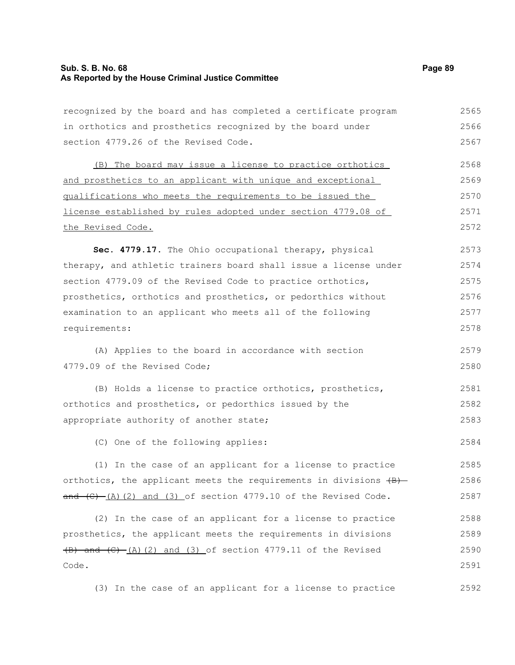## **Sub. S. B. No. 68 Page 89 As Reported by the House Criminal Justice Committee**

recognized by the board and has completed a certificate program in orthotics and prosthetics recognized by the board under section 4779.26 of the Revised Code. (B) The board may issue a license to practice orthotics and prosthetics to an applicant with unique and exceptional qualifications who meets the requirements to be issued the license established by rules adopted under section 4779.08 of the Revised Code. **Sec. 4779.17.** The Ohio occupational therapy, physical therapy, and athletic trainers board shall issue a license under section 4779.09 of the Revised Code to practice orthotics, prosthetics, orthotics and prosthetics, or pedorthics without examination to an applicant who meets all of the following requirements: (A) Applies to the board in accordance with section 4779.09 of the Revised Code; (B) Holds a license to practice orthotics, prosthetics, orthotics and prosthetics, or pedorthics issued by the appropriate authority of another state; (C) One of the following applies: (1) In the case of an applicant for a license to practice orthotics, the applicant meets the requirements in divisions  $\overline{B}$ ) and  $(C)$  (A)(2) and (3) of section 4779.10 of the Revised Code. (2) In the case of an applicant for a license to practice prosthetics, the applicant meets the requirements in divisions  $(B)$  and  $(C)$   $(A)$   $(2)$  and  $(3)$  of section 4779.11 of the Revised Code. (3) In the case of an applicant for a license to practice 2565 2566 2567 2568 2569 2570 2571 2572 2573 2574 2575 2576 2577 2578 2579 2580 2581 2582 2583 2584 2585 2586 2587 2588 2589 2590 2591 2592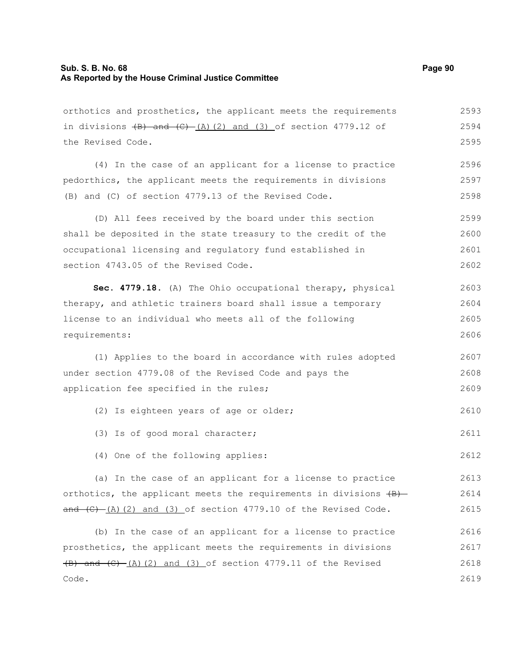orthotics and prosthetics, the applicant meets the requirements in divisions  $\overline{AB}$  and  $\overline{C}$  (A)(2) and (3) of section 4779.12 of the Revised Code. 2593 2594 2595

(4) In the case of an applicant for a license to practice pedorthics, the applicant meets the requirements in divisions (B) and (C) of section 4779.13 of the Revised Code. 2596 2597 2598

(D) All fees received by the board under this section shall be deposited in the state treasury to the credit of the occupational licensing and regulatory fund established in section 4743.05 of the Revised Code. 2599 2600 2601 2602

**Sec. 4779.18.** (A) The Ohio occupational therapy, physical therapy, and athletic trainers board shall issue a temporary license to an individual who meets all of the following requirements: 2603 2604 2605 2606

(1) Applies to the board in accordance with rules adopted under section 4779.08 of the Revised Code and pays the application fee specified in the rules; 2607 2608 2609

(2) Is eighteen years of age or older; 2610

(3) Is of good moral character;

(4) One of the following applies: 2612

(a) In the case of an applicant for a license to practice orthotics, the applicant meets the requirements in divisions  $\overline{AB}$ and  $(C)$  (A)(2) and (3) of section 4779.10 of the Revised Code. 2613 2614 2615

(b) In the case of an applicant for a license to practice prosthetics, the applicant meets the requirements in divisions  $(B)$  and  $(C)$   $(A)$   $(2)$  and  $(3)$  of section 4779.11 of the Revised Code. 2616 2617 2618 2619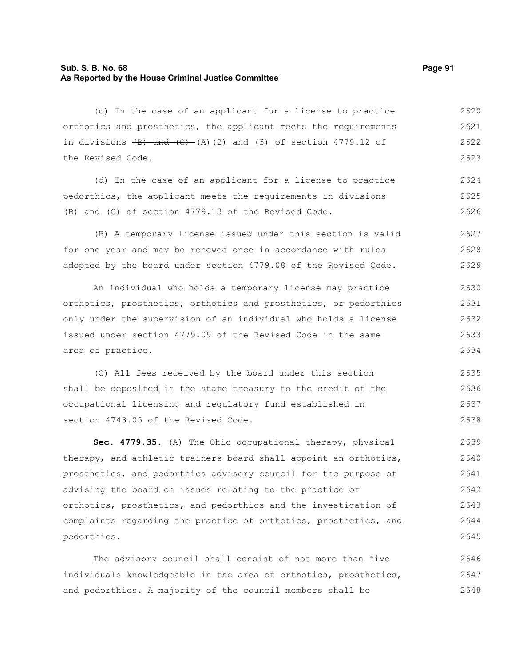## **Sub. S. B. No. 68 Page 91 As Reported by the House Criminal Justice Committee**

(c) In the case of an applicant for a license to practice orthotics and prosthetics, the applicant meets the requirements in divisions  $(B)$  and  $(C)$   $(A)$   $(2)$  and  $(3)$  of section 4779.12 of the Revised Code. 2620 2621 2622 2623

(d) In the case of an applicant for a license to practice pedorthics, the applicant meets the requirements in divisions (B) and (C) of section 4779.13 of the Revised Code. 2624 2625 2626

(B) A temporary license issued under this section is valid for one year and may be renewed once in accordance with rules adopted by the board under section 4779.08 of the Revised Code. 2627 2628 2629

An individual who holds a temporary license may practice orthotics, prosthetics, orthotics and prosthetics, or pedorthics only under the supervision of an individual who holds a license issued under section 4779.09 of the Revised Code in the same area of practice. 2630 2631 2632 2633 2634

(C) All fees received by the board under this section shall be deposited in the state treasury to the credit of the occupational licensing and regulatory fund established in section 4743.05 of the Revised Code. 2635 2636 2637 2638

**Sec. 4779.35.** (A) The Ohio occupational therapy, physical therapy, and athletic trainers board shall appoint an orthotics, prosthetics, and pedorthics advisory council for the purpose of advising the board on issues relating to the practice of orthotics, prosthetics, and pedorthics and the investigation of complaints regarding the practice of orthotics, prosthetics, and pedorthics. 2639 2640 2641 2642 2643 2644 2645

The advisory council shall consist of not more than five individuals knowledgeable in the area of orthotics, prosthetics, and pedorthics. A majority of the council members shall be 2646 2647 2648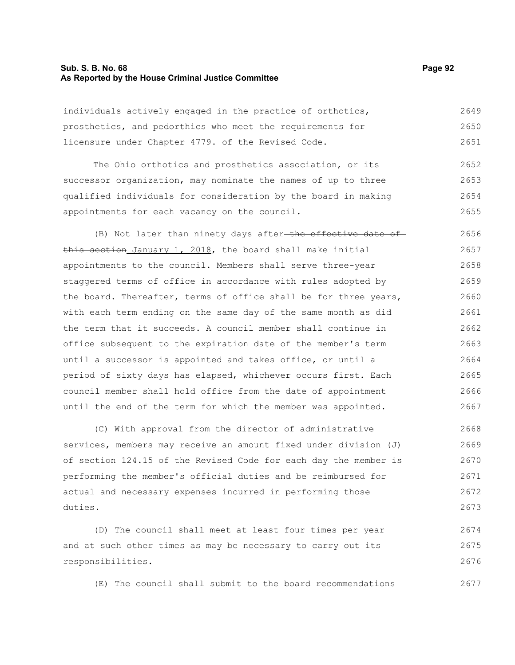### **Sub. S. B. No. 68 Page 92 As Reported by the House Criminal Justice Committee**

individuals actively engaged in the practice of orthotics, prosthetics, and pedorthics who meet the requirements for licensure under Chapter 4779. of the Revised Code. 2649 2650 2651

The Ohio orthotics and prosthetics association, or its successor organization, may nominate the names of up to three qualified individuals for consideration by the board in making appointments for each vacancy on the council. 2652 2653 2654 2655

(B) Not later than ninety days after-the effective date ofthis section January 1, 2018, the board shall make initial appointments to the council. Members shall serve three-year staggered terms of office in accordance with rules adopted by the board. Thereafter, terms of office shall be for three years, with each term ending on the same day of the same month as did the term that it succeeds. A council member shall continue in office subsequent to the expiration date of the member's term until a successor is appointed and takes office, or until a period of sixty days has elapsed, whichever occurs first. Each council member shall hold office from the date of appointment until the end of the term for which the member was appointed. 2656 2657 2658 2659 2660 2661 2662 2663 2664 2665 2666 2667

(C) With approval from the director of administrative services, members may receive an amount fixed under division (J) of section 124.15 of the Revised Code for each day the member is performing the member's official duties and be reimbursed for actual and necessary expenses incurred in performing those duties. 2668 2669 2670 2671 2672 2673

(D) The council shall meet at least four times per year and at such other times as may be necessary to carry out its responsibilities. 2674 2675 2676

(E) The council shall submit to the board recommendations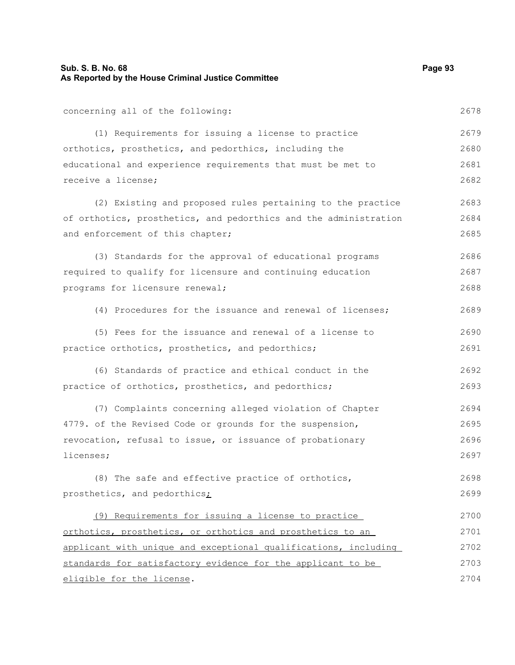# **Sub. S. B. No. 68 Page 93 As Reported by the House Criminal Justice Committee**

concerning all of the following:

(1) Requirements for issuing a license to practice orthotics, prosthetics, and pedorthics, including the educational and experience requirements that must be met to receive a license; 2679 2680 2681 2682

(2) Existing and proposed rules pertaining to the practice of orthotics, prosthetics, and pedorthics and the administration and enforcement of this chapter; 2683 2684 2685

(3) Standards for the approval of educational programs required to qualify for licensure and continuing education programs for licensure renewal; 2686 2687 2688

(4) Procedures for the issuance and renewal of licenses; 2689

(5) Fees for the issuance and renewal of a license to practice orthotics, prosthetics, and pedorthics; 2690 2691

(6) Standards of practice and ethical conduct in the practice of orthotics, prosthetics, and pedorthics; 2692 2693

(7) Complaints concerning alleged violation of Chapter 4779. of the Revised Code or grounds for the suspension, revocation, refusal to issue, or issuance of probationary licenses; 2694 2695 2696 2697

(8) The safe and effective practice of orthotics, prosthetics, and pedorthics; 2698 2699

(9) Requirements for issuing a license to practice orthotics, prosthetics, or orthotics and prosthetics to an applicant with unique and exceptional qualifications, including standards for satisfactory evidence for the applicant to be eligible for the license. 2700 2701 2702 2703 2704